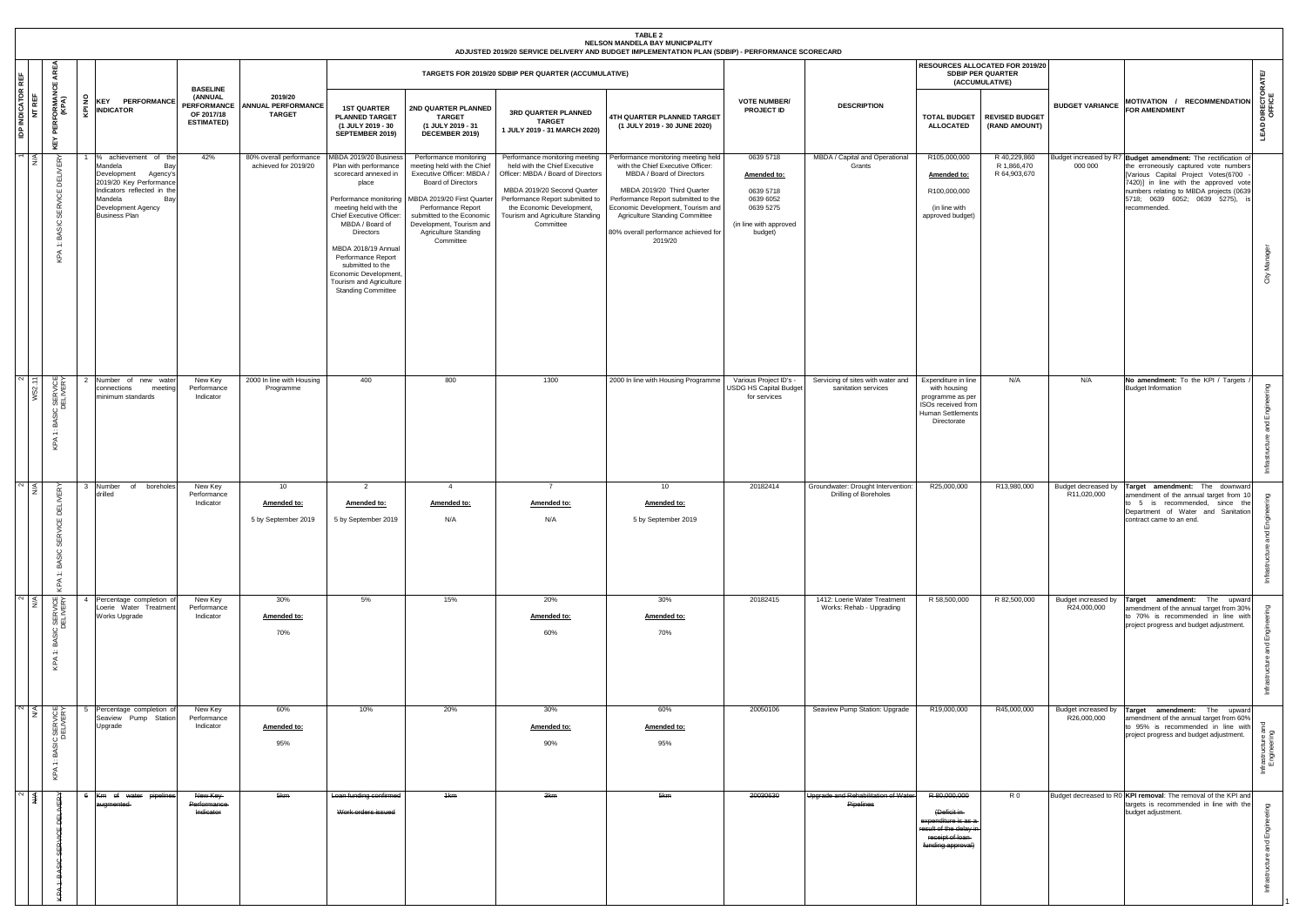|                                    |                                                        |    |                                                                                                                                                                                               |                                                                                     |                                                       |                                                                                                                                                                                                                                                                                                                                                         |                                                                                                                                                                                                                                                                          |                                                                                                                                                                                                                                                       | TABLE <sub>2</sub><br>NELSON MANDELA BAY MUNICIPALITY<br>ADJUSTED 2019/20 SERVICE DELIVERY AND BUDGET IMPLEMENTATION PLAN (SDBIP) - PERFORMANCE SCORECARD                                                                                                                                                   |                                                                                                      |                                                            |                                                                                                                        |                                                                        |                                    |                                                                                                                                                                                                                                                                                   |                                 |
|------------------------------------|--------------------------------------------------------|----|-----------------------------------------------------------------------------------------------------------------------------------------------------------------------------------------------|-------------------------------------------------------------------------------------|-------------------------------------------------------|---------------------------------------------------------------------------------------------------------------------------------------------------------------------------------------------------------------------------------------------------------------------------------------------------------------------------------------------------------|--------------------------------------------------------------------------------------------------------------------------------------------------------------------------------------------------------------------------------------------------------------------------|-------------------------------------------------------------------------------------------------------------------------------------------------------------------------------------------------------------------------------------------------------|-------------------------------------------------------------------------------------------------------------------------------------------------------------------------------------------------------------------------------------------------------------------------------------------------------------|------------------------------------------------------------------------------------------------------|------------------------------------------------------------|------------------------------------------------------------------------------------------------------------------------|------------------------------------------------------------------------|------------------------------------|-----------------------------------------------------------------------------------------------------------------------------------------------------------------------------------------------------------------------------------------------------------------------------------|---------------------------------|
|                                    | AREA<br>ш                                              |    |                                                                                                                                                                                               |                                                                                     |                                                       |                                                                                                                                                                                                                                                                                                                                                         |                                                                                                                                                                                                                                                                          | TARGETS FOR 2019/20 SDBIP PER QUARTER (ACCUMULATIVE)                                                                                                                                                                                                  |                                                                                                                                                                                                                                                                                                             |                                                                                                      |                                                            |                                                                                                                        | RESOURCES ALLOCATED FOR 2019/20<br>SDBIP PER QUARTER<br>(ACCUMULATIVE) |                                    |                                                                                                                                                                                                                                                                                   | 面                               |
| <b>IDP INDICATOR REF</b><br>NT REF | <b>PERFORMANG</b><br>(KPA)<br>KEY                      | £  | <b>KEY PERFORMANCE</b><br><b>INDICATOR</b>                                                                                                                                                    | <b>BASELINE</b><br>(ANNUAL<br><b>PERFORMANCE</b><br>OF 2017/18<br><b>ESTIMATED)</b> | 2019/20<br><b>ANNUAL PERFORMANCE</b><br><b>TARGET</b> | <b>1ST QUARTER</b><br><b>PLANNED TARGET</b><br>(1 JULY 2019 - 30<br>SEPTEMBER 2019)                                                                                                                                                                                                                                                                     | 2ND QUARTER PLANNED<br><b>TARGET</b><br>(1 JULY 2019 - 31<br>DECEMBER 2019)                                                                                                                                                                                              | 3RD QUARTER PLANNED<br><b>TARGET</b><br>1 JULY 2019 - 31 MARCH 2020)                                                                                                                                                                                  | 4TH QUARTER PLANNED TARGET<br>(1 JULY 2019 - 30 JUNE 2020)                                                                                                                                                                                                                                                  | <b>VOTE NUMBER/</b><br>PROJECT ID                                                                    | <b>DESCRIPTION</b>                                         | <b>ALLOCATED</b>                                                                                                       | TOTAL BUDGET   REVISED BUDGET<br>(RAND AMOUNT)                         | <b>BUDGET VARIANCE</b>             | MOTIVATION / RECOMMENDATION<br>FOR AMENDMENT                                                                                                                                                                                                                                      | DIRECT<br>OFFICE<br>੨           |
|                                    | ⋩<br>릷<br>υ<br>⋧<br>8<br>BASIC<br>$\div$<br><b>Qdy</b> |    | achievement of the<br>Mandela<br>Bay<br>Development Agency's<br>2019/20 Key Performance<br>Indicators reflected in the<br>Mandela<br><b>Bay</b><br>Development Agency<br><b>Business Plan</b> | 42%                                                                                 | 80% overall performance<br>achieved for 2019/20       | MBDA 2019/20 Business<br>Plan with performance<br>scorecard annexed in<br>place<br>Performance monitoring<br>meeting held with the<br>Chief Executive Officer:<br>MBDA / Board of<br><b>Directors</b><br>MBDA 2018/19 Annual<br>Performance Report<br>submitted to the<br>Economic Development,<br>Tourism and Agriculture<br><b>Standing Committee</b> | Performance monitoring<br>meeting held with the Chief<br>Executive Officer: MBDA /<br><b>Board of Directors</b><br>MBDA 2019/20 First Quarter<br>Performance Report<br>submitted to the Economic<br>Development, Tourism and<br><b>Agriculture Standing</b><br>Committee | Performance monitoring meeting<br>held with the Chief Executive<br>Officer: MBDA / Board of Directors<br>MBDA 2019/20 Second Quarter<br>Performance Report submitted to<br>the Economic Development,<br>Tourism and Agriculture Standing<br>Committee | Performance monitoring meeting held<br>with the Chief Executive Officer:<br>MBDA / Board of Directors<br>MBDA 2019/20 Third Quarter<br>Performance Report submitted to the<br>Economic Development, Tourism and<br><b>Agriculture Standing Committee</b><br>80% overall performance achieved for<br>2019/20 | 0639 5718<br>Amended to:<br>0639 5718<br>0639 6052<br>0639 5275<br>(in line with approved<br>budget) | MBDA / Capital and Operational<br>Grants                   | R105,000,000<br>Amended to:<br>R100,000,000<br>(in line with<br>approved budget)                                       | R 40,229,860<br>R 1,866,470<br>R 64,903,670                            | 000 000                            | Budget increased by R7 Budget amendment: The rectification of<br>the erroneously captured vote numbers<br>[Various Capital Project Votes(6700<br>7420)] in line with the approved vote<br>numbers relating to MBDA projects (0639<br>5718; 0639 6052; 0639 5275),<br>recommended. | Σ<br>City                       |
| $\frac{1}{2}$                      | IC SERVICE<br>DELIVERY<br>. 2<br>$\div$<br>KPA         |    | Number of new water<br>meeting<br>connections<br>minimum standards                                                                                                                            | New Key<br>Performance<br>Indicator                                                 | 2000 In line with Housing<br>Programme                | 400                                                                                                                                                                                                                                                                                                                                                     | 800                                                                                                                                                                                                                                                                      | 1300                                                                                                                                                                                                                                                  | 2000 In line with Housing Programme                                                                                                                                                                                                                                                                         | Various Project ID's -<br>USDG HS Capital Budge<br>for services                                      | Servicing of sites with water and<br>sanitation services   | Expenditure in line<br>with housing<br>programme as per<br>ISOs received from<br>Human Settlements<br>Directorate      | N/A                                                                    | N/A                                | No amendment: To the KPI / Targets<br><b>Budget Information</b>                                                                                                                                                                                                                   | ළ<br>Engi<br>pue<br>S           |
| $\sqrt{2}$                         | 품<br><b>RVICI</b><br>₩<br>BASIC<br>$\div$<br>$\prec$   |    | boreholes<br>Number<br>of<br>drilled                                                                                                                                                          | New Key<br>Performance<br>Indicator                                                 | 10<br>Amended to:                                     | $\overline{2}$<br>Amended to:<br>5 by September 2019 5 by September 2019                                                                                                                                                                                                                                                                                | $\overline{4}$<br>Amended to:<br>N/A                                                                                                                                                                                                                                     | 7<br>Amended to:<br>N/A                                                                                                                                                                                                                               | 10 <sup>1</sup><br>Amended to:<br>5 by September 2019                                                                                                                                                                                                                                                       | 20182414                                                                                             | Groundwater: Drought Intervention<br>Drilling of Boreholes | R25,000,000                                                                                                            | R13,980,000                                                            | R11,020,000                        | Budget decreased by Target amendment: The downward<br>amendment of the annual target from 10<br>to 5 is recommended, since the<br>Department of Water and Sanitation<br>contract came to an end.                                                                                  | ற                               |
|                                    | ⊻<br>BASIC SERVICE<br>DELIVERY<br>$\div$<br>KPA        |    | Percentage completion of<br>Loerie Water Treatment<br>Works Upgrade                                                                                                                           | New Key<br>Performance<br>Indicator                                                 | 30%<br>Amended to:<br>70%                             | 5%                                                                                                                                                                                                                                                                                                                                                      | 15%                                                                                                                                                                                                                                                                      | 20%<br>Amended to:<br>60%                                                                                                                                                                                                                             | 30%<br>Amended to:<br>70%                                                                                                                                                                                                                                                                                   | 20182415                                                                                             | 1412: Loerie Water Treatment<br>Works: Rehab - Upgrading   | R 58,500,000                                                                                                           | R 82,500,000                                                           | Budget increased by<br>R24,000,000 | Target amendment: The upward<br>amendment of the annual target from 30%<br>to 70% is recommended in line with<br>project progress and budget adjustment.                                                                                                                          | ō<br>P                          |
| $\sim$ $\leq$                      | BASIC SERVICE<br>DELIVERY<br>$\ddot{ }$<br>KPA         |    | Percentage completion of<br>Seaview Pump Station<br>Upgrade                                                                                                                                   | New Key<br>Performance<br>Indicator                                                 | 60%<br>Amended to:<br>95%                             | 10%                                                                                                                                                                                                                                                                                                                                                     | 20%                                                                                                                                                                                                                                                                      | 30%<br>Amended to:<br>90%                                                                                                                                                                                                                             | 60%<br>Amended to:<br>95%                                                                                                                                                                                                                                                                                   | 20050106                                                                                             | Seaview Pump Station: Upgrade                              | R19,000,000                                                                                                            | R45,000,000                                                            | R26,000,000                        | Budget increased by <b>Target amendment:</b> The upward<br>amendment of the annual target from 60%<br>to 95% is recommended in line with<br>project progress and budget adjustment.                                                                                               | frastructure and<br>Engineering |
| $\sim$ $\sim$                      | 罟                                                      | -6 | Km of water pipelines<br>augmented-                                                                                                                                                           | New Key-<br>Performance-<br>Indicator                                               | 5km                                                   | Loan funding confirmed<br>Work orders issued                                                                                                                                                                                                                                                                                                            | 1 <sub>km</sub>                                                                                                                                                                                                                                                          | <del>3km</del>                                                                                                                                                                                                                                        | 5km                                                                                                                                                                                                                                                                                                         | 20030630                                                                                             | Upgrade and Rehabilitation of Water<br>Pipelines           | R 80,000,000<br>(Deficit in-<br>expenditure is as a-<br>result of the delay in<br>receipt of loan<br>funding approval) | R <sub>0</sub>                                                         |                                    | Budget decreased to R0 KPI removal: The removal of the KPI and<br>targets is recommended in line with the<br>budget adjustment.                                                                                                                                                   | Engi<br>pue<br>S<br>호           |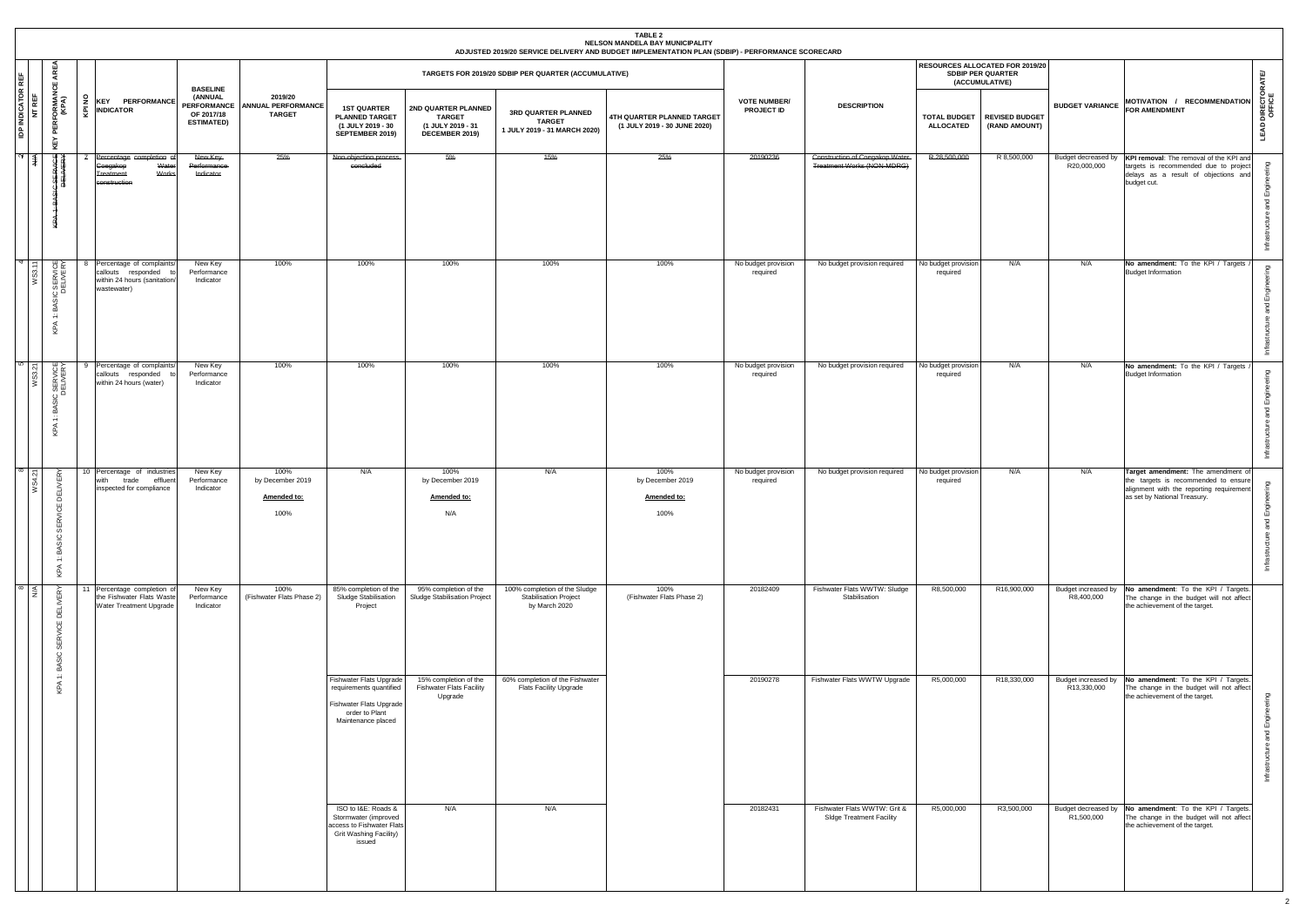|                                  |                                                                       |                  |                                                                                                   |                                                                              |                                                       |                                                                                                                       |                                                                             |                                                                                | <b>TABLE 2</b><br>NELSON MANDELA BAY MUNICIPALITY<br>ADJUSTED 2019/20 SERVICE DELIVERY AND BUDGET IMPLEMENTATION PLAN (SDBIP) - PERFORMANCE SCORECARD |                                          |                                                                 |                                         |                                                                               |                                    |                                                                                                                                                        |                                                  |
|----------------------------------|-----------------------------------------------------------------------|------------------|---------------------------------------------------------------------------------------------------|------------------------------------------------------------------------------|-------------------------------------------------------|-----------------------------------------------------------------------------------------------------------------------|-----------------------------------------------------------------------------|--------------------------------------------------------------------------------|-------------------------------------------------------------------------------------------------------------------------------------------------------|------------------------------------------|-----------------------------------------------------------------|-----------------------------------------|-------------------------------------------------------------------------------|------------------------------------|--------------------------------------------------------------------------------------------------------------------------------------------------------|--------------------------------------------------|
| 뺱                                | ARE<br>්                                                              |                  |                                                                                                   |                                                                              |                                                       |                                                                                                                       |                                                                             | TARGETS FOR 2019/20 SDBIP PER QUARTER (ACCUMULATIVE)                           |                                                                                                                                                       |                                          |                                                                 |                                         | RESOURCES ALLOCATED FOR 2019/20<br><b>SDBIP PER QUARTER</b><br>(ACCUMULATIVE) |                                    |                                                                                                                                                        | <b>IATE</b>                                      |
| <b>IDP INDICATOR I</b><br>NT REF | <b>ORMAN</b><br>(KPA)<br>PER<br>KEY<br>                               | $\epsilon$<br>ē. | <b>KEY PERFORMANCE</b><br><b>INDICATOR</b>                                                        | <b>BASELINE</b><br>(ANNUAL<br>PERFORMANCE<br>OF 2017/18<br><b>ESTIMATED)</b> | 2019/20<br><b>ANNUAL PERFORMANCE</b><br><b>TARGET</b> | <b>1ST QUARTER</b><br><b>PLANNED TARGET</b><br>(1 JULY 2019 - 30<br>SEPTEMBER 2019)                                   | 2ND QUARTER PLANNED<br><b>TARGET</b><br>(1 JULY 2019 - 31<br>DECEMBER 2019) | 3RD QUARTER PLANNED<br><b>TARGET</b><br>1 JULY 2019 - 31 MARCH 2020)           | <b>4TH QUARTER PLANNED TARGET</b><br>(1 JULY 2019 - 30 JUNE 2020)                                                                                     | <b>VOTE NUMBER/</b><br><b>PROJECT ID</b> | <b>DESCRIPTION</b>                                              | <b>TOTAL BUDGET</b><br><b>ALLOCATED</b> | <b>REVISED BUDGET</b><br>(RAND AMOUNT)                                        | <b>BUDGET VARIANCE</b>             | MOTIVATION / RECOMMENDATION<br><b>FOR AMENDMENT</b>                                                                                                    | <b>LEAD DIRECTORA</b><br>OFFICE                  |
| $\overline{N}$ $\uparrow$        | ₩≵<br>计学<br>븇                                                         |                  | Percentage completion o<br>Water<br>Coegakop<br>Works<br><b>Treatment</b><br>construction         | New Key-<br>Performance-<br>Indicator                                        | 25%                                                   | Non-objection process<br>concluded                                                                                    | 5%                                                                          | 15%                                                                            | 25%                                                                                                                                                   | 20190236                                 | Construction of Coegakop Water<br>Treatment Works (NON-MDRG)    | R 28,500,000                            | R 8,500,000                                                                   | Budget decreased by<br>R20,000,000 | KPI removal: The removal of the KPI and<br>targets is recommended due to project<br>delays as a result of objections and<br>budget cut.                | $\mathbf{g}$<br>astructure and Engir             |
|                                  | ₩⋩<br>) SERVIC<br>DELIVER<br>BAS<br>$\div$<br>KPA                     |                  | Percentage of complaints/<br>callouts responded to<br>within 24 hours (sanitation/<br>wastewater) | New Key<br>Performance<br>Indicator                                          | 100%                                                  | 100%                                                                                                                  | 100%                                                                        | 100%                                                                           | 100%                                                                                                                                                  | No budget provision<br>required          | No budget provision required                                    | No budget provision<br>required         | N/A                                                                           | N/A                                | No amendment: To the KPI / Targets<br><b>Budget Information</b>                                                                                        | guin<br>cture and Engine                         |
|                                  | ₩⋩<br>CSERVICE<br>BAS<br>$\div$<br>KPA                                | 9                | Percentage of complaints/<br>callouts responded<br>within 24 hours (water)                        | New Key<br>Performance<br>Indicator                                          | 100%                                                  | 100%                                                                                                                  | 100%                                                                        | 100%                                                                           | 100%                                                                                                                                                  | No budget provision<br>required          | No budget provision required                                    | No budget provision<br>required         | N/A                                                                           | N/A                                | No amendment: To the KPI / Targets<br><b>Budget Information</b>                                                                                        | ucture and Engineering<br>Infrastr               |
| $\infty$                         | $\propto$<br><b>DELIVE</b><br>Ю<br>₩<br>SIC<br>5<br>÷<br>$\prec$<br>오 |                  | 10 Percentage of industries<br>with<br>trade<br>effluent<br>inspected for compliance              | New Key<br>Performance<br>Indicator                                          | 100%<br>by December 2019<br>Amended to:<br>100%       | N/A                                                                                                                   | 100%<br>by December 2019<br>Amended to:<br>N/A                              | N/A                                                                            | 100%<br>by December 2019<br>Amended to:<br>100%                                                                                                       | No budget provision<br>required          | No budget provision required                                    | No budget provision<br>required         | N/A                                                                           | N/A                                | Target amendment: The amendment of<br>the targets is recommended to ensure<br>alignment with the reporting requirement<br>as set by National Treasury. | gni <sup>.</sup><br>d Engi<br>ucture<br>Infrastr |
|                                  | ≤<br><b>DELIVERY</b><br>٣Ū<br>⋧<br>55<br>$\circ$<br>മ്                | 11               | Percentage completion of<br>the Fishwater Flats Waste<br>Water Treatment Upgrade                  | New Key<br>Performance<br>Indicator                                          | 100%<br>(Fishwater Flats Phase 2)                     | 85% completion of the<br>Sludge Stabilisation<br>Project                                                              | 95% completion of the<br>Sludge Stabilisation Project                       | 100% completion of the Sludge<br><b>Stabilisation Project</b><br>by March 2020 | 100%<br>(Fishwater Flats Phase 2)                                                                                                                     | 20182409                                 | Fishwater Flats WWTW: Sludge<br>Stabilisation                   | R8,500,000                              | R16,900,000                                                                   | R8,400,000                         | Budget increased by No amendment: To the KPI / Targets.<br>The change in the budget will not affect<br>the achievement of the target.                  |                                                  |
|                                  | ≕<br>$\blacktriangleleft$<br>운                                        |                  |                                                                                                   |                                                                              |                                                       | Fishwater Flats Upgrade<br>requirements quantified<br>Fishwater Flats Upgrade<br>order to Plant<br>Maintenance placed | 15% completion of the<br><b>Fishwater Flats Facility</b><br>Upgrade         | 60% completion of the Fishwater<br>Flats Facility Upgrade                      |                                                                                                                                                       | 20190278                                 | Fishwater Flats WWTW Upgrade                                    | R5,000,000                              | R18,330,000                                                                   | R13,330,000                        | Budget increased by No amendment: To the KPI / Targets.<br>The change in the budget will not affect<br>the achievement of the target.                  | ucture and Engineering<br>Infrastru              |
|                                  |                                                                       |                  |                                                                                                   |                                                                              |                                                       | ISO to I&E: Roads &<br>Stormwater (improved<br>access to Fishwater Flats<br>Grit Washing Facility)<br>issued          | N/A                                                                         | N/A                                                                            |                                                                                                                                                       | 20182431                                 | Fishwater Flats WWTW: Grit &<br><b>SIdge Treatment Facility</b> | R5,000,000                              | R3,500,000                                                                    | R <sub>1</sub> ,500,000            | Budget decreased by No amendment: To the KPI / Targets.<br>The change in the budget will not affect<br>the achievement of the target.                  |                                                  |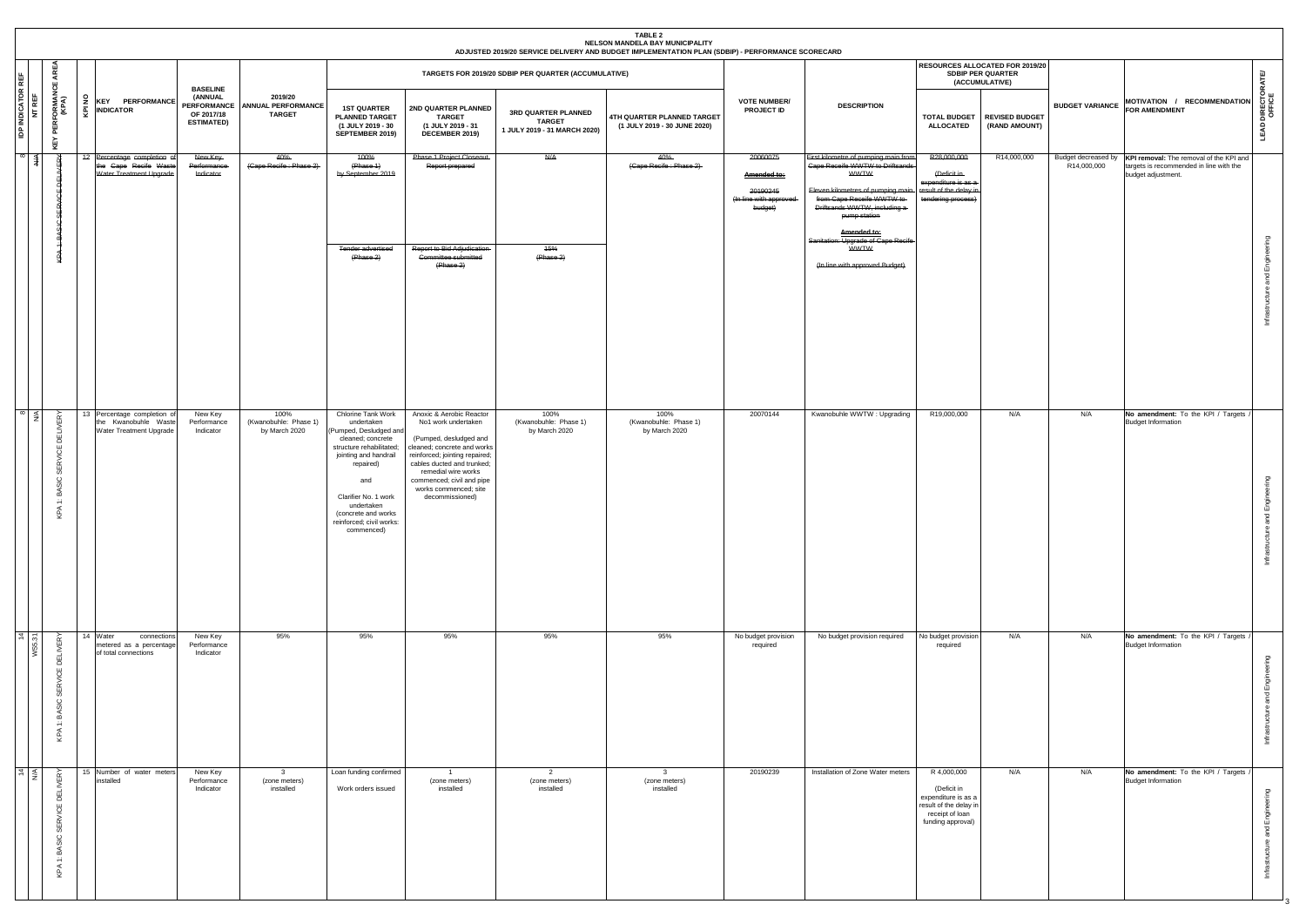| <b>BASELINE</b><br>(ANNUAL<br>2019/20<br>$\frac{9}{2}$<br><b>KEY PERFORMANCE</b><br><b>PERFORMANCE</b><br><b>ANNUAL PERFORMANCE</b><br><b>1ST QUARTER</b><br>2ND QUARTER PLANNED<br>$\underline{\overline{Q}}$ INDICATOR<br>OF 2017/18<br><b>TARGET</b><br><b>PLANNED TARGET</b><br><b>TARGET</b><br><b>ESTIMATED)</b><br>(1 JULY 2019 - 30<br>(1 JULY 2019 - 31<br>SEPTEMBER 2019)<br>DECEMBER 2019)<br>42 Percentage completion of<br>40%<br>Phase 1 Project Closeout<br>New Key<br>400%<br>the Cape Recife Waste<br>(Cape Recife: Phase 2)<br>(Phase 1)<br>Report prepared<br>Performance<br>Water Treatment Upgrade<br>by September 2019<br>Indicator |  |                                            |                                                                                                                                                                                                                                                                 |                                                                                                                                                                                                                                                                          | TARGETS FOR 2019/20 SDBIP PER QUARTER (ACCUMULATIVE)<br>3RD QUARTER PLANNED<br><b>TARGET</b><br>1 JULY 2019 - 31 MARCH 2020)<br>$\overline{A}$ | TABLE 2<br>NELSON MANDELA BAY MUNICIPALITY<br>ADJUSTED 2019/20 SERVICE DELIVERY AND BUDGET IMPLEMENTATION PLAN (SDBIP) - PERFORMANCE SCORECARD<br>4TH QUARTER PLANNED TARGET<br>(1 JULY 2019 - 30 JUNE 2020)<br>40%<br>(Cape Recife: Phase 2) | <b>VOTE NUMBER/</b><br>PROJECT ID<br>20060075<br>Amended to:<br>20190245<br>(In line with approved | <b>DESCRIPTION</b><br>First kilometre of pumping main from<br>Cape Receife WWTW to Driftsands<br><b>WWTW</b><br>Eleven kilometres of pumping main<br>from Cape Receife WWTW to- | RESOURCES ALLOCATED FOR 2019/20<br>SDBIP PER QUARTER<br>(ACCUMULATIVE)<br><b>TOTAL BUDGET</b><br><b>ALLOCATED</b><br>R28,000,000<br>(Deficit in<br>expenditure is as a-<br>result of the delay ir<br>tendering process) | <b>REVISED BUDGET</b><br>(RAND AMOUNT)<br>R14,000,000 | <b>BUDGET VARIANCE</b><br>Budget decreased by<br>R14,000,000 | MOTIVATION / RECOMMENDATION<br><b>FOR AMENDMENT</b><br>KPI removal: The removal of the KPI and<br>targets is recommended in line with the<br>budget adjustment. | <b>LEAD DIRECTORATE/</b><br>OFFICE   |
|-----------------------------------------------------------------------------------------------------------------------------------------------------------------------------------------------------------------------------------------------------------------------------------------------------------------------------------------------------------------------------------------------------------------------------------------------------------------------------------------------------------------------------------------------------------------------------------------------------------------------------------------------------------|--|--------------------------------------------|-----------------------------------------------------------------------------------------------------------------------------------------------------------------------------------------------------------------------------------------------------------------|--------------------------------------------------------------------------------------------------------------------------------------------------------------------------------------------------------------------------------------------------------------------------|------------------------------------------------------------------------------------------------------------------------------------------------|-----------------------------------------------------------------------------------------------------------------------------------------------------------------------------------------------------------------------------------------------|----------------------------------------------------------------------------------------------------|---------------------------------------------------------------------------------------------------------------------------------------------------------------------------------|-------------------------------------------------------------------------------------------------------------------------------------------------------------------------------------------------------------------------|-------------------------------------------------------|--------------------------------------------------------------|-----------------------------------------------------------------------------------------------------------------------------------------------------------------|--------------------------------------|
| <b>Tender advertised</b><br>(Phase 2)                                                                                                                                                                                                                                                                                                                                                                                                                                                                                                                                                                                                                     |  |                                            |                                                                                                                                                                                                                                                                 | Report to Bid Adjudication<br>Committee submitted<br>(Phase 2)                                                                                                                                                                                                           | <b>45%</b><br>(Phase 2)                                                                                                                        |                                                                                                                                                                                                                                               | budget)                                                                                            | Driftsands WWTW, including a<br>pump station<br>Amended to:<br>Sanitation: Upgrade of Cape Recife<br><b>WWTW</b><br>(In line with approved Budget)                              |                                                                                                                                                                                                                         |                                                       |                                                              |                                                                                                                                                                 | Infrastructure and Engineering       |
| 100%<br>13 Percentage completion o<br>New Key<br>the Kwanobuhle Waste<br>(Kwanobuhle: Phase 1)<br>Performance<br>Water Treatment Upgrade<br>by March 2020<br>Indicator                                                                                                                                                                                                                                                                                                                                                                                                                                                                                    |  |                                            | Chlorine Tank Work<br>undertaken<br>(Pumped, Desludged and<br>cleaned; concrete<br>structure rehabilitated;<br>jointing and handrail<br>repaired)<br>and<br>Clarifier No. 1 work<br>undertaken<br>(concrete and works<br>reinforced; civil works:<br>commenced) | Anoxic & Aerobic Reactor<br>No1 work undertaken<br>(Pumped, desludged and<br>cleaned; concrete and works<br>reinforced; jointing repaired;<br>cables ducted and trunked;<br>remedial wire works<br>commenced; civil and pipe<br>works commenced; site<br>decommissioned) | 100%<br>(Kwanobuhle: Phase 1)<br>by March 2020                                                                                                 | 100%<br>(Kwanobuhle: Phase 1)<br>by March 2020                                                                                                                                                                                                | 20070144                                                                                           | Kwanobuhle WWTW: Upgrading                                                                                                                                                      | R19,000,000                                                                                                                                                                                                             | N/A                                                   | N/A                                                          | No amendment: To the KPI / Targets<br><b>Budget Information</b>                                                                                                 | nd Engineering<br>ucture<br>Infrastr |
| 14 Water<br>New Key<br>connections<br>Performance<br>metered as a percentage<br>of total connections<br>Indicator                                                                                                                                                                                                                                                                                                                                                                                                                                                                                                                                         |  | 95%                                        | 95%                                                                                                                                                                                                                                                             | 95%                                                                                                                                                                                                                                                                      | 95%                                                                                                                                            | 95%                                                                                                                                                                                                                                           | No budget provision<br>required                                                                    | No budget provision required                                                                                                                                                    | No budget provision<br>required                                                                                                                                                                                         | N/A                                                   | N/A                                                          | No amendment: To the KPI / Targets<br><b>Budget Information</b>                                                                                                 | and Engineering<br>cture<br>Infrasti |
| 15 Number of water meters<br>New Key<br>installed<br>Performance<br>Indicator                                                                                                                                                                                                                                                                                                                                                                                                                                                                                                                                                                             |  | $\mathbf{3}$<br>(zone meters)<br>installed | Loan funding confirmed<br>Work orders issued                                                                                                                                                                                                                    | $\overline{1}$<br>(zone meters)<br>installed                                                                                                                                                                                                                             | $\overline{2}$<br>(zone meters)<br>installed                                                                                                   | $\mathbf{3}$<br>(zone meters)<br>installed                                                                                                                                                                                                    | 20190239                                                                                           | Installation of Zone Water meters                                                                                                                                               | R 4,000,000<br>(Deficit in<br>expenditure is as a<br>result of the delay in<br>receipt of loan<br>funding approval)                                                                                                     | N/A                                                   | N/A                                                          | No amendment: To the KPI / Targets /<br><b>Budget Information</b>                                                                                               | astructure and Engineering           |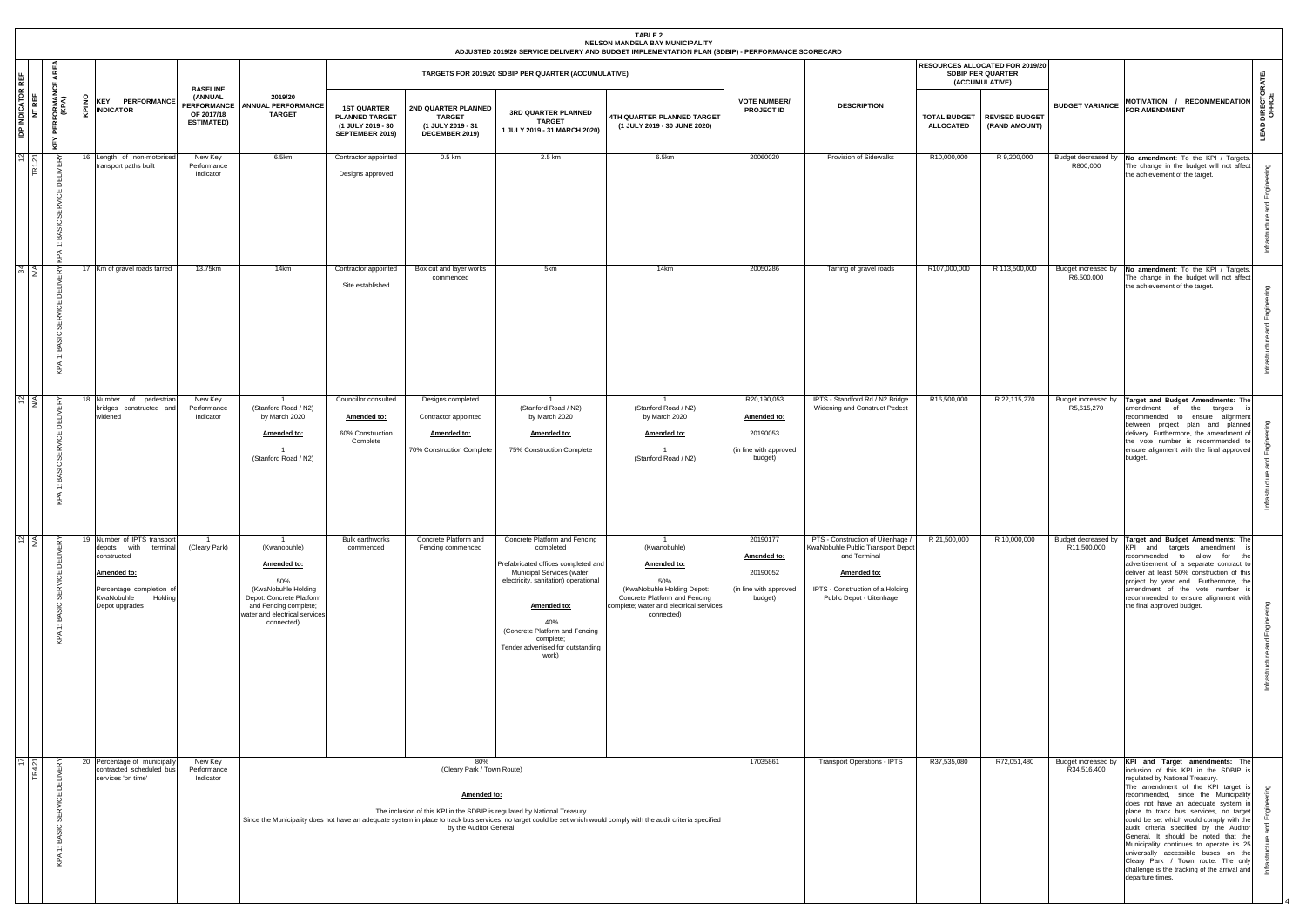|                                                |                                                                 |        |                                                                           |                                                                                |                                                                                     |                                                                                                                                                                                 |                                                                                     |                                                                                       |                                                                                                                                                                                                                                                                            | <b>TABLE 2</b><br>NELSON MANDELA BAY MUNICIPALITY<br>ADJUSTED 2019/20 SERVICE DELIVERY AND BUDGET IMPLEMENTATION PLAN (SDBIP) - PERFORMANCE SCORECARD                        |                                                                             |                                                                                                                                                                        |                  |                                                                               |                                   |                                                                                                                                                                                                                                                                                                                                                                                                                                                                                                                                                                                                                          |                               |
|------------------------------------------------|-----------------------------------------------------------------|--------|---------------------------------------------------------------------------|--------------------------------------------------------------------------------|-------------------------------------------------------------------------------------|---------------------------------------------------------------------------------------------------------------------------------------------------------------------------------|-------------------------------------------------------------------------------------|---------------------------------------------------------------------------------------|----------------------------------------------------------------------------------------------------------------------------------------------------------------------------------------------------------------------------------------------------------------------------|------------------------------------------------------------------------------------------------------------------------------------------------------------------------------|-----------------------------------------------------------------------------|------------------------------------------------------------------------------------------------------------------------------------------------------------------------|------------------|-------------------------------------------------------------------------------|-----------------------------------|--------------------------------------------------------------------------------------------------------------------------------------------------------------------------------------------------------------------------------------------------------------------------------------------------------------------------------------------------------------------------------------------------------------------------------------------------------------------------------------------------------------------------------------------------------------------------------------------------------------------------|-------------------------------|
| ١Ë                                             | €<br>쁑                                                          |        |                                                                           |                                                                                |                                                                                     |                                                                                                                                                                                 |                                                                                     |                                                                                       | TARGETS FOR 2019/20 SDBIP PER QUARTER (ACCUMULATIVE)                                                                                                                                                                                                                       |                                                                                                                                                                              |                                                                             |                                                                                                                                                                        |                  | RESOURCES ALLOCATED FOR 2019/20<br><b>SDBIP PER QUARTER</b><br>(ACCUMULATIVE) |                                   |                                                                                                                                                                                                                                                                                                                                                                                                                                                                                                                                                                                                                          |                               |
| <b>INDICATOR I</b><br>NT REF<br>$\overline{a}$ | <b>PERFORMAN</b><br>(KPA)<br>집<br>⊻                             | £<br>ᅀ | <b>INDICATOR</b>                                                          | <b>KEY PERFORMANCE</b>                                                         | <b>BASELINE</b><br>(ANNUAL<br><b>PERFORMANCE</b><br>OF 2017/18<br><b>ESTIMATED)</b> | 2019/20<br><b>ANNUAL PERFORMANCE</b><br><b>TARGET</b>                                                                                                                           | <b>1ST QUARTER</b><br><b>PLANNED TARGET</b><br>(1 JULY 2019 - 30<br>SEPTEMBER 2019) | 2ND QUARTER PLANNED<br><b>TARGET</b><br>(1 JULY 2019 - 31<br>DECEMBER 2019)           | 3RD QUARTER PLANNED<br><b>TARGET</b><br>1 JULY 2019 - 31 MARCH 2020)                                                                                                                                                                                                       | 4TH QUARTER PLANNED TARGET<br>(1 JULY 2019 - 30 JUNE 2020)                                                                                                                   | <b>VOTE NUMBER/</b><br>PROJECT ID                                           | <b>DESCRIPTION</b>                                                                                                                                                     | <b>ALLOCATED</b> | TOTAL BUDGET   REVISED BUDGET<br>(RAND AMOUNT)                                | <b>BUDGET VARIANCE</b>            | MOTIVATION / RECOMMENDATION<br><b>FOR AMENDMENT</b>                                                                                                                                                                                                                                                                                                                                                                                                                                                                                                                                                                      | DIRECTO<br>OFFICE<br>LEAD     |
| $\frac{N}{2}$ $\frac{1}{2}$                    | <b>DELIVERY</b><br><b>SERVICE</b><br>BASIC<br>$\ddot{ }$<br>KPA |        |                                                                           | 16 Length of non-motorised<br>transport paths built                            | New Key<br>Performance<br>Indicator                                                 | 6.5km                                                                                                                                                                           | Contractor appointed<br>Designs approved                                            | 0.5 km                                                                                | 2.5 km                                                                                                                                                                                                                                                                     | 6.5km                                                                                                                                                                        | 20060020                                                                    | <b>Provision of Sidewalks</b>                                                                                                                                          | R10,000,000      | R 9,200,000                                                                   | R800.000                          | Budget decreased by No amendment: To the KPI / Targets.<br>The change in the budget will not affect<br>the achievement of the target.                                                                                                                                                                                                                                                                                                                                                                                                                                                                                    | ഇ<br>Engi<br>ੁ                |
| त्रा≤                                          | <b>DELIVERY</b><br><b>SERVICE</b><br>BASIC:<br>$\div$<br>KPA    |        |                                                                           | 17 Km of gravel roads tarred                                                   | 13.75km                                                                             | 14km                                                                                                                                                                            | Contractor appointed<br>Site established                                            | Box cut and layer works<br>commenced                                                  | 5km                                                                                                                                                                                                                                                                        | 14km                                                                                                                                                                         | 20050286                                                                    | Tarring of gravel roads                                                                                                                                                | R107,000,000     | R 113,500,000                                                                 | R6,500,000                        | Budget increased by No amendment: To the KPI / Targets.<br>The change in the budget will not affect<br>the achievement of the target.                                                                                                                                                                                                                                                                                                                                                                                                                                                                                    | ρ<br>ᅙ                        |
| $\frac{2}{\alpha}$                             | <b>DELIVERY</b><br><b>SERVICE</b><br>BASIC<br>$\ddot{ }$<br>KPA |        | widened                                                                   | 18 Number of pedestrian<br>bridges constructed and                             | New Key<br>Performance<br>Indicator                                                 | (Stanford Road / N2)<br>by March 2020<br>Amended to:<br>- 1<br>(Stanford Road / N2)                                                                                             | Councillor consulted<br>Amended to:<br>60% Construction<br>Complete                 | Designs completed<br>Contractor appointed<br>Amended to:<br>70% Construction Complete | (Stanford Road / N2)<br>by March 2020<br>Amended to:<br>75% Construction Complete                                                                                                                                                                                          | $\overline{1}$<br>(Stanford Road / N2)<br>by March 2020<br>Amended to:<br>$\overline{1}$<br>(Stanford Road / N2)                                                             | R20,190,053<br>Amended to:<br>20190053<br>(in line with approved<br>budget) | IPTS - Standford Rd / N2 Bridge<br>Widening and Construct Pedest                                                                                                       | R16,500,000      | R 22,115,270                                                                  | Budget increased by<br>R5,615,270 | Target and Budget Amendments: The<br>amendment of the<br>targets<br>recommended to ensure alignment<br>between project plan and planned<br>delivery. Furthermore, the amendment o<br>the vote number is recommended to<br>ensure alignment with the final approved<br>budget.                                                                                                                                                                                                                                                                                                                                            | ၟႜ                            |
| $\sim$ $\leq$                                  | <b>DELIVERY</b><br><b>SERVICE</b><br>1: BASIC 3<br>KPA          |        | depots with<br>constructed<br>Amended to:<br>KwaNobuhle<br>Depot upgrades | 19 Number of IPTS transport<br>terminal<br>Percentage completion of<br>Holding | $\overline{1}$<br>(Cleary Park)                                                     | $\overline{1}$<br>(Kwanobuhle)<br>Amended to:<br>50%<br>(KwaNobuhle Holding<br>Depot: Concrete Platform<br>and Fencing complete;<br>water and electrical services<br>connected) | <b>Bulk earthworks</b><br>commenced                                                 | Concrete Platform and<br>Fencing commenced                                            | Concrete Platform and Fencing<br>completed<br>Prefabricated offices completed and<br>Municipal Services (water,<br>electricity, sanitation) operational<br>Amended to:<br>40%<br>(Concrete Platform and Fencing<br>complete;<br>Tender advertised for outstanding<br>work) | $\overline{1}$<br>(Kwanobuhle)<br>Amended to:<br>50%<br>(KwaNobuhle Holding Depot:<br>Concrete Platform and Fencing<br>complete; water and electrical services<br>connected) | 20190177<br>Amended to:<br>20190052<br>(in line with approved<br>budget)    | IPTS - Construction of Uitenhage /<br>KwaNobuhle Public Transport Depot<br>and Terminal<br>Amended to:<br>IPTS - Construction of a Holding<br>Public Depot - Uitenhage | R 21,500,000     | R 10,000,000                                                                  | R11,500,000                       | Budget decreased by Target and Budget Amendments: The<br>KPI and targets amendment<br>recommended to allow for the<br>advertisement of a separate contract to<br>deliver at least 50% construction of this<br>project by year end. Furthermore, the<br>amendment of the vote number<br>recommended to ensure alignment with<br>the final approved budget.                                                                                                                                                                                                                                                                | ဥ<br>ш<br>$\overline{\sigma}$ |
| $\overline{5}$ $\overline{z}$                  | <b>DELIVERY</b><br><b>SERVICE</b><br>BASIC:<br>$\div$<br>KPA    |        | services 'on time'                                                        | 20 Percentage of municipally<br>contracted scheduled bus                       | New Key<br>Performance<br>Indicator                                                 |                                                                                                                                                                                 |                                                                                     | 80%<br>(Cleary Park / Town Route)<br>Amended to:<br>by the Auditor General.           | The inclusion of this KPI in the SDBIP is regulated by National Treasury.                                                                                                                                                                                                  | Since the Municipality does not have an adequate system in place to track bus services, no target could be set which would comply with the audit criteria specified          | 17035861                                                                    | <b>Transport Operations - IPTS</b>                                                                                                                                     | R37,535,080      | R72,051,480                                                                   | R34,516,400                       | Budget increased by KPI and Target amendments: The<br>inclusion of this KPI in the SDBIP is<br>regulated by National Treasury.<br>The amendment of the KPI target is<br>recommended, since the Municipality<br>does not have an adequate system in<br>place to track bus services, no target<br>could be set which would comply with the<br>audit criteria specified by the Auditor<br>General. It should be noted that the<br>Municipality continues to operate its 25<br>universally accessible buses on the<br>Cleary Park / Town route. The only<br>challenge is the tracking of the arrival and<br>departure times. | ഊ                             |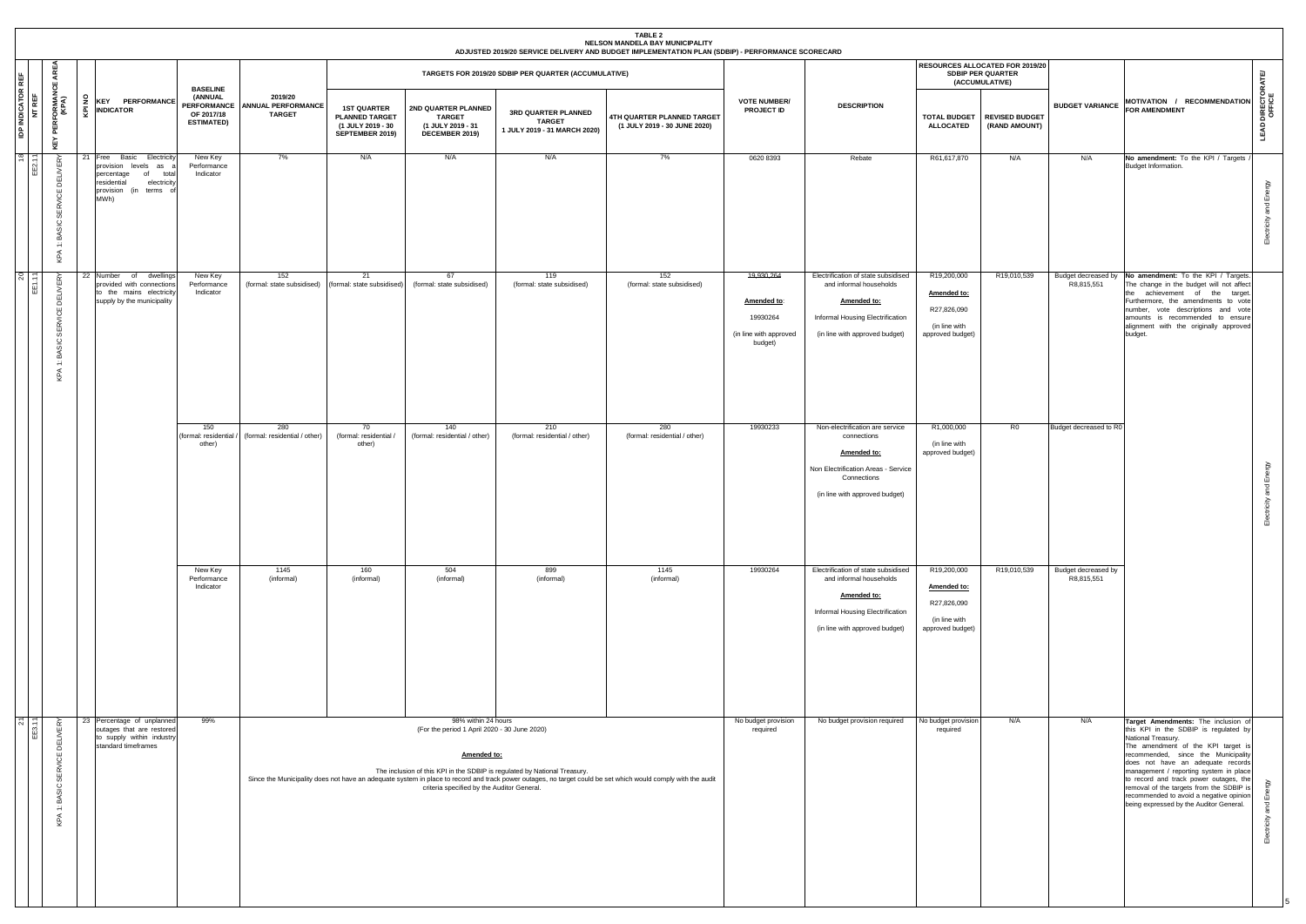|                                    |          |                                                                   |                                                                                                                                                  |                                                                                     |                                                |                                                                                     |                                                                                                                                  |                                                                           | <b>TABLE 2</b><br>NELSON MANDELA BAY MUNICIPALITY<br>ADJUSTED 2019/20 SERVICE DELIVERY AND BUDGET IMPLEMENTATION PLAN (SDBIP) - PERFORMANCE SCORECARD        |                                                                            |                                                                                                                                                       |                                                                                |                                                                               |                                   |                                                                                                                                                                                                                                                                                                                                                                                                                                            |                                    |
|------------------------------------|----------|-------------------------------------------------------------------|--------------------------------------------------------------------------------------------------------------------------------------------------|-------------------------------------------------------------------------------------|------------------------------------------------|-------------------------------------------------------------------------------------|----------------------------------------------------------------------------------------------------------------------------------|---------------------------------------------------------------------------|--------------------------------------------------------------------------------------------------------------------------------------------------------------|----------------------------------------------------------------------------|-------------------------------------------------------------------------------------------------------------------------------------------------------|--------------------------------------------------------------------------------|-------------------------------------------------------------------------------|-----------------------------------|--------------------------------------------------------------------------------------------------------------------------------------------------------------------------------------------------------------------------------------------------------------------------------------------------------------------------------------------------------------------------------------------------------------------------------------------|------------------------------------|
|                                    | AREA     |                                                                   |                                                                                                                                                  |                                                                                     |                                                |                                                                                     |                                                                                                                                  | TARGETS FOR 2019/20 SDBIP PER QUARTER (ACCUMULATIVE)                      |                                                                                                                                                              |                                                                            |                                                                                                                                                       |                                                                                | RESOURCES ALLOCATED FOR 2019/20<br><b>SDBIP PER QUARTER</b><br>(ACCUMULATIVE) |                                   |                                                                                                                                                                                                                                                                                                                                                                                                                                            |                                    |
| <b>IDP INDICATOR REF</b><br>NT REF | ෪<br>KEY | <b>PERFORMANO</b><br>(KPA)                                        | 2 KEY PERFORMANCE<br><b>A</b><br>MDICATOR                                                                                                        | <b>BASELINE</b><br>(ANNUAL<br><b>PERFORMANCE</b><br>OF 2017/18<br><b>ESTIMATED)</b> | 2019/20<br>ANNUAL PERFORMANCE<br><b>TARGET</b> | <b>1ST QUARTER</b><br><b>PLANNED TARGET</b><br>(1 JULY 2019 - 30<br>SEPTEMBER 2019) | 2ND QUARTER PLANNED<br><b>TARGET</b><br>(1 JULY 2019 - 31<br>DECEMBER 2019)                                                      | 3RD QUARTER PLANNED<br><b>TARGET</b><br>1 JULY 2019 - 31 MARCH 2020)      | 4TH QUARTER PLANNED TARGET<br>(1 JULY 2019 - 30 JUNE 2020)                                                                                                   | <b>VOTE NUMBER/</b><br><b>PROJECT ID</b>                                   | <b>DESCRIPTION</b>                                                                                                                                    | <b>TOTAL BUDGET</b><br><b>ALLOCATED</b>                                        | <b>REVISED BUDGET</b><br>(RAND AMOUNT)                                        | <b>BUDGET VARIANCE</b>            | MOTIVATION / RECOMMENDATION<br><b>FOR AMENDMENT</b>                                                                                                                                                                                                                                                                                                                                                                                        | <b>LEAD DIRECTORATE/</b><br>OFFICE |
| $\frac{8}{5}$ =                    |          | <b>DELIVERY</b><br>BASIC SERVICE<br>$\leftarrow$<br>KPA           | 21 Free Basic<br>Electricity<br>provision levels as<br>of<br>percentage<br>total<br>residential<br>electricity<br>provision (in terms of<br>MWh) | New Key<br>Performance<br>Indicator                                                 | 7%                                             | N/A                                                                                 | N/A                                                                                                                              | N/A                                                                       | 7%                                                                                                                                                           | 0620 8393                                                                  | Rebate                                                                                                                                                | R61,617,870                                                                    | N/A                                                                           | N/A                               | No amendment: To the KPI / Targets<br>Budget Information.                                                                                                                                                                                                                                                                                                                                                                                  | Electricity and Energy             |
| $2^{\circ}$ =                      |          | <b>DELIVERY</b><br><b>SERVICE</b><br>BASIC<br>$\leftarrow$<br>KPA | 22 Number of<br>dwellings<br>provided with connections<br>to the mains electricity<br>supply by the municipality                                 | New Key<br>Performance<br>Indicator                                                 | 152<br>(formal: state subsidised)              | 21<br>(formal: state subsidised)                                                    | 67<br>(formal: state subsidised)                                                                                                 | 119<br>(formal: state subsidised)                                         | 152<br>(formal: state subsidised)                                                                                                                            | 19,930,264<br>Amended to:<br>19930264<br>(in line with approved<br>budget) | Electrification of state subsidised<br>and informal households<br>Amended to:<br>Informal Housing Electrification<br>(in line with approved budget)   | R19,200,000<br>Amended to:<br>R27,826,090<br>(in line with<br>approved budget) | R19,010,539                                                                   | Budget decreased by<br>R8,815,551 | No amendment: To the KPI / Targets.<br>The change in the budget will not affect<br>the achievement of the target.<br>Furthermore, the amendments to vote<br>number, vote descriptions and vote<br>amounts is recommended to ensure<br>alignment with the originally approved<br>budget.                                                                                                                                                    |                                    |
|                                    |          |                                                                   |                                                                                                                                                  | 150<br>formal: residential<br>other)                                                | 280<br>(formal: residential / other)           | 70<br>(formal: residential /<br>other)                                              | 140<br>(formal: residential / other)                                                                                             | 210<br>(formal: residential / other)                                      | 280<br>(formal: residential / other)                                                                                                                         | 19930233                                                                   | Non-electrification are service<br>connections<br>Amended to:<br>Non Electrification Areas - Service<br>Connections<br>(in line with approved budget) | R1,000,000<br>(in line with<br>approved budget)                                | R0                                                                            | Budget decreased to RO            |                                                                                                                                                                                                                                                                                                                                                                                                                                            | ctricity and Energy<br>面           |
|                                    |          |                                                                   |                                                                                                                                                  | New Key<br>Performance<br>Indicator                                                 | 1145<br>(informal)                             | 160<br>(informal)                                                                   | 504<br>(informal)                                                                                                                | 899<br>(informal)                                                         | 1145<br>(informal)                                                                                                                                           | 19930264                                                                   | Electrification of state subsidised<br>and informal households<br>Amended to:<br>Informal Housing Electrification<br>(in line with approved budget)   | R19,200,000<br>Amended to:<br>R27,826,090<br>(in line with<br>approved budget) | R19,010,539                                                                   | Budget decreased by<br>R8,815,551 |                                                                                                                                                                                                                                                                                                                                                                                                                                            |                                    |
| $\overline{\mathcal{N}}$           |          | SERVICE DELIVERY<br>KPA 1: BASIC                                  | 23 Percentage of unplanned<br>outages that are restored<br>to supply within industry<br>standard timeframes                                      | 99%                                                                                 |                                                |                                                                                     | 98% within 24 hours<br>(For the period 1 April 2020 - 30 June 2020)<br>Amended to:<br>criteria specified by the Auditor General. | The inclusion of this KPI in the SDBIP is regulated by National Treasury. | Since the Municipality does not have an adequate system in place to record and track power outages, no target could be set which would comply with the audit | No budget provision<br>required                                            | No budget provision required                                                                                                                          | No budget provision<br>required                                                | N/A                                                                           | N/A                               | Target Amendments: The inclusion of<br>this KPI in the SDBIP is regulated by<br>National Treasury.<br>The amendment of the KPI target is<br>recommended, since the Municipality<br>does not have an adequate records<br>management / reporting system in place<br>to record and track power outages, the<br>removal of the targets from the SDBIP is<br>recommended to avoid a negative opinion<br>being expressed by the Auditor General. | ΛΘι<br>lectricity and              |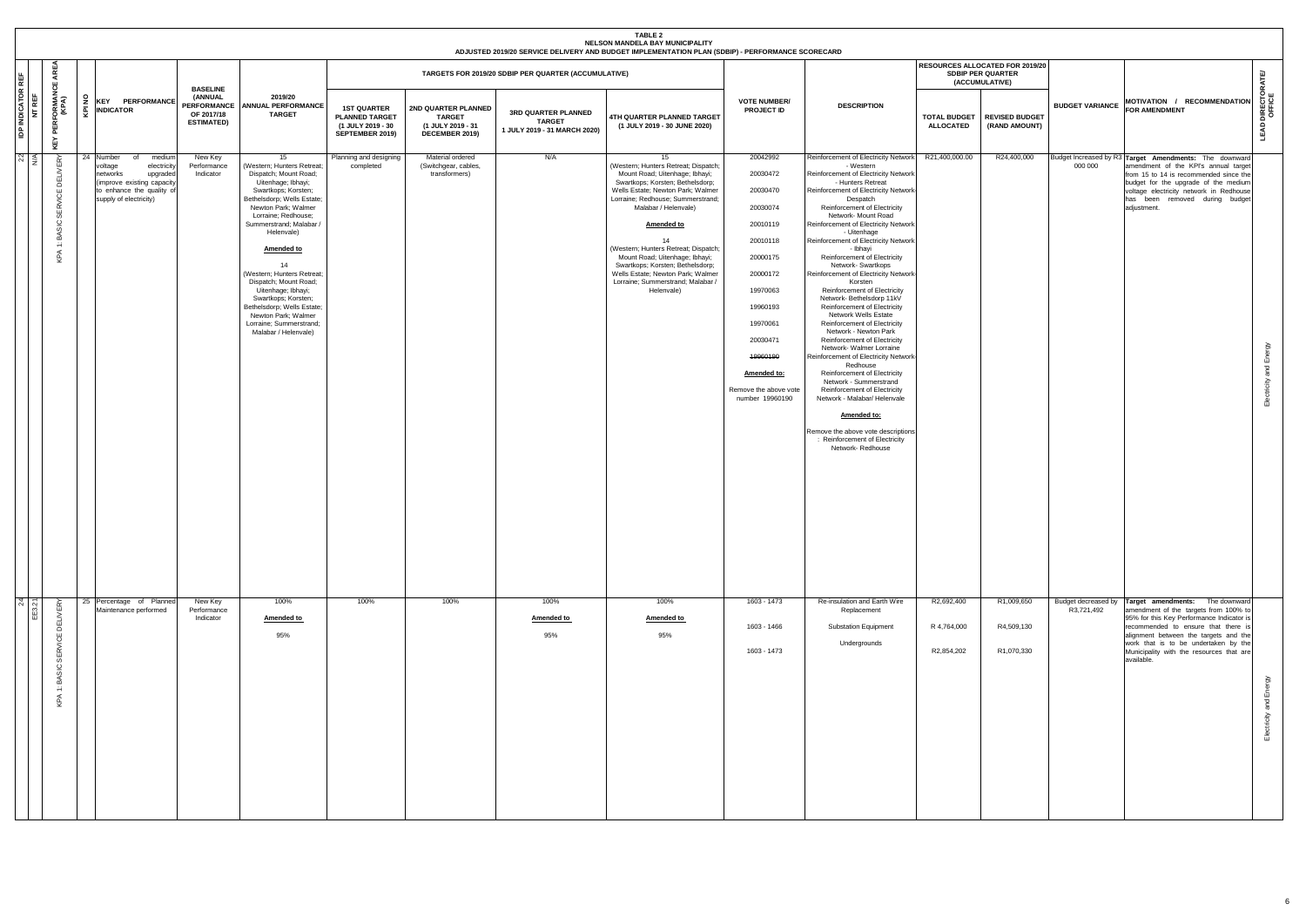|                                                                                                 |                                                                                                                                                                  |                                                                  |                                                                                                                                                                                                                                                                                                                                                                                                                                                             |                                                                                     |                                                                             |                                                                      | <b>TABLE 2</b><br>NELSON MANDELA BAY MUNICIPALITY<br>ADJUSTED 2019/20 SERVICE DELIVERY AND BUDGET IMPLEMENTATION PLAN (SDBIP) - PERFORMANCE SCORECARD                                                                                                                                                                                                                                                                                               |                                                                                                                                                                                                                     |                                                                                                                                                                                                                                                                                                                                                                                                                                                                                                                                                                                                                                                                                                                                                                                                                                                                                                                                                                                         |                                         |                                                                                      |                                   |                                                                                                                                                                                                                                                                                                         |                                    |
|-------------------------------------------------------------------------------------------------|------------------------------------------------------------------------------------------------------------------------------------------------------------------|------------------------------------------------------------------|-------------------------------------------------------------------------------------------------------------------------------------------------------------------------------------------------------------------------------------------------------------------------------------------------------------------------------------------------------------------------------------------------------------------------------------------------------------|-------------------------------------------------------------------------------------|-----------------------------------------------------------------------------|----------------------------------------------------------------------|-----------------------------------------------------------------------------------------------------------------------------------------------------------------------------------------------------------------------------------------------------------------------------------------------------------------------------------------------------------------------------------------------------------------------------------------------------|---------------------------------------------------------------------------------------------------------------------------------------------------------------------------------------------------------------------|-----------------------------------------------------------------------------------------------------------------------------------------------------------------------------------------------------------------------------------------------------------------------------------------------------------------------------------------------------------------------------------------------------------------------------------------------------------------------------------------------------------------------------------------------------------------------------------------------------------------------------------------------------------------------------------------------------------------------------------------------------------------------------------------------------------------------------------------------------------------------------------------------------------------------------------------------------------------------------------------|-----------------------------------------|--------------------------------------------------------------------------------------|-----------------------------------|---------------------------------------------------------------------------------------------------------------------------------------------------------------------------------------------------------------------------------------------------------------------------------------------------------|------------------------------------|
| AREA<br>REF<br>෪                                                                                |                                                                                                                                                                  | <b>BASELINE</b>                                                  |                                                                                                                                                                                                                                                                                                                                                                                                                                                             |                                                                                     |                                                                             | TARGETS FOR 2019/20 SDBIP PER QUARTER (ACCUMULATIVE)                 |                                                                                                                                                                                                                                                                                                                                                                                                                                                     |                                                                                                                                                                                                                     |                                                                                                                                                                                                                                                                                                                                                                                                                                                                                                                                                                                                                                                                                                                                                                                                                                                                                                                                                                                         |                                         | <b>RESOURCES ALLOCATED FOR 2019/20</b><br><b>SDBIP PER QUARTER</b><br>(ACCUMULATIVE) |                                   |                                                                                                                                                                                                                                                                                                         |                                    |
| <b>IDP INDICATOR F</b><br>NT REF<br>' PERFORMANO<br>(KPA)<br>KEY                                | ę<br>KEY PERFORMANCE<br><b>INDICATOR</b><br>ङ्                                                                                                                   | (ANNUAL<br><b>PERFORMANCE</b><br>OF 2017/18<br><b>ESTIMATED)</b> | 2019/20<br><b>ANNUAL PERFORMANCE</b><br><b>TARGET</b>                                                                                                                                                                                                                                                                                                                                                                                                       | <b>1ST QUARTER</b><br><b>PLANNED TARGET</b><br>(1 JULY 2019 - 30<br>SEPTEMBER 2019) | 2ND QUARTER PLANNED<br><b>TARGET</b><br>(1 JULY 2019 - 31<br>DECEMBER 2019) | 3RD QUARTER PLANNED<br><b>TARGET</b><br>1 JULY 2019 - 31 MARCH 2020) | 4TH QUARTER PLANNED TARGET<br>(1 JULY 2019 - 30 JUNE 2020)                                                                                                                                                                                                                                                                                                                                                                                          | <b>VOTE NUMBER/</b><br><b>PROJECT ID</b>                                                                                                                                                                            | <b>DESCRIPTION</b>                                                                                                                                                                                                                                                                                                                                                                                                                                                                                                                                                                                                                                                                                                                                                                                                                                                                                                                                                                      | <b>TOTAL BUDGET</b><br><b>ALLOCATED</b> | <b>REVISED BUDGET</b><br>(RAND AMOUNT)                                               | <b>BUDGET VARIANCE</b>            | MOTIVATION / RECOMMENDATION<br>FOR AMENDMENT                                                                                                                                                                                                                                                            | <b>LEAD DIRECTORATE/</b><br>OFFICE |
| $\approx$<br>E<br>SERVICE<br>BASIC<br>$\div$<br>KPA                                             | 24 Number<br>medium<br>of<br>voltage<br>electricity<br>networks<br>upgraded<br>(improve existing capacity<br>to enhance the quality of<br>supply of electricity) | New Key<br>Performance<br>Indicator                              | 15<br>(Western; Hunters Retreat;<br>Dispatch; Mount Road;<br>Uitenhage; Ibhayi;<br>Swartkops; Korsten;<br>Bethelsdorp; Wells Estate;<br>Newton Park; Walmer<br>Lorraine; Redhouse;<br>Summerstrand; Malabar /<br>Helenvale)<br>Amended to<br>14<br>(Western; Hunters Retreat;<br>Dispatch; Mount Road;<br>Uitenhage; Ibhayi;<br>Swartkops; Korsten;<br>Bethelsdorp; Wells Estate;<br>Newton Park; Walmer<br>Lorraine; Summerstrand;<br>Malabar / Helenvale) | Planning and designing<br>completed                                                 | Material ordered<br>(Switchgear, cables,<br>transformers)                   | N/A                                                                  | 15<br>(Western; Hunters Retreat; Dispatch;<br>Mount Road; Uitenhage; Ibhayi;<br>Swartkops; Korsten; Bethelsdorp;<br>Wells Estate; Newton Park; Walmer<br>Lorraine; Redhouse; Summerstrand;<br>Malabar / Helenvale)<br><b>Amended to</b><br>14<br>(Western; Hunters Retreat; Dispatch;<br>Mount Road; Uitenhage; Ibhayi;<br>Swartkops; Korsten; Bethelsdorp;<br>Wells Estate; Newton Park; Walmer<br>Lorraine; Summerstrand; Malabar /<br>Helenvale) | 20042992<br>20030472<br>20030470<br>20030074<br>20010119<br>20010118<br>20000175<br>20000172<br>19970063<br>19960193<br>19970061<br>20030471<br>19960190<br>Amended to:<br>Remove the above vote<br>number 19960190 | Reinforcement of Electricity Network<br>- Western<br>Reinforcement of Electricity Network<br>- Hunters Retreat<br>Reinforcement of Electricity Network<br>Despatch<br>Reinforcement of Electricity<br>Network- Mount Road<br>Reinforcement of Electricity Network<br>- Uitenhage<br>Reinforcement of Electricity Network<br>- Ibhayi<br>Reinforcement of Electricity<br>Network-Swartkops<br>Reinforcement of Electricity Network-<br>Korsten<br>Reinforcement of Electricity<br>Network-Bethelsdorp 11kV<br>Reinforcement of Electricity<br>Network Wells Estate<br>Reinforcement of Electricity<br>Network - Newton Park<br><b>Reinforcement of Electricity</b><br>Network- Walmer Lorraine<br>Reinforcement of Electricity Network-<br>Redhouse<br>Reinforcement of Electricity<br>Network - Summerstrand<br>Reinforcement of Electricity<br>Network - Malabar/ Helenvale<br>Amended to:<br>Remove the above vote descriptions<br>: Reinforcement of Electricity<br>Network-Redhouse | R21,400,000.00                          | R24,400,000                                                                          | Budget Increased by R3<br>000 000 | Target Amendments: The downward<br>amendment of the KPI's annual target<br>from 15 to 14 is recommended since the<br>budget for the upgrade of the medium<br>voltage electricity network in Redhouse<br>has been removed during budget<br>adjustment.                                                   | and Energy<br>city                 |
| $\frac{24}{21}$<br>$\approx$<br><b>DELIVE</b><br><b>SERVICE</b><br>BASIC<br>$\leftarrow$<br>KPA | 25 Percentage of Planned<br>Maintenance performed                                                                                                                | New Key<br>Performance<br>Indicator                              | 100%<br>Amended to<br>95%                                                                                                                                                                                                                                                                                                                                                                                                                                   | 100%                                                                                | 100%                                                                        | 100%<br>Amended to<br>95%                                            | 100%<br>Amended to<br>95%                                                                                                                                                                                                                                                                                                                                                                                                                           | 1603 - 1473<br>1603 - 1466<br>1603 - 1473                                                                                                                                                                           | Re-insulation and Earth Wire<br>Replacement<br><b>Substation Equipment</b><br>Undergrounds                                                                                                                                                                                                                                                                                                                                                                                                                                                                                                                                                                                                                                                                                                                                                                                                                                                                                              | R2,692,400<br>R 4,764,000<br>R2,854,202 | R1,009,650<br>R4,509,130<br>R1,070,330                                               | Budget decreased by<br>R3,721,492 | Target amendments: The downward<br>amendment of the targets from 100% to<br>95% for this Key Performance Indicator is<br>recommended to ensure that there is<br>alignment between the targets and the<br>work that is to be undertaken by the<br>Municipality with the resources that are<br>available. | ξġ<br>面<br>ang<br>₹                |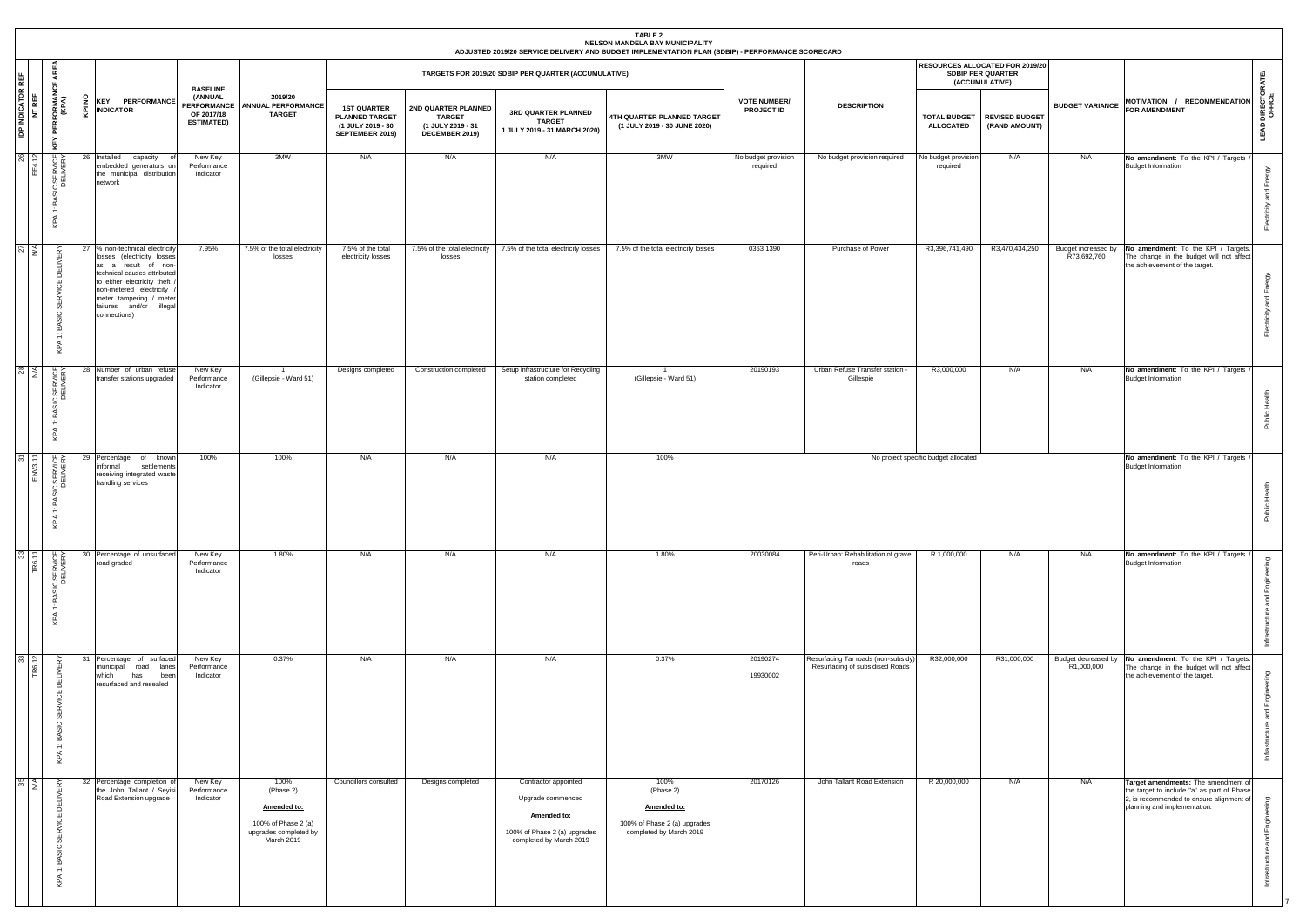|                                           |                                                          |    |                                                                                                                                                                                                                                                    |                                                               |                                                                                                |                                                                                     |                                                                             |                                                                                                                     | TABLE 2<br>NELSON MANDELA BAY MUNICIPALITY<br>ADJUSTED 2019/20 SERVICE DELIVERY AND BUDGET IMPLEMENTATION PLAN (SDBIP) - PERFORMANCE SCORECARD |                                          |                                                                        |                                         |                                                                                      |                                    |                                                                                                                                                               |                                  |
|-------------------------------------------|----------------------------------------------------------|----|----------------------------------------------------------------------------------------------------------------------------------------------------------------------------------------------------------------------------------------------------|---------------------------------------------------------------|------------------------------------------------------------------------------------------------|-------------------------------------------------------------------------------------|-----------------------------------------------------------------------------|---------------------------------------------------------------------------------------------------------------------|------------------------------------------------------------------------------------------------------------------------------------------------|------------------------------------------|------------------------------------------------------------------------|-----------------------------------------|--------------------------------------------------------------------------------------|------------------------------------|---------------------------------------------------------------------------------------------------------------------------------------------------------------|----------------------------------|
| AREA<br>说.<br>ප                           |                                                          |    |                                                                                                                                                                                                                                                    |                                                               |                                                                                                |                                                                                     |                                                                             | TARGETS FOR 2019/20 SDBIP PER QUARTER (ACCUMULATIVE)                                                                |                                                                                                                                                |                                          |                                                                        |                                         | <b>RESOURCES ALLOCATED FOR 2019/20</b><br><b>SDBIP PER QUARTER</b><br>(ACCUMULATIVE) |                                    |                                                                                                                                                               | <b>ATE</b>                       |
| <b>IDP INDICATOR I</b><br>NT REF<br>KEY   | ' PERFORMANC<br>(KPA)                                    | š  | <b>KEY PERFORMANCE</b><br>$\frac{1}{2}$ INDICATOR                                                                                                                                                                                                  | <b>BASELINE</b><br>(ANNUAL<br>OF 2017/18<br><b>ESTIMATED)</b> | 2019/20<br>PERFORMANCE ANNUAL PERFORMANCE<br><b>TARGET</b>                                     | <b>1ST QUARTER</b><br><b>PLANNED TARGET</b><br>(1 JULY 2019 - 30<br>SEPTEMBER 2019) | 2ND QUARTER PLANNED<br><b>TARGET</b><br>(1 JULY 2019 - 31<br>DECEMBER 2019) | 3RD QUARTER PLANNED<br><b>TARGET</b><br>1 JULY 2019 - 31 MARCH 2020)                                                | 4TH QUARTER PLANNED TARGET<br>(1 JULY 2019 - 30 JUNE 2020)                                                                                     | <b>VOTE NUMBER/</b><br><b>PROJECT ID</b> | <b>DESCRIPTION</b>                                                     | <b>TOTAL BUDGET</b><br><b>ALLOCATED</b> | <b>REVISED BUDGET</b><br>(RAND AMOUNT)                                               | <b>BUDGET VARIANCE</b>             | MOTIVATION / RECOMMENDATION<br>FOR AMENDMENT                                                                                                                  | LEAD DIRECTOR <i>I</i><br>OFFICE |
| $26$ $12$<br>BAS<br>÷<br>KPA              | C<br>DELIVERY                                            | 26 | Installed<br>capacity<br>embedded generators or<br>the municipal distribution<br>network                                                                                                                                                           | New Key<br>Performance<br>Indicator                           | 3MW                                                                                            | N/A                                                                                 | N/A                                                                         | N/A                                                                                                                 | 3MW                                                                                                                                            | No budget provision<br>required          | No budget provision required                                           | No budget provision<br>required         | N/A                                                                                  | N/A                                | No amendment: To the KPI / Targets<br><b>Budget Information</b>                                                                                               | $\approx$<br>ш                   |
| $\frac{27}{14}$                           | ΈRΥ<br>靊<br>≏<br>꽁<br>ပ<br>മ്<br>$\div$<br>$\prec$<br>Ğ, |    | 27 % non-technical electricity<br>losses (electricity losses<br>as a result of non-<br>technical causes attributed<br>to either electricity theft<br>non-metered electricity<br>meter tampering / meter<br>failures and/or illegal<br>connections) | 7.95%                                                         | 7.5% of the total electricity<br>losses                                                        | 7.5% of the total<br>electricity losses                                             | 7.5% of the total electricity<br>losses                                     | 7.5% of the total electricity losses                                                                                | 7.5% of the total electricity losses                                                                                                           | 0363 1390                                | Purchase of Power                                                      | R3,396,741,490                          | R3,470,434,250                                                                       | Budget increased by<br>R73,692,760 | No amendment: To the KPI / Targets<br>The change in the budget will not affect<br>the achievement of the target.                                              | 面<br>᠊ᠣ<br>ш                     |
| $\frac{28}{5}$<br>а<br>÷<br>$\prec$<br>오  | IC SERVICE<br>DELIVERY                                   |    | 28 Number of urban refuse<br>transfer stations upgraded                                                                                                                                                                                            | New Key<br>Performance<br>Indicator                           | $\overline{1}$<br>(Gillepsie - Ward 51)                                                        | Designs completed                                                                   | Construction completed                                                      | Setup infrastructure for Recycling<br>station completed                                                             | $\overline{1}$<br>(Gillepsie - Ward 51)                                                                                                        | 20190193                                 | Urban Refuse Transfer station -<br>Gillespie                           | R3,000,000                              | N/A                                                                                  | N/A                                | No amendment: To the KPI / Targets<br><b>Budget Information</b>                                                                                               | 工                                |
| $\frac{5}{11}$<br>BAS<br>$\div$<br>✓<br>호 | CSERVICE                                                 |    | 29 Percentage<br>of known<br>informal<br>settlements<br>receiving integrated waste<br>handling services                                                                                                                                            | 100%                                                          | 100%                                                                                           | N/A                                                                                 | N/A                                                                         | N/A                                                                                                                 | 100%                                                                                                                                           |                                          |                                                                        | No project specific budget allocated    |                                                                                      |                                    | No amendment: To the KPI / Targets<br><b>Budget Information</b>                                                                                               |                                  |
| $\frac{33}{7}$<br>KPA                     | 1: BASIC SERVICE                                         |    | 30 Percentage of unsurfaced<br>road graded                                                                                                                                                                                                         | New Key<br>Performance<br>Indicator                           | 1.80%                                                                                          | N/A                                                                                 | N/A                                                                         | N/A                                                                                                                 | 1.80%                                                                                                                                          | 20030084                                 | Peri-Urban: Rehabilitation of gravel<br>roads                          | R 1,000,000                             | N/A                                                                                  | N/A                                | No amendment: To the KPI / Targets /<br><b>Budget Information</b>                                                                                             | ш<br>ರ                           |
| $\frac{33}{12}$                           | <b>DELIVERY</b><br>BASIC SERVICE<br>$\div$<br>KPA        |    | 31 Percentage of surfaced<br>road lanes<br>municipal<br>which<br>has<br>been<br>resurfaced and resealed                                                                                                                                            | New Key<br>Performance<br>Indicator                           | 0.37%                                                                                          | N/A                                                                                 | N/A                                                                         | N/A                                                                                                                 | 0.37%                                                                                                                                          | 20190274<br>19930002                     | Resurfacing Tar roads (non-subsidy)<br>Resurfacing of subsidised Roads | R32,000,000                             | R31,000,000                                                                          | R1,000,000                         | Budget decreased by No amendment: To the KPI / Targets.<br>The change in the budget will not affect<br>the achievement of the target.                         | ш                                |
| $\frac{35}{4}$                            | BASIC SERVICE DELIVERY<br>$\div$<br>$\prec$<br>오         |    | 32 Percentage completion of<br>the John Tallant / Seyisi<br>Road Extension upgrade                                                                                                                                                                 | New Key<br>Performance<br>Indicator                           | 100%<br>(Phase 2)<br>Amended to:<br>100% of Phase 2 (a)<br>upgrades completed by<br>March 2019 | Councillors consulted                                                               | Designs completed                                                           | Contractor appointed<br>Upgrade commenced<br>Amended to:<br>100% of Phase 2 (a) upgrades<br>completed by March 2019 | 100%<br>(Phase 2)<br>Amended to:<br>100% of Phase 2 (a) upgrades<br>completed by March 2019                                                    | 20170126                                 | John Tallant Road Extension                                            | R 20,000,000                            | N/A                                                                                  | N/A                                | Target amendments: The amendment of<br>the target to include "a" as part of Phase<br>2, is recommended to ensure alignment of<br>planning and implementation. | ō<br>ш                           |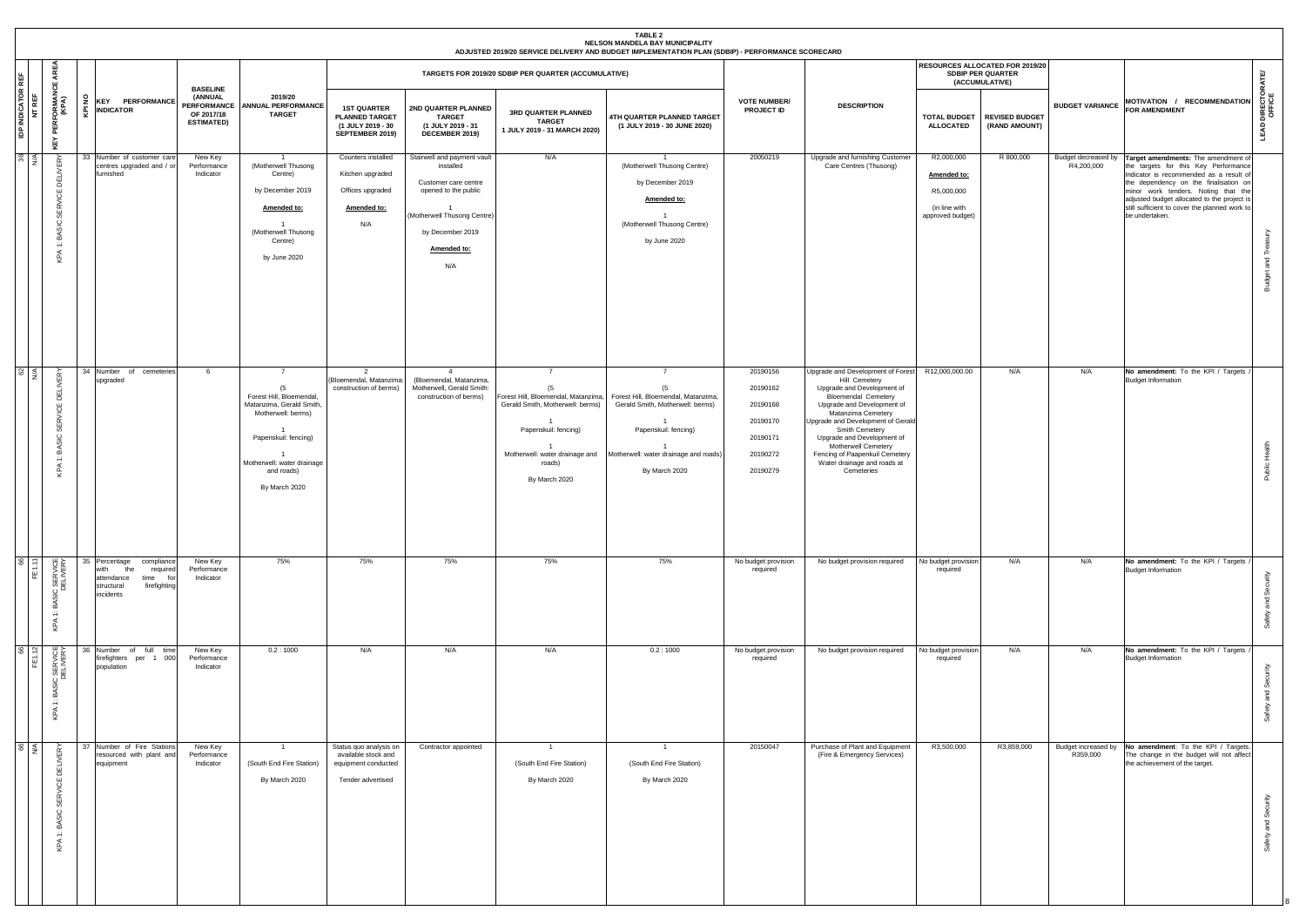|                                    |                                                                           |                                                                                                                                |                                                                  |                                                                                                                                                                                          |                                                                                           |                                                                                                                                                                   |                                                                                                                                                                                      | TABLE 2<br>NELSON MANDELA BAY MUNICIPALITY<br>ADJUSTED 2019/20 SERVICE DELIVERY AND BUDGET IMPLEMENTATION PLAN (SDBIP) - PERFORMANCE SCORECARD                                    |                                                                                  |                                                                                                                                                                                                                                                                                                                                                                      |                                                                              |                                                                        |                        |                                                                                                                                                                                                                                                                                                                                              |                      |
|------------------------------------|---------------------------------------------------------------------------|--------------------------------------------------------------------------------------------------------------------------------|------------------------------------------------------------------|------------------------------------------------------------------------------------------------------------------------------------------------------------------------------------------|-------------------------------------------------------------------------------------------|-------------------------------------------------------------------------------------------------------------------------------------------------------------------|--------------------------------------------------------------------------------------------------------------------------------------------------------------------------------------|-----------------------------------------------------------------------------------------------------------------------------------------------------------------------------------|----------------------------------------------------------------------------------|----------------------------------------------------------------------------------------------------------------------------------------------------------------------------------------------------------------------------------------------------------------------------------------------------------------------------------------------------------------------|------------------------------------------------------------------------------|------------------------------------------------------------------------|------------------------|----------------------------------------------------------------------------------------------------------------------------------------------------------------------------------------------------------------------------------------------------------------------------------------------------------------------------------------------|----------------------|
|                                    | Ę<br>ш                                                                    |                                                                                                                                | <b>BASELINE</b>                                                  |                                                                                                                                                                                          |                                                                                           |                                                                                                                                                                   | TARGETS FOR 2019/20 SDBIP PER QUARTER (ACCUMULATIVE)                                                                                                                                 |                                                                                                                                                                                   |                                                                                  |                                                                                                                                                                                                                                                                                                                                                                      |                                                                              | RESOURCES ALLOCATED FOR 2019/20<br>SDBIP PER QUARTER<br>(ACCUMULATIVE) |                        |                                                                                                                                                                                                                                                                                                                                              | ATE                  |
| <b>IDP INDICATOR REF</b><br>NT REF | -ORMAN<br>(KPA)<br>PERF<br>ĔΥ<br>⊻                                        | 2 KEY PERFORMANCE<br>쥦<br><b>INDICATOR</b>                                                                                     | (ANNUAL<br><b>PERFORMANCE</b><br>OF 2017/18<br><b>ESTIMATED)</b> | 2019/20<br><b>ANNUAL PERFORMANCE</b><br><b>TARGET</b>                                                                                                                                    | <b>1ST QUARTER</b><br><b>PLANNED TARGET</b><br>(1 JULY 2019 - 30<br>SEPTEMBER 2019)       | 2ND QUARTER PLANNED<br><b>TARGET</b><br>(1 JULY 2019 - 31<br>DECEMBER 2019)                                                                                       | 3RD QUARTER PLANNED<br><b>TARGET</b><br>1 JULY 2019 - 31 MARCH 2020)                                                                                                                 | 4TH QUARTER PLANNED TARGET<br>(1 JULY 2019 - 30 JUNE 2020)                                                                                                                        | <b>VOTE NUMBER/</b><br>PROJECT ID                                                | <b>DESCRIPTION</b>                                                                                                                                                                                                                                                                                                                                                   | <b>TOTAL BUDGET</b><br><b>ALLOCATED</b>                                      | <b>REVISED BUDGET</b><br>(RAND AMOUNT)                                 | <b>BUDGET VARIANCE</b> | MOTIVATION / RECOMMENDATION<br><b>FOR AMENDMENT</b>                                                                                                                                                                                                                                                                                          | DIRECTO<br>LEAD      |
| $\frac{38}{M}$                     | ERY<br><b>DELI</b><br>υ<br>뿖<br>$\circ$<br>ă<br>$\ddot{=}$<br>$\leq$<br>보 | 33 Number of customer care<br>centres upgraded and / or<br>furnished                                                           | New Key<br>Performance<br>Indicator                              | $\overline{1}$<br>(Motherwell Thusong<br>Centre)<br>by December 2019<br>Amended to:<br>$\overline{1}$<br>(Motherwell Thusong<br>Centre)<br>by June 2020                                  | Counters installed<br>Kitchen upgraded<br>Offices upgraded<br>Amended to:<br>N/A          | Stairwell and payment vault<br>installed<br>Customer care centre<br>opened to the public<br>(Motherwell Thusong Centre)<br>by December 2019<br>Amended to:<br>N/A | N/A                                                                                                                                                                                  | (Motherwell Thusong Centre)<br>by December 2019<br>Amended to:<br>(Motherwell Thusong Centre)<br>by June 2020                                                                     | 20050219                                                                         | Upgrade and furnishing Customer<br>Care Centres (Thusong)                                                                                                                                                                                                                                                                                                            | R2,000,000<br>Amended to:<br>R5,000,000<br>(in line with<br>approved budget) | R 800,000                                                              | R4,200,000             | Budget decreased by Target amendments: The amendment of<br>the targets for this Key Performance<br>Indicator is recommended as a result of<br>the dependency on the finalisation on<br>minor work tenders. Noting that the<br>adjusted budget allocated to the project is<br>still sufficient to cover the planned work to<br>be undertaken. | pue<br><b>Budget</b> |
| $rac{62}{N}$                       | <b>ELIVERY</b><br>≏<br>٣,<br>$\circ$<br>공<br>$\div$<br>KPA                | 34 Number of<br>cemeteries<br>upgraded                                                                                         | - 6                                                              | $\overline{7}$<br>(5)<br>Forest Hill, Bloemendal,<br>Matanzima, Gerald Smith,<br>Motherwell: berms)<br>Papenskuil: fencing)<br>Motherwell: water drainage<br>and roads)<br>By March 2020 | 2<br>(Bloemendal, Matanzima:<br>construction of berms)                                    | $\overline{4}$<br>(Bloemendal, Matanzima,<br>Motherwell, Gerald Smith:<br>construction of berms)                                                                  | $\overline{7}$<br>(5<br>Forest Hill, Bloemendal, Matanzima,<br>Gerald Smith, Motherwell: berms)<br>Papenskuil: fencing)<br>Motherwell: water drainage and<br>roads)<br>By March 2020 | $\overline{7}$<br>(5)<br>Forest Hill, Bloemendal, Matanzima,<br>Gerald Smith, Motherwell: berms)<br>Papenskuil: fencing)<br>Motherwell: water drainage and roads<br>By March 2020 | 20190156<br>20190162<br>20190168<br>20190170<br>20190171<br>20190272<br>20190279 | Upgrade and Development of Forest<br>Hill Cemetery<br>Upgrade and Development of<br><b>Bloemendal Cemetery</b><br>Upgrade and Development of<br>Matanzima Cemetery<br>Upgrade and Development of Gerald<br>Smith Cemetery<br>Upgrade and Development of<br><b>Motherwell Cemetery</b><br>Fencing of Paapenkuil Cemetery<br>Water drainage and roads at<br>Cemeteries | R12,000,000.00                                                               | N/A                                                                    | N/A                    | No amendment: To the KPI / Targets<br><b>Budget Information</b>                                                                                                                                                                                                                                                                              | Ĭ.<br>Public         |
| FE1.11                             | IC SERVICE<br>DELIVERY<br>. 찢<br>$\div$<br>KPA                            | 35 Percentage<br>compliance<br>with<br>the<br>required<br>attendance<br>time<br>for<br>firefighting<br>structural<br>incidents | New Key<br>Performance<br>Indicator                              | 75%                                                                                                                                                                                      | 75%                                                                                       | 75%                                                                                                                                                               | 75%                                                                                                                                                                                  | 75%                                                                                                                                                                               | No budget provision<br>required                                                  | No budget provision required                                                                                                                                                                                                                                                                                                                                         | No budget provision<br>required                                              | N/A                                                                    | N/A                    | No amendment: To the KPI / Targets<br><b>Budget Information</b>                                                                                                                                                                                                                                                                              | ₹<br>တိ<br>and<br>යි |
| $\frac{6}{2}$<br>l 記               | C SERVICE<br>DELIVERY<br>ිය<br>ස<br>$\div$<br>KPA                         | 36 Number of full time<br>firefighters per 1 000<br>population                                                                 | New Key<br>Performance<br>Indicator                              | 0.2:1000                                                                                                                                                                                 | N/A                                                                                       | N/A                                                                                                                                                               | N/A                                                                                                                                                                                  | 0.2:1000                                                                                                                                                                          | No budget provision<br>required                                                  | No budget provision required                                                                                                                                                                                                                                                                                                                                         | No budget provision<br>required                                              | N/A                                                                    | N/A                    | No amendment: To the KPI / Targets<br><b>Budget Information</b>                                                                                                                                                                                                                                                                              | တိ<br>and<br>ety     |
| $rac{66}{N}$                       | <b>DELIVERY</b><br>Ψ,<br>$\circ$<br>ळ<br>a.<br>$\div$<br>$\leq$<br>호      | 37 Number of Fire Stations<br>resourced with plant and<br>equipment                                                            | New Key<br>Performance<br>Indicator                              | $\overline{1}$<br>(South End Fire Station)<br>By March 2020                                                                                                                              | Status quo analysis on<br>available stock and<br>equipment conducted<br>Tender advertised | Contractor appointed                                                                                                                                              | (South End Fire Station)<br>By March 2020                                                                                                                                            | $\overline{1}$<br>(South End Fire Station)<br>By March 2020                                                                                                                       | 20150047                                                                         | Purchase of Plant and Equipment<br>(Fire & Emergency Services)                                                                                                                                                                                                                                                                                                       | R3,500,000                                                                   | R3,859,000                                                             | R359,000               | Budget increased by No amendment: To the KPI / Targets.<br>The change in the budget will not affect<br>the achievement of the target.                                                                                                                                                                                                        | and<br>즜<br>Safe     |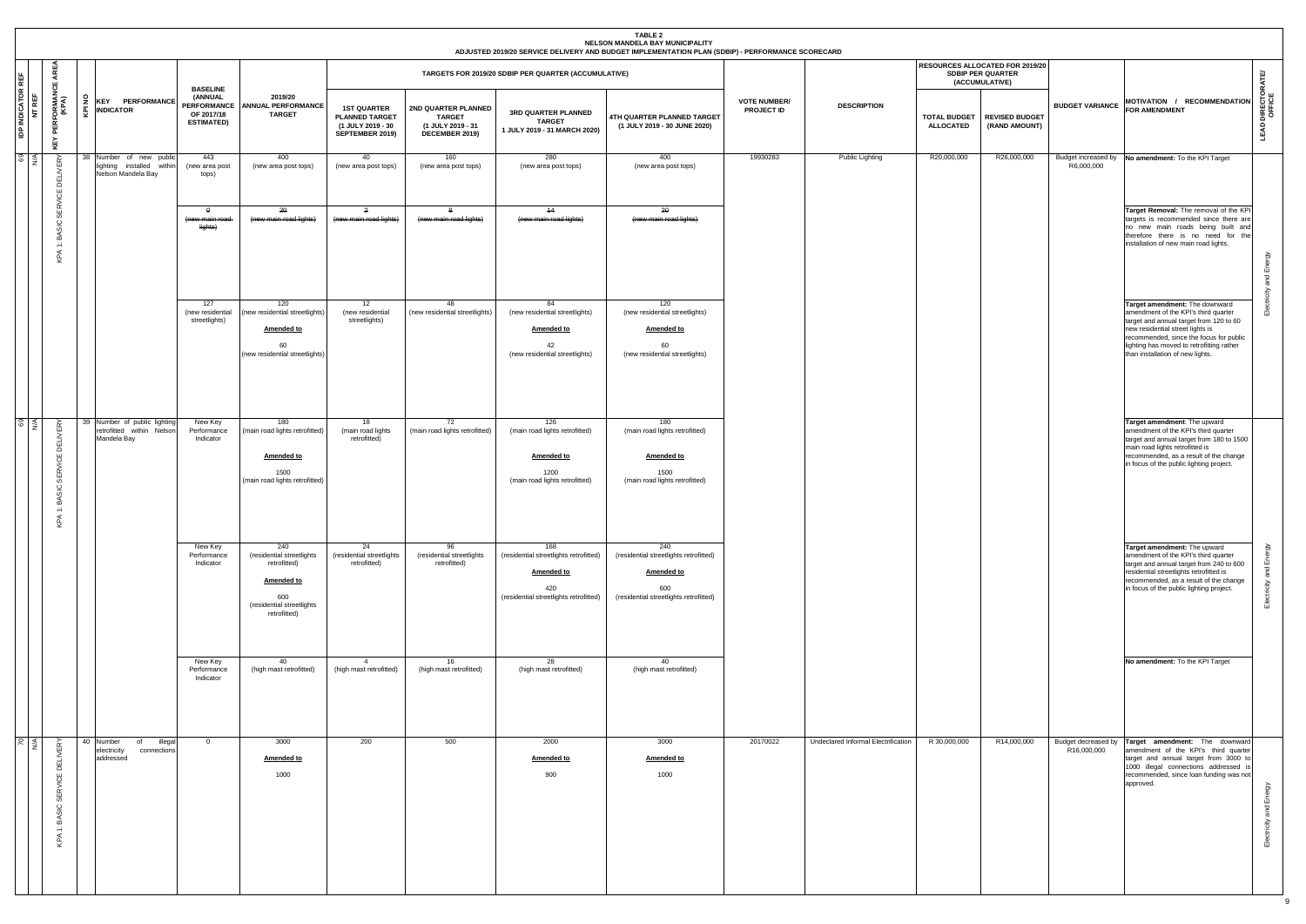|                                    |                                                             |                                       |                                                                            |                                                                                     |                                                                                                                           |                                                                                     |                                                                             |                                                                                                                     | <b>TABLE 2</b><br>NELSON MANDELA BAY MUNICIPALITY<br>ADJUSTED 2019/20 SERVICE DELIVERY AND BUDGET IMPLEMENTATION PLAN (SDBIP) - PERFORMANCE SCORECARD |                                          |                                     |                                         |                                                                                      |                                    |                                                                                                                                                                                                                                                                                   |                                 |
|------------------------------------|-------------------------------------------------------------|---------------------------------------|----------------------------------------------------------------------------|-------------------------------------------------------------------------------------|---------------------------------------------------------------------------------------------------------------------------|-------------------------------------------------------------------------------------|-----------------------------------------------------------------------------|---------------------------------------------------------------------------------------------------------------------|-------------------------------------------------------------------------------------------------------------------------------------------------------|------------------------------------------|-------------------------------------|-----------------------------------------|--------------------------------------------------------------------------------------|------------------------------------|-----------------------------------------------------------------------------------------------------------------------------------------------------------------------------------------------------------------------------------------------------------------------------------|---------------------------------|
|                                    | AREA<br>LШ.                                                 |                                       |                                                                            |                                                                                     |                                                                                                                           |                                                                                     |                                                                             | TARGETS FOR 2019/20 SDBIP PER QUARTER (ACCUMULATIVE)                                                                |                                                                                                                                                       |                                          |                                     |                                         | <b>RESOURCES ALLOCATED FOR 2019/20</b><br><b>SDBIP PER QUARTER</b><br>(ACCUMULATIVE) |                                    |                                                                                                                                                                                                                                                                                   | <b>IATE</b>                     |
| <b>IDP INDICATOR REF</b><br>NT REF | <b>PERFORMANO</b><br>(KPA)<br>ΚĒΥ                           | š<br><b>INDICATOR</b><br>Ę            | <b>KEY PERFORMANCE</b>                                                     | <b>BASELINE</b><br>(ANNUAL<br><b>PERFORMANCE</b><br>OF 2017/18<br><b>ESTIMATED)</b> | 2019/20<br><b>ANNUAL PERFORMANCE</b><br><b>TARGET</b>                                                                     | <b>1ST QUARTER</b><br><b>PLANNED TARGET</b><br>(1 JULY 2019 - 30<br>SEPTEMBER 2019) | 2ND QUARTER PLANNED<br><b>TARGET</b><br>(1 JULY 2019 - 31<br>DECEMBER 2019) | 3RD QUARTER PLANNED<br><b>TARGET</b><br>1 JULY 2019 - 31 MARCH 2020)                                                | 4TH QUARTER PLANNED TARGET<br>(1 JULY 2019 - 30 JUNE 2020)                                                                                            | <b>VOTE NUMBER/</b><br><b>PROJECT ID</b> | <b>DESCRIPTION</b>                  | <b>TOTAL BUDGET</b><br><b>ALLOCATED</b> | <b>REVISED BUDGET</b><br>(RAND AMOUNT)                                               | <b>BUDGET VARIANCE</b>             | MOTIVATION / RECOMMENDATION<br><b>FOR AMENDMENT</b>                                                                                                                                                                                                                               | <b>LEAD DIRECTORA</b><br>OFFICE |
| 69<br>  A                          | ERY<br>DELIN                                                |                                       | 38 Number of new public<br>lighting installed within<br>Nelson Mandela Bay | 443<br>(new area post<br>tops)                                                      | 400<br>(new area post tops)                                                                                               | 40<br>(new area post tops)                                                          | 160<br>(new area post tops)                                                 | 280<br>(new area post tops)                                                                                         | 400<br>(new area post tops)                                                                                                                           | 19930283                                 | Public Lighting                     | R20,000,000                             | R26,000,000                                                                          | R6,000,000                         | Budget increased by No amendment: To the KPI Target                                                                                                                                                                                                                               |                                 |
|                                    | ξĒ<br><b>SERV</b><br>BASIC<br>$\ddot{ }$<br>KPA             |                                       |                                                                            | $\theta$<br>(new main road<br>lights)                                               | 20<br>(new main road lights)                                                                                              | $\overline{2}$<br>(new main road lights)                                            | -8<br>(new main road lights)                                                | 44<br>(new main road lights)                                                                                        | 20<br>(new main road lights)                                                                                                                          |                                          |                                     |                                         |                                                                                      |                                    | Target Removal: The removal of the KPI<br>targets is recommended since there are<br>no new main roads being built and<br>therefore there is no need for the<br>installation of new main road lights.                                                                              | and Energy                      |
|                                    |                                                             |                                       |                                                                            | 127<br>(new residential<br>streetlights)                                            | 120<br>(new residential streetlights)<br><b>Amended to</b><br>60<br>(new residential streetlights)                        | 12<br>(new residential<br>streetlights)                                             | 48<br>new residential streetlights)                                         | 84<br>(new residential streetlights)<br><b>Amended to</b><br>42<br>(new residential streetlights)                   | 120<br>(new residential streetlights)<br><b>Amended to</b><br>60<br>(new residential streetlights)                                                    |                                          |                                     |                                         |                                                                                      |                                    | Target amendment: The downward<br>amendment of the KPI's third quarter<br>target and annual target from 120 to 60<br>new residential street lights is<br>recommended, since the focus for public<br>lighting has moved to retrofitting rather<br>than installation of new lights. | ਰੱ<br>읆                         |
| <b>8</b>                           | ERY<br>립<br><b>SERVICE</b><br>SIC<br>ă<br>$\div$<br>$\prec$ | Mandela Bay                           | 39 Number of public lighting<br>retrofitted within Nelson                  | New Key<br>Performance<br>Indicator                                                 | 180<br>(main road lights retrofitted)<br>Amended to<br>1500<br>(main road lights retrofitted)                             | 18<br>(main road lights<br>retrofitted)                                             | 72<br>(main road lights retrofitted)                                        | 126<br>(main road lights retrofitted)<br><b>Amended to</b><br>1200<br>(main road lights retrofitted)                | 180<br>(main road lights retrofitted)<br><b>Amended to</b><br>1500<br>(main road lights retrofitted)                                                  |                                          |                                     |                                         |                                                                                      |                                    | Target amendment: The upward<br>amendment of the KPI's third quarter<br>target and annual target from 180 to 1500<br>main road lights retrofitted is<br>recommended, as a result of the change<br>in focus of the public lighting project.                                        |                                 |
|                                    | ⊽                                                           |                                       |                                                                            | New Key<br>Performance<br>Indicator                                                 | 240<br>(residential streetlights<br>retrofitted)<br><b>Amended to</b><br>600<br>(residential streetlights<br>retrofitted) | 24<br>(residential streetlights<br>retrofitted)                                     | 96<br>(residential streetlights<br>retrofitted)                             | 168<br>(residential streetlights retrofitted)<br><b>Amended to</b><br>420<br>(residential streetlights retrofitted) | 240<br>(residential streetlights retrofitted)<br><b>Amended to</b><br>600<br>(residential streetlights retrofitted)                                   |                                          |                                     |                                         |                                                                                      |                                    | Target amendment: The upward<br>amendment of the KPI's third quarter<br>target and annual target from 240 to 600<br>residential streetlights retrofitted is<br>recommended, as a result of the change<br>in focus of the public lighting project.                                 | Electricity and Energy          |
|                                    |                                                             |                                       |                                                                            | New Key<br>Performance<br>Indicator                                                 | 40<br>(high mast retrofitted)                                                                                             | $\overline{4}$<br>(high mast retrofitted)                                           | 16<br>(high mast retrofitted)                                               | 28<br>(high mast retrofitted)                                                                                       | 40<br>(high mast retrofitted)                                                                                                                         |                                          |                                     |                                         |                                                                                      |                                    | No amendment: To the KPI Target                                                                                                                                                                                                                                                   |                                 |
| $\circ$ $\sim$                     | ERY<br>SERVICE DELI'<br>BASIC<br>$\div$<br>KPA              | 40 Number<br>electricity<br>addressed | illegal<br>of<br>connections                                               | $\overline{0}$                                                                      | 3000<br><b>Amended to</b><br>1000                                                                                         | 200                                                                                 | 500                                                                         | 2000<br><b>Amended to</b><br>900                                                                                    | 3000<br><b>Amended to</b><br>1000                                                                                                                     | 20170022                                 | Undeclared Informal Electrification | R 30,000,000                            | R14,000,000                                                                          | Budget decreased by<br>R16,000,000 | Target amendment: The downward<br>amendment of the KPI's third quarter<br>target and annual target from 3000 to<br>1000 illegal connections addressed is<br>recommended, since loan funding was not<br>approved.                                                                  | Electricity and Energy          |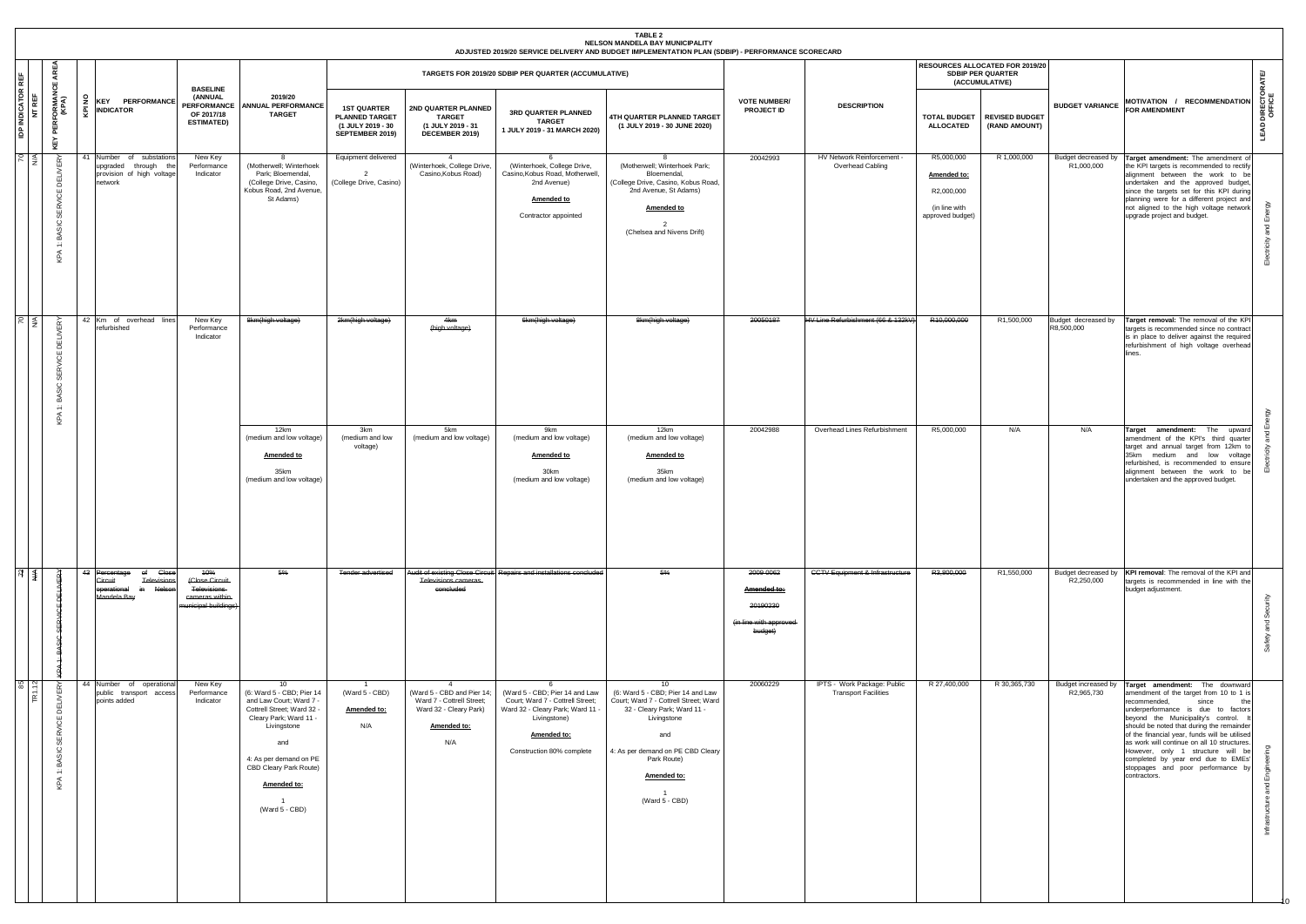|                |                                                             |                                                                                                |                                                                                     |                                                                                                                                                                                                                                      |                                                                                     |                                                                                                                           |                                                                                                                                                                       | TABLE 2<br>NELSON MANDELA BAY MUNICIPALITY<br>ADJUSTED 2019/20 SERVICE DELIVERY AND BUDGET IMPLEMENTATION PLAN (SDBIP) - PERFORMANCE SCORECARD                                                                                                            |                                                                            |                                                            |                                                                              |                                                                               |                                   |                                                                                                                                                                                                                                                                                                                                                                                                                                                                                        |                         |
|----------------|-------------------------------------------------------------|------------------------------------------------------------------------------------------------|-------------------------------------------------------------------------------------|--------------------------------------------------------------------------------------------------------------------------------------------------------------------------------------------------------------------------------------|-------------------------------------------------------------------------------------|---------------------------------------------------------------------------------------------------------------------------|-----------------------------------------------------------------------------------------------------------------------------------------------------------------------|-----------------------------------------------------------------------------------------------------------------------------------------------------------------------------------------------------------------------------------------------------------|----------------------------------------------------------------------------|------------------------------------------------------------|------------------------------------------------------------------------------|-------------------------------------------------------------------------------|-----------------------------------|----------------------------------------------------------------------------------------------------------------------------------------------------------------------------------------------------------------------------------------------------------------------------------------------------------------------------------------------------------------------------------------------------------------------------------------------------------------------------------------|-------------------------|
| ₩.             | AREA<br>쁬                                                   |                                                                                                |                                                                                     |                                                                                                                                                                                                                                      |                                                                                     |                                                                                                                           | TARGETS FOR 2019/20 SDBIP PER QUARTER (ACCUMULATIVE)                                                                                                                  |                                                                                                                                                                                                                                                           |                                                                            |                                                            |                                                                              | RESOURCES ALLOCATED FOR 2019/20<br><b>SDBIP PER QUARTER</b><br>(ACCUMULATIVE) |                                   |                                                                                                                                                                                                                                                                                                                                                                                                                                                                                        | ATE                     |
| INDICATOR<br>å | ' PERFORMAN<br>(KPA)<br>KEY                                 | £<br><b>KEY PERFORMANCE</b><br><b>INDICATOR</b><br>ē                                           | <b>BASELINE</b><br>(ANNUAL<br><b>PERFORMANCE</b><br>OF 2017/18<br><b>ESTIMATED)</b> | 2019/20<br><b>ANNUAL PERFORMANCE</b><br><b>TARGET</b>                                                                                                                                                                                | <b>1ST QUARTER</b><br><b>PLANNED TARGET</b><br>(1 JULY 2019 - 30<br>SEPTEMBER 2019) | 2ND QUARTER PLANNED<br><b>TARGET</b><br>(1 JULY 2019 - 31<br>DECEMBER 2019)                                               | 3RD QUARTER PLANNED<br><b>TARGET</b><br>1 JULY 2019 - 31 MARCH 2020)                                                                                                  | 4TH QUARTER PLANNED TARGET<br>(1 JULY 2019 - 30 JUNE 2020)                                                                                                                                                                                                | <b>VOTE NUMBER/</b><br><b>PROJECT ID</b>                                   | <b>DESCRIPTION</b>                                         | <b>TOTAL BUDGET</b><br><b>ALLOCATED</b>                                      | <b>REVISED BUDGET</b><br>(RAND AMOUNT)                                        | <b>BUDGET VARIANCE</b>            | MOTIVATION / RECOMMENDATION<br><b>FOR AMENDMENT</b>                                                                                                                                                                                                                                                                                                                                                                                                                                    | LEAD DIRECTOR<br>Office |
| $P \leq$       | $\approx$<br>핇<br><b>SERVICE</b><br>BASIC<br>$\div$<br>KPA  | Number of substations<br>41<br>upgraded through the<br>provision of high voltage<br>network    | New Key<br>Performance<br>Indicator                                                 | -8<br>(Motherwell; Winterhoek<br>Park; Bloemendal,<br>(College Drive, Casino,<br>Kobus Road, 2nd Avenue,<br>St Adams)                                                                                                                | Equipment delivered<br>(College Drive, Casino)                                      | (Winterhoek, College Drive,<br>Casino, Kobus Road)                                                                        | (Winterhoek, College Drive,<br>Casino, Kobus Road, Motherwell,<br>2nd Avenue)<br>Amended to<br>Contractor appointed                                                   | -8<br>(Motherwell; Winterhoek Park;<br>Bloemendal,<br>(College Drive, Casino, Kobus Road,<br>2nd Avenue, St Adams)<br><b>Amended to</b><br>$\overline{2}$<br>(Chelsea and Nivens Drift)                                                                   | 20042993                                                                   | HV Network Reinforcement -<br>Overhead Cabling             | R5,000,000<br>Amended to:<br>R2,000,000<br>(in line with<br>approved budget) | R 1,000,000                                                                   | Budget decreased by<br>R1,000,000 | Target amendment: The amendment of<br>the KPI targets is recommended to rectify<br>alignment between the work to be<br>undertaken and the approved budget,<br>since the targets set for this KPI during<br>planning were for a different project and<br>not aligned to the high voltage network<br>upgrade project and budget.                                                                                                                                                         | Emer<br>and<br>Electr   |
| $\frac{70}{4}$ | <b>DELIVERY</b><br>υ<br>≃<br>Ğ,<br>ပ<br>屳<br>$\div$<br>KPA  | 42 Km of overhead lines<br>refurbished                                                         | New Key<br>Performance<br>Indicator                                                 | 8km(high voltage)                                                                                                                                                                                                                    | 2km(high voltage)                                                                   | 4km<br>(high voltage)                                                                                                     | 6km(high voltage)                                                                                                                                                     | 8km(high voltage)                                                                                                                                                                                                                                         | 20050187                                                                   | HV Line Refurbishment (66 & 132kV)                         | R10.000.000                                                                  | R1,500,000                                                                    | Budget decreased by<br>R8,500,000 | Target removal: The removal of the KPI<br>targets is recommended since no contract<br>is in place to deliver against the required<br>refurbishment of high voltage overhead<br>lines.                                                                                                                                                                                                                                                                                                  | S)                      |
|                |                                                             |                                                                                                |                                                                                     | 12km<br>(medium and low voltage)<br><b>Amended to</b><br>35km<br>(medium and low voltage)                                                                                                                                            | 3km<br>(medium and low<br>voltage)                                                  | 5km<br>(medium and low voltage)                                                                                           | 9km<br>(medium and low voltage)<br><b>Amended to</b><br>30km<br>(medium and low voltage)                                                                              | 12km<br>(medium and low voltage)<br><b>Amended to</b><br>35km<br>(medium and low voltage)                                                                                                                                                                 | 20042988                                                                   | Overhead Lines Refurbishment                               | R5,000,000                                                                   | N/A                                                                           | N/A                               | Target amendment: The<br>upward<br>amendment of the KPI's third quarter<br>target and annual target from 12km to<br>35km medium and low voltage<br>refurbished, is recommended to ensure<br>alignment between the work to be<br>undertaken and the approved budget.                                                                                                                                                                                                                    |                         |
| $R \nless 1$   |                                                             | 43 Percentage<br>of Close<br>Televisions<br>Circuit<br>in Nelson<br>operational<br>Mandela Bay | 10%<br>(Close Circuit<br>Televisions<br>cameras within<br>municipal buildings)      | 6%                                                                                                                                                                                                                                   | <b>Tender advertised</b>                                                            | Televisions cameras<br>concluded                                                                                          | Audit of existing Close Circuit Repairs and installations concluded                                                                                                   | 5%                                                                                                                                                                                                                                                        | 2009 0062<br>Amended to:<br>20190230<br>(in line with approved-<br>budget) | <b>CCTV Equipment &amp; Infrastructure</b>                 | R3,800,000                                                                   | R1,550,000                                                                    | R2,250,000                        | Budget decreased by   KPI removal: The removal of the KPI and<br>targets is recommended in line with the<br>budget adjustment.                                                                                                                                                                                                                                                                                                                                                         | နိုင<br>and             |
| $\frac{5}{2}$  | RY<br><b>DELIVEI</b><br><b>SERVICE</b><br>1: BASIC :<br>KPA | 44 Number of operational<br>public transport access<br>points added                            | New Key<br>Performance<br>Indicator                                                 | 10<br>(6: Ward 5 - CBD; Pier 14<br>and Law Court; Ward 7 -<br>Cottrell Street; Ward 32 -<br>Cleary Park; Ward 11 -<br>Livingstone<br>and<br>4: As per demand on PE<br>CBD Cleary Park Route)<br>Amended to:<br>- 1<br>(Ward 5 - CBD) | (Ward 5 - CBD)<br>Amended to:<br>N/A                                                | $\overline{4}$<br>(Ward 5 - CBD and Pier 14;<br>Ward 7 - Cottrell Street;<br>Ward 32 - Cleary Park)<br>Amended to:<br>N/A | 6<br>(Ward 5 - CBD; Pier 14 and Law<br>Court; Ward 7 - Cottrell Street;<br>Ward 32 - Cleary Park; Ward 11<br>Livingstone)<br>Amended to:<br>Construction 80% complete | 10 <sup>1</sup><br>(6: Ward 5 - CBD; Pier 14 and Law<br>Court; Ward 7 - Cottrell Street; Ward<br>32 - Cleary Park; Ward 11 -<br>Livingstone<br>and<br>4: As per demand on PE CBD Cleary<br>Park Route)<br>Amended to:<br>$\overline{1}$<br>(Ward 5 - CBD) | 20060229                                                                   | IPTS - Work Package: Public<br><b>Transport Facilities</b> | R 27,400,000                                                                 | R 30,365,730                                                                  | R2,965,730                        | Budget increased by Target amendment: The downward<br>amendment of the target from 10 to 1 is<br>recommended,<br>since<br>the<br>underperformance is due to factors<br>beyond the Municipality's control.<br>should be noted that during the remainder<br>of the financial year, funds will be utilised<br>as work will continue on all 10 structures.<br>However, only 1 structure will be<br>completed by year end due to EMEs'<br>stoppages and poor performance by<br>contractors. | and                     |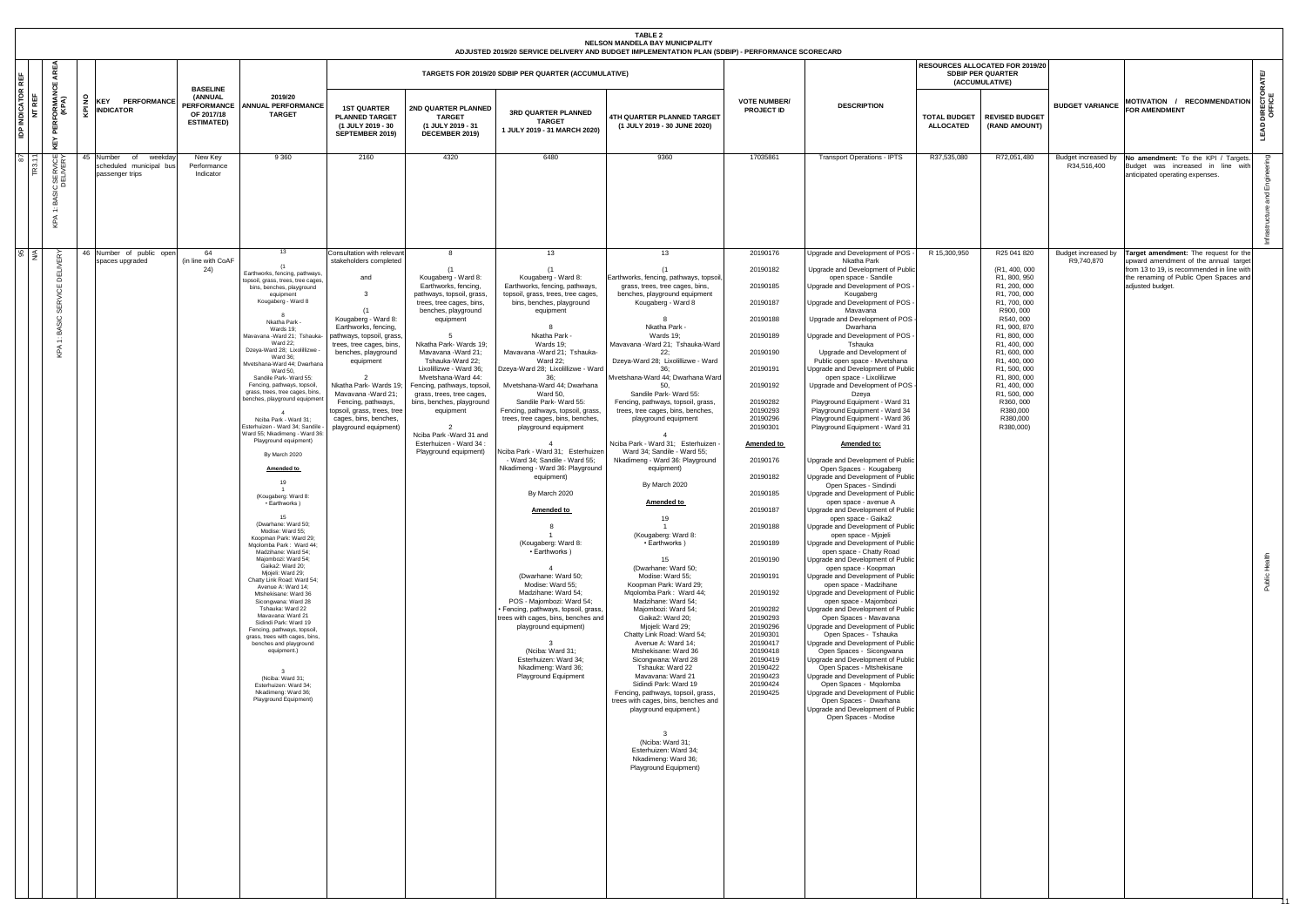|                                               |                                                                        |                                                                         |                                                                                     |                                                                                                                                                                                                                                                                                                                                                                                                                                                                                                                                                                                                                                                                                                                                                                                                                                                                                                                                                                                                                                                                                                                                                                                                                                     |                                                                                                                                                                                                                                                                                                                                                                                       |                                                                                                                                                                                                                                                                                                                                                                                                                                                                     |                                                                                                                                                                                                                                                                                                                                                                                                                                                                                                                                                                                                                                                                                                                                                                                                                                                                                                                                                                | <b>TABLE 2</b><br>NELSON MANDELA BAY MUNICIPALITY<br>ADJUSTED 2019/20 SERVICE DELIVERY AND BUDGET IMPLEMENTATION PLAN (SDBIP) - PERFORMANCE SCORECARD                                                                                                                                                                                                                                                                                                                                                                                                                                                                                                                                                                                                                                                                                                                                                                                                                                                                                                                                                                                                                                                                             |                                                                                                                                                                                                                                                                                                                                                                                                                               |                                                                                                                                                                                                                                                                                                                                                                                                                                                                                                                                                                                                                                                                                                                                                                                                                                                                                                                                                                                                                                                                                                                                                                                                                                                                                                                                                                                                                                                                                                                                                                                                                                                                                               |                                         |                                                                                                                                                                                                                                                                                                                          |                        |                                                                                                                                                                                                               |                                |
|-----------------------------------------------|------------------------------------------------------------------------|-------------------------------------------------------------------------|-------------------------------------------------------------------------------------|-------------------------------------------------------------------------------------------------------------------------------------------------------------------------------------------------------------------------------------------------------------------------------------------------------------------------------------------------------------------------------------------------------------------------------------------------------------------------------------------------------------------------------------------------------------------------------------------------------------------------------------------------------------------------------------------------------------------------------------------------------------------------------------------------------------------------------------------------------------------------------------------------------------------------------------------------------------------------------------------------------------------------------------------------------------------------------------------------------------------------------------------------------------------------------------------------------------------------------------|---------------------------------------------------------------------------------------------------------------------------------------------------------------------------------------------------------------------------------------------------------------------------------------------------------------------------------------------------------------------------------------|---------------------------------------------------------------------------------------------------------------------------------------------------------------------------------------------------------------------------------------------------------------------------------------------------------------------------------------------------------------------------------------------------------------------------------------------------------------------|----------------------------------------------------------------------------------------------------------------------------------------------------------------------------------------------------------------------------------------------------------------------------------------------------------------------------------------------------------------------------------------------------------------------------------------------------------------------------------------------------------------------------------------------------------------------------------------------------------------------------------------------------------------------------------------------------------------------------------------------------------------------------------------------------------------------------------------------------------------------------------------------------------------------------------------------------------------|-----------------------------------------------------------------------------------------------------------------------------------------------------------------------------------------------------------------------------------------------------------------------------------------------------------------------------------------------------------------------------------------------------------------------------------------------------------------------------------------------------------------------------------------------------------------------------------------------------------------------------------------------------------------------------------------------------------------------------------------------------------------------------------------------------------------------------------------------------------------------------------------------------------------------------------------------------------------------------------------------------------------------------------------------------------------------------------------------------------------------------------------------------------------------------------------------------------------------------------|-------------------------------------------------------------------------------------------------------------------------------------------------------------------------------------------------------------------------------------------------------------------------------------------------------------------------------------------------------------------------------------------------------------------------------|-----------------------------------------------------------------------------------------------------------------------------------------------------------------------------------------------------------------------------------------------------------------------------------------------------------------------------------------------------------------------------------------------------------------------------------------------------------------------------------------------------------------------------------------------------------------------------------------------------------------------------------------------------------------------------------------------------------------------------------------------------------------------------------------------------------------------------------------------------------------------------------------------------------------------------------------------------------------------------------------------------------------------------------------------------------------------------------------------------------------------------------------------------------------------------------------------------------------------------------------------------------------------------------------------------------------------------------------------------------------------------------------------------------------------------------------------------------------------------------------------------------------------------------------------------------------------------------------------------------------------------------------------------------------------------------------------|-----------------------------------------|--------------------------------------------------------------------------------------------------------------------------------------------------------------------------------------------------------------------------------------------------------------------------------------------------------------------------|------------------------|---------------------------------------------------------------------------------------------------------------------------------------------------------------------------------------------------------------|--------------------------------|
|                                               | AREA                                                                   |                                                                         |                                                                                     |                                                                                                                                                                                                                                                                                                                                                                                                                                                                                                                                                                                                                                                                                                                                                                                                                                                                                                                                                                                                                                                                                                                                                                                                                                     |                                                                                                                                                                                                                                                                                                                                                                                       |                                                                                                                                                                                                                                                                                                                                                                                                                                                                     | TARGETS FOR 2019/20 SDBIP PER QUARTER (ACCUMULATIVE)                                                                                                                                                                                                                                                                                                                                                                                                                                                                                                                                                                                                                                                                                                                                                                                                                                                                                                           |                                                                                                                                                                                                                                                                                                                                                                                                                                                                                                                                                                                                                                                                                                                                                                                                                                                                                                                                                                                                                                                                                                                                                                                                                                   |                                                                                                                                                                                                                                                                                                                                                                                                                               |                                                                                                                                                                                                                                                                                                                                                                                                                                                                                                                                                                                                                                                                                                                                                                                                                                                                                                                                                                                                                                                                                                                                                                                                                                                                                                                                                                                                                                                                                                                                                                                                                                                                                               |                                         | RESOURCES ALLOCATED FOR 2019/20<br><b>SDBIP PER QUARTER</b><br>(ACCUMULATIVE)                                                                                                                                                                                                                                            |                        |                                                                                                                                                                                                               | 똍                              |
| <b>ATOR</b><br>l :<br>R<br>C<br>20<br>Ιä<br>₫ | <b>PERFORMANCE /</b><br>(KPA)<br>KEY                                   | <b>PERFORMANCE</b><br><b>KEY</b><br><b>INDICATOR</b>                    | <b>BASELINE</b><br>(ANNUAL<br><b>PERFORMANCE</b><br>OF 2017/18<br><b>ESTIMATED)</b> | 2019/20<br><b>ANNUAL PERFORMANCE</b><br><b>TARGET</b>                                                                                                                                                                                                                                                                                                                                                                                                                                                                                                                                                                                                                                                                                                                                                                                                                                                                                                                                                                                                                                                                                                                                                                               | <b>1ST QUARTER</b><br><b>PLANNED TARGET</b><br>(1 JULY 2019 - 30<br>SEPTEMBER 2019)                                                                                                                                                                                                                                                                                                   | 2ND QUARTER PLANNED<br><b>TARGET</b><br>(1 JULY 2019 - 31<br>DECEMBER 2019)                                                                                                                                                                                                                                                                                                                                                                                         | 3RD QUARTER PLANNED<br><b>TARGET</b><br>1 JULY 2019 - 31 MARCH 2020)                                                                                                                                                                                                                                                                                                                                                                                                                                                                                                                                                                                                                                                                                                                                                                                                                                                                                           | 4TH QUARTER PLANNED TARGET<br>(1 JULY 2019 - 30 JUNE 2020)                                                                                                                                                                                                                                                                                                                                                                                                                                                                                                                                                                                                                                                                                                                                                                                                                                                                                                                                                                                                                                                                                                                                                                        | <b>VOTE NUMBER/</b><br>PROJECT ID                                                                                                                                                                                                                                                                                                                                                                                             | <b>DESCRIPTION</b>                                                                                                                                                                                                                                                                                                                                                                                                                                                                                                                                                                                                                                                                                                                                                                                                                                                                                                                                                                                                                                                                                                                                                                                                                                                                                                                                                                                                                                                                                                                                                                                                                                                                            | <b>TOTAL BUDGET</b><br><b>ALLOCATED</b> | <b>REVISED BUDGET</b><br>(RAND AMOUNT)                                                                                                                                                                                                                                                                                   | <b>BUDGET VARIANCE</b> | MOTIVATION / RECOMMENDATION<br><b>FOR AMENDMENT</b>                                                                                                                                                           | <b>LEAD DIRECTOR</b><br>OFFICE |
| 7g                                            | : SERVICE<br>DELIVERY<br>ပ<br>BASI<br>$\div$<br>KPA                    | 45 Number<br>weekda<br>of<br>scheduled municipal bus<br>passenger trips | New Key<br>Performance<br>Indicator                                                 | 9 3 6 0                                                                                                                                                                                                                                                                                                                                                                                                                                                                                                                                                                                                                                                                                                                                                                                                                                                                                                                                                                                                                                                                                                                                                                                                                             | 2160                                                                                                                                                                                                                                                                                                                                                                                  | 4320                                                                                                                                                                                                                                                                                                                                                                                                                                                                | 6480                                                                                                                                                                                                                                                                                                                                                                                                                                                                                                                                                                                                                                                                                                                                                                                                                                                                                                                                                           | 9360                                                                                                                                                                                                                                                                                                                                                                                                                                                                                                                                                                                                                                                                                                                                                                                                                                                                                                                                                                                                                                                                                                                                                                                                                              | 17035861                                                                                                                                                                                                                                                                                                                                                                                                                      | <b>Transport Operations - IPTS</b>                                                                                                                                                                                                                                                                                                                                                                                                                                                                                                                                                                                                                                                                                                                                                                                                                                                                                                                                                                                                                                                                                                                                                                                                                                                                                                                                                                                                                                                                                                                                                                                                                                                            | R37,535,080                             | R72,051,480                                                                                                                                                                                                                                                                                                              | R34,516,400            | Budget increased by No amendment: To the KPI / Targets<br>Budget was increased in line with<br>anticipated operating expenses.                                                                                |                                |
| ೫                                             | $\tilde{\alpha}$<br>핌<br>1CE<br>₩<br>$\circ$<br>മ്<br>$\div$<br>≤<br>우 | 46 Number of public open<br>spaces upgraded                             | 64<br>(in line with CoAF<br>24)                                                     | 13<br>Earthworks, fencing, pathways,<br>topsoil, grass, trees, tree cages<br>bins, benches, playground<br>equipment<br>Kougaberg - Ward 8<br>Nkatha Park -<br>Wards 19;<br>Mavavana - Ward 21; Tshauka-<br><b>Ward 22;</b><br>Dzeya-Ward 28; Lixolillizwe<br><b>Ward 36:</b><br>Mvetshana-Ward 44; Dwarhana<br><b>Ward 50,</b><br>Sandile Park- Ward 55:<br>Fencing, pathways, topsoil,<br>grass, trees, tree cages, bins,<br>benches, playground equipmen<br>Nciba Park - Ward 31;<br>Esterhuizen - Ward 34; Sandile<br>Ward 55; Nkadimeng - Ward 36<br>Playground equipment)<br>By March 2020<br>Amended to<br>19<br>(Kougaberg: Ward 8:<br>• Earthworks)<br>15<br>Dwarhane: Ward 50;<br>Modise: Ward 55;<br>Koopman Park: Ward 29;<br>Mgolomba Park: Ward 44;<br>Madzihane: Ward 54;<br>Majombozi: Ward 54;<br>Gaika2: Ward 20;<br>Mjojeli: Ward 29;<br>Chatty Link Road: Ward 54;<br>Avenue A: Ward 14;<br>Mtshekisane: Ward 36<br>Sicongwana: Ward 28<br>Tshauka: Ward 22<br>Mavavana: Ward 21<br>Sidindi Park: Ward 19<br>Fencing, pathways, topsoil,<br>grass, trees with cages, bins,<br>benches and playground<br>equipment.)<br>(Nciba: Ward 31;<br>Esterhuizen: Ward 34;<br>Nkadimeng: Ward 36;<br>Playground Equipment) | Consultation with relevan<br>stakeholders completed<br>and<br>3<br>Kougaberg - Ward 8:<br>Earthworks, fencing,<br>pathways, topsoil, grass,<br>trees, tree cages, bins,<br>benches, playground<br>equipment<br>$\overline{2}$<br>Nkatha Park- Wards 19;<br>Mavavana - Ward 21;<br>Fencing, pathways,<br>topsoil, grass, trees, tree<br>cages, bins, benches,<br>playground equipment) | 8<br>(1)<br>Kougaberg - Ward 8:<br>Earthworks, fencing,<br>pathways, topsoil, grass,<br>trees, tree cages, bins,<br>benches, playground<br>equipment<br>5<br>Nkatha Park- Wards 19;<br>Mavavana - Ward 21;<br>Tshauka-Ward 22;<br>Lixolillizwe - Ward 36;<br>Mvetshana-Ward 44:<br>Fencing, pathways, topsoil,<br>grass, trees, tree cages,<br>bins, benches, playground<br>equipment<br>Nciba Park - Ward 31 and<br>Esterhuizen - Ward 34<br>Playground equipment) | 13<br>(1)<br>Kougaberg - Ward 8:<br>Earthworks, fencing, pathways,<br>topsoil, grass, trees, tree cages,<br>bins, benches, playground<br>equipment<br>Nkatha Park -<br>Wards 19:<br>Mavavana - Ward 21; Tshauka-<br><b>Ward 22:</b><br>Dzeya-Ward 28; Lixolillizwe - Ward<br>36:<br>Mvetshana-Ward 44; Dwarhana<br><b>Ward 50,</b><br>Sandile Park- Ward 55:<br>Fencing, pathways, topsoil, grass,<br>trees, tree cages, bins, benches,<br>playground equipment<br>Nciba Park - Ward 31; Esterhuizer<br>- Ward 34; Sandile - Ward 55;<br>Nkadimeng - Ward 36: Playground<br>equipment)<br>By March 2020<br>Amended to<br>(Kougaberg: Ward 8:<br>• Earthworks)<br>(Dwarhane: Ward 50;<br>Modise: Ward 55;<br>Madzihane: Ward 54;<br>POS - Majombozi: Ward 54;<br>Fencing, pathways, topsoil, grass,<br>trees with cages, bins, benches and<br>playground equipment)<br>(Nciba: Ward 31;<br>Esterhuizen: Ward 34;<br>Nkadimeng: Ward 36;<br>Playground Equipment | 13<br>(1)<br>Earthworks, fencing, pathways, topsoil,<br>grass, trees, tree cages, bins,<br>benches, playground equipment<br>Kougaberg - Ward 8<br>Nkatha Park<br>Wards 19;<br>Mavavana - Ward 21; Tshauka-Ward<br>22:<br>Dzeya-Ward 28; Lixolillizwe - Ward<br>36<br>Mvetshana-Ward 44; Dwarhana Ward<br>50.<br>Sandile Park- Ward 55:<br>Fencing, pathways, topsoil, grass,<br>trees, tree cages, bins, benches,<br>playground equipment<br>Nciba Park - Ward 31; Esterhuizen<br>Ward 34; Sandile - Ward 55;<br>Nkadimeng - Ward 36: Playground<br>equipment)<br>By March 2020<br>Amended to<br>19<br>(Kougaberg: Ward 8:<br>• Earthworks)<br>15<br>(Dwarhane: Ward 50;<br>Modise: Ward 55;<br>Koopman Park: Ward 29;<br>Mgolomba Park: Ward 44;<br>Madzihane: Ward 54;<br>Majombozi: Ward 54;<br>Gaika2: Ward 20;<br>Mjojeli: Ward 29;<br>Chatty Link Road: Ward 54;<br>Avenue A: Ward 14:<br>Mtshekisane: Ward 36<br>Sicongwana: Ward 28<br>Tshauka: Ward 22<br>Mavavana: Ward 21<br>Sidindi Park: Ward 19<br>Fencing, pathways, topsoil, grass,<br>trees with cages, bins, benches and<br>playground equipment.)<br>$\mathbf{3}$<br>(Nciba: Ward 31;<br>Esterhuizen: Ward 34;<br>Nkadimeng: Ward 36;<br>Playground Equipment) | 20190176<br>20190182<br>20190185<br>20190187<br>20190188<br>20190189<br>20190190<br>20190191<br>20190192<br>20190282<br>20190293<br>20190296<br>20190301<br><b>Amended to</b><br>20190176<br>20190182<br>20190185<br>20190187<br>20190188<br>20190189<br>20190190<br>20190191<br>20190192<br>20190282<br>20190293<br>20190296<br>20190301<br>20190417<br>20190418<br>20190419<br>20190422<br>20190423<br>20190424<br>20190425 | Upgrade and Development of POS -<br>Nkatha Park<br>Upgrade and Development of Public<br>open space - Sandile<br>Upgrade and Development of POS -<br>Kougaberg<br>Upgrade and Development of POS -<br>Mavavana<br>Upgrade and Development of POS -<br>Dwarhana<br>Upgrade and Development of POS -<br>Tshauka<br>Upgrade and Development of<br>Public open space - Mvetshana<br>Upgrade and Development of Public<br>open space - Lixolilizwe<br>Upgrade and Development of POS -<br>Dzeya<br>Playground Equipment - Ward 31<br>Playground Equipment - Ward 34<br>Playground Equipment - Ward 36<br>Playground Equipment - Ward 31<br>Amended to:<br>Upgrade and Development of Public<br>Open Spaces - Kougaberg<br>Upgrade and Development of Public<br>Open Spaces - Sindindi<br>Upgrade and Development of Public<br>open space - avenue A<br>Upgrade and Development of Public<br>open space - Gaika2<br>Upgrade and Development of Public<br>open space - Mjojeli<br>Upgrade and Development of Public<br>open space - Chatty Road<br>Upgrade and Development of Public<br>open space - Koopman<br>Upgrade and Development of Public<br>open space - Madzihane<br>Upgrade and Development of Public<br>open space - Majombozi<br>Upgrade and Development of Public<br>Open Spaces - Mavavana<br>Upgrade and Development of Public<br>Open Spaces - Tshauka<br>Upgrade and Development of Public<br>Open Spaces - Sicongwana<br>Upgrade and Development of Public<br>Open Spaces - Mtshekisane<br>Upgrade and Development of Public<br>Open Spaces - Mqolomba<br>Upgrade and Development of Public<br>Open Spaces - Dwarhana<br>Upgrade and Development of Public<br>Open Spaces - Modise | R 15,300,950                            | R25 041 820<br>(R1, 400, 000<br>R1, 800, 950<br>R1, 200, 000<br>R1, 700, 000<br>R1, 700, 000<br>R900, 000<br>R540, 000<br>R1, 900, 870<br>R1, 800, 000<br>R1, 400, 000<br>R1, 600, 000<br>R1, 400, 000<br>R1, 500, 000<br>R1, 800, 000<br>R1, 400, 000<br>R1, 500, 000<br>R360, 000<br>R380,000<br>R380,000<br>R380,000) | R9.740.870             | Budget increased by Target amendment: The request for the<br>upward amendment of the annual targe<br>from 13 to 19, is recommended in line with<br>the renaming of Public Open Spaces and<br>adjusted budget. | Ť<br>Public                    |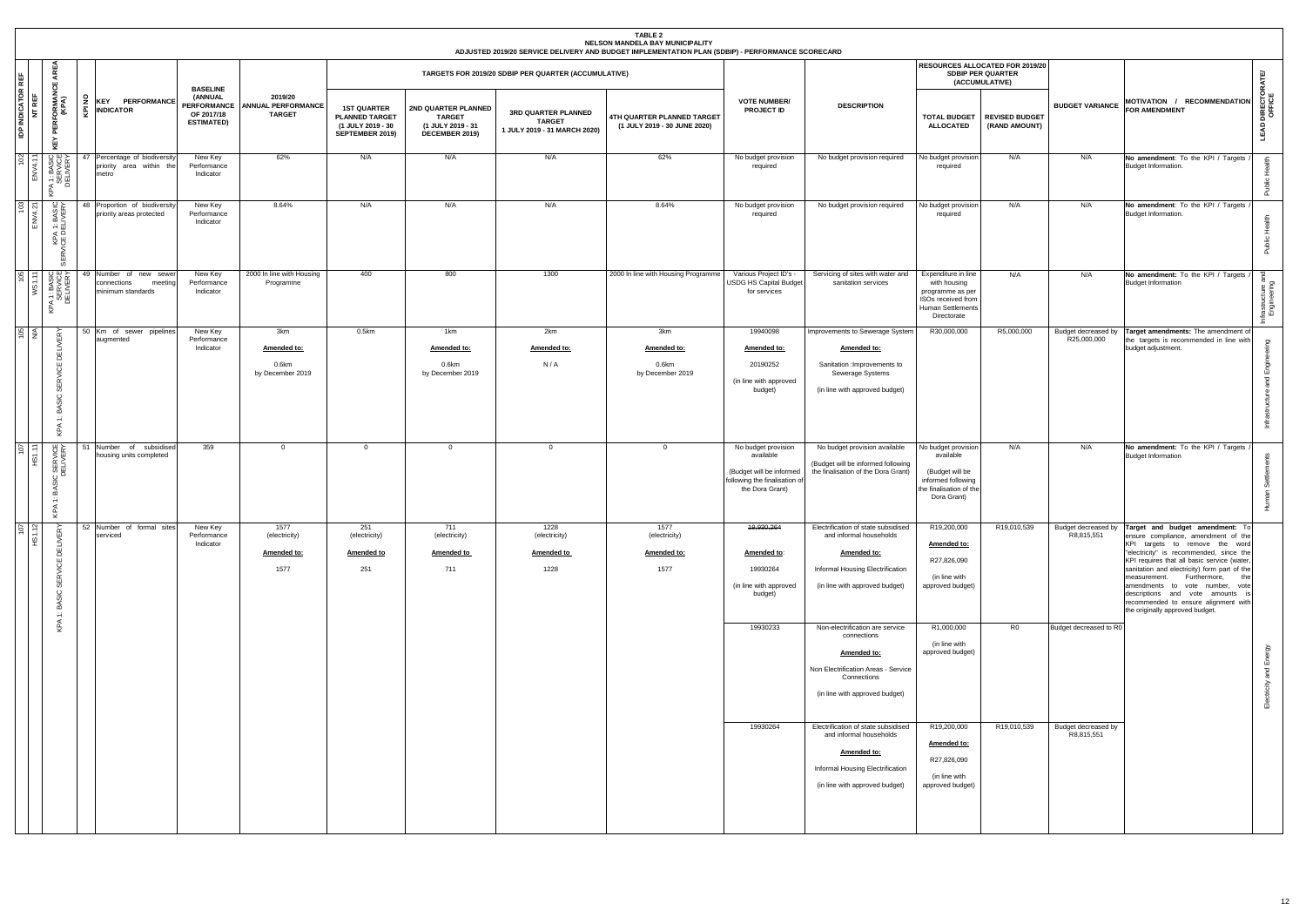|                                                                                                |                                                                       |                                                                              |                                                       |                                                                                     |                                                                             |                                                                      | TABLE 2<br>NELSON MANDELA BAY MUNICIPALITY<br>ADJUSTED 2019/20 SERVICE DELIVERY AND BUDGET IMPLEMENTATION PLAN (SDBIP) - PERFORMANCE SCORECARD |                                                                                                                  |                                                                                                                                                                                                                                                                                                              |                                                                                                                                   |                                                                               |                                                             |                                                                                                                                                                                                                                                                                                                                                                                                                                                              |                                    |
|------------------------------------------------------------------------------------------------|-----------------------------------------------------------------------|------------------------------------------------------------------------------|-------------------------------------------------------|-------------------------------------------------------------------------------------|-----------------------------------------------------------------------------|----------------------------------------------------------------------|------------------------------------------------------------------------------------------------------------------------------------------------|------------------------------------------------------------------------------------------------------------------|--------------------------------------------------------------------------------------------------------------------------------------------------------------------------------------------------------------------------------------------------------------------------------------------------------------|-----------------------------------------------------------------------------------------------------------------------------------|-------------------------------------------------------------------------------|-------------------------------------------------------------|--------------------------------------------------------------------------------------------------------------------------------------------------------------------------------------------------------------------------------------------------------------------------------------------------------------------------------------------------------------------------------------------------------------------------------------------------------------|------------------------------------|
| AREA<br><b>REF</b>                                                                             |                                                                       |                                                                              |                                                       |                                                                                     |                                                                             | TARGETS FOR 2019/20 SDBIP PER QUARTER (ACCUMULATIVE)                 |                                                                                                                                                |                                                                                                                  |                                                                                                                                                                                                                                                                                                              |                                                                                                                                   | RESOURCES ALLOCATED FOR 2019/20<br><b>SDBIP PER QUARTER</b><br>(ACCUMULATIVE) |                                                             |                                                                                                                                                                                                                                                                                                                                                                                                                                                              |                                    |
| ្លួ<br><b>IDP INDICATOR I</b><br>NT REF<br><b>PERFORMANO</b><br>(KPA)<br>KEY                   | š<br><b>KEY PERFORMANCE</b><br><b>INDICATOR</b><br>ङ्                 | <b>BASELINE</b><br>(ANNUAL<br>PERFORMANCE<br>OF 2017/18<br><b>ESTIMATED)</b> | 2019/20<br><b>ANNUAL PERFORMANCE</b><br><b>TARGET</b> | <b>1ST QUARTER</b><br><b>PLANNED TARGET</b><br>(1 JULY 2019 - 30<br>SEPTEMBER 2019) | 2ND QUARTER PLANNED<br><b>TARGET</b><br>(1 JULY 2019 - 31<br>DECEMBER 2019) | 3RD QUARTER PLANNED<br><b>TARGET</b><br>1 JULY 2019 - 31 MARCH 2020) | 4TH QUARTER PLANNED TARGET<br>(1 JULY 2019 - 30 JUNE 2020)                                                                                     | <b>VOTE NUMBER/</b><br><b>PROJECT ID</b>                                                                         | <b>DESCRIPTION</b>                                                                                                                                                                                                                                                                                           | <b>TOTAL BUDGET</b><br><b>ALLOCATED</b>                                                                                           | <b>REVISED BUDGET</b><br>(RAND AMOUNT)                                        | <b>BUDGET VARIANCE</b>                                      | MOTIVATION / RECOMMENDATION<br><b>FOR AMENDMENT</b>                                                                                                                                                                                                                                                                                                                                                                                                          | <b>LEAD DIRECTORATE/</b><br>OFFICE |
| $rac{02}{11}$<br>A 1: BASIC<br>SERVICE<br>DELIVERY<br>KPA                                      | 47 Percentage of biodiversity<br>priority area within the<br>metro    | New Key<br>Performance<br>Indicator                                          | 62%                                                   | N/A                                                                                 | N/A                                                                         | N/A                                                                  | 62%                                                                                                                                            | No budget provision<br>required                                                                                  | No budget provision required                                                                                                                                                                                                                                                                                 | No budget provision<br>required                                                                                                   | N/A                                                                           | N/A                                                         | No amendment: To the KPI / Targets<br>Budget Information.                                                                                                                                                                                                                                                                                                                                                                                                    | $\epsilon$                         |
| $\infty$<br>PA 1: BASIC<br>: DELIVERY<br>준 없<br>SER\                                           | Proportion of biodiversity<br>priority areas protected                | New Key<br>Performance<br>Indicator                                          | 8.64%                                                 | N/A                                                                                 | N/A                                                                         | N/A                                                                  | 8.64%                                                                                                                                          | No budget provision<br>required                                                                                  | No budget provision required                                                                                                                                                                                                                                                                                 | No budget provision<br>required                                                                                                   | N/A                                                                           | N/A                                                         | No amendment: To the KPI / Targets<br>Budget Information.                                                                                                                                                                                                                                                                                                                                                                                                    | Public Hea                         |
| 1: BASIC<br>SERVICE<br>JELIVERY<br>8!<br>KPA                                                   | 49 Number of new sewer<br>connections<br>meeting<br>minimum standards | New Key<br>Performance<br>Indicator                                          | 2000 In line with Housing<br>Programme                | 400                                                                                 | 800                                                                         | 1300                                                                 | 2000 In line with Housing Programme                                                                                                            | Various Project ID's -<br>JSDG HS Capital Budget<br>for services                                                 | Servicing of sites with water and<br>sanitation services                                                                                                                                                                                                                                                     | Expenditure in line<br>with housing<br>programme as per<br>ISOs received from<br><b>Human Settlements</b><br>Directorate          | N/A                                                                           | N/A                                                         | No amendment: To the KPI / Targets<br><b>Budget Information</b>                                                                                                                                                                                                                                                                                                                                                                                              | Infrastructure an<br>Engineering   |
| $\frac{8}{4}$<br><b>ERY</b><br>DELIN<br>RVICE<br>₩<br>SiC<br>മ<br>$\leftarrow$<br>$\prec$<br>오 | 50 Km of sewer pipelines<br>augmented                                 | New Key<br>Performance<br>Indicator                                          | 3km<br>Amended to:<br>0.6km<br>by December 2019       | $0.5$ km                                                                            | 1km<br>Amended to:<br>0.6km<br>by December 2019                             | 2km<br>Amended to:<br>N/A                                            | 3km<br>Amended to:<br>$0.6$ km<br>by December 2019                                                                                             | 19940098<br>Amended to:<br>20190252<br>(in line with approved<br>budget)                                         | Improvements to Sewerage System<br>Amended to:<br>Sanitation : Improvements to<br>Sewerage Systems<br>(in line with approved budget)                                                                                                                                                                         | R30,000,000                                                                                                                       | R5,000,000                                                                    | Budget decreased by<br>R25,000,000                          | Target amendments: The amendment of<br>the targets is recommended in line with<br>budget adjustment.                                                                                                                                                                                                                                                                                                                                                         | ring<br>Infrastructure and Engine  |
| U k<br>) SERVI<br>DELIVEI<br>ă<br>÷<br>$\prec$<br>오                                            | Number of subsidised<br>housing units completed                       | 359                                                                          | $\overline{0}$                                        | $\mathbf{0}$                                                                        | $\mathbf 0$                                                                 | $\Omega$                                                             | $\overline{0}$                                                                                                                                 | No budget provision<br>available<br>(Budget will be informed<br>following the finalisation of<br>the Dora Grant) | No budget provision available<br>(Budget will be informed following<br>the finalisation of the Dora Grant)                                                                                                                                                                                                   | No budget provision<br>available<br>(Budget will be<br>informed following<br>the finalisation of the<br>Dora Grant)               | N/A                                                                           | N/A                                                         | No amendment: To the KPI / Targets<br><b>Budget Information</b>                                                                                                                                                                                                                                                                                                                                                                                              | nan Settlem                        |
| $\frac{67}{12}$<br><b>DELIVERY</b><br>SERVICE<br>BASIC<br>$\div$                               | 52 Number of formal sites<br>serviced                                 | New Key<br>Performance<br>Indicator                                          | 1577<br>(electricity)<br>Amended to:<br>1577          | 251<br>(electricity)<br><b>Amended to</b><br>251                                    | 711<br>(electricity)<br>Amended to<br>711                                   | 1228<br>(electricity)<br><b>Amended to</b><br>1228                   | 1577<br>(electricity)<br>Amended to:<br>1577                                                                                                   | 19,930,264<br>Amended to:<br>19930264<br>(in line with approved<br>budget)                                       | Electrification of state subsidised<br>and informal households<br>Amended to:<br>Informal Housing Electrification<br>(in line with approved budget)                                                                                                                                                          | R19,200,000<br>Amended to:<br>R27,826,090<br>(in line with<br>approved budget)                                                    | R19,010,539                                                                   | R8,815,551                                                  | Budget decreased by Target and budget amendment: To<br>ensure compliance, amendment of the<br>KPI targets to remove the word<br>"electricity" is recommended, since the<br>KPI requires that all basic service (water,<br>sanitation and electricity) form part of the<br>measurement. Furthermore,<br>the<br>amendments to vote number, vote<br>descriptions and vote amounts is<br>recommended to ensure alignment with<br>the originally approved budget. |                                    |
| KPA                                                                                            |                                                                       |                                                                              |                                                       |                                                                                     |                                                                             |                                                                      |                                                                                                                                                | 19930233<br>19930264                                                                                             | Non-electrification are service<br>connections<br>Amended to:<br>Non Electrification Areas - Service<br>Connections<br>(in line with approved budget)<br>Electrification of state subsidised<br>and informal households<br>Amended to:<br>Informal Housing Electrification<br>(in line with approved budget) | R1,000,000<br>(in line with<br>approved budget)<br>R19,200,000<br>Amended to:<br>R27,826,090<br>(in line with<br>approved budget) | R <sub>0</sub><br>R19,010,539                                                 | Budget decreased to R0<br>Budget decreased by<br>R8,815,551 |                                                                                                                                                                                                                                                                                                                                                                                                                                                              | Electricity and Energy             |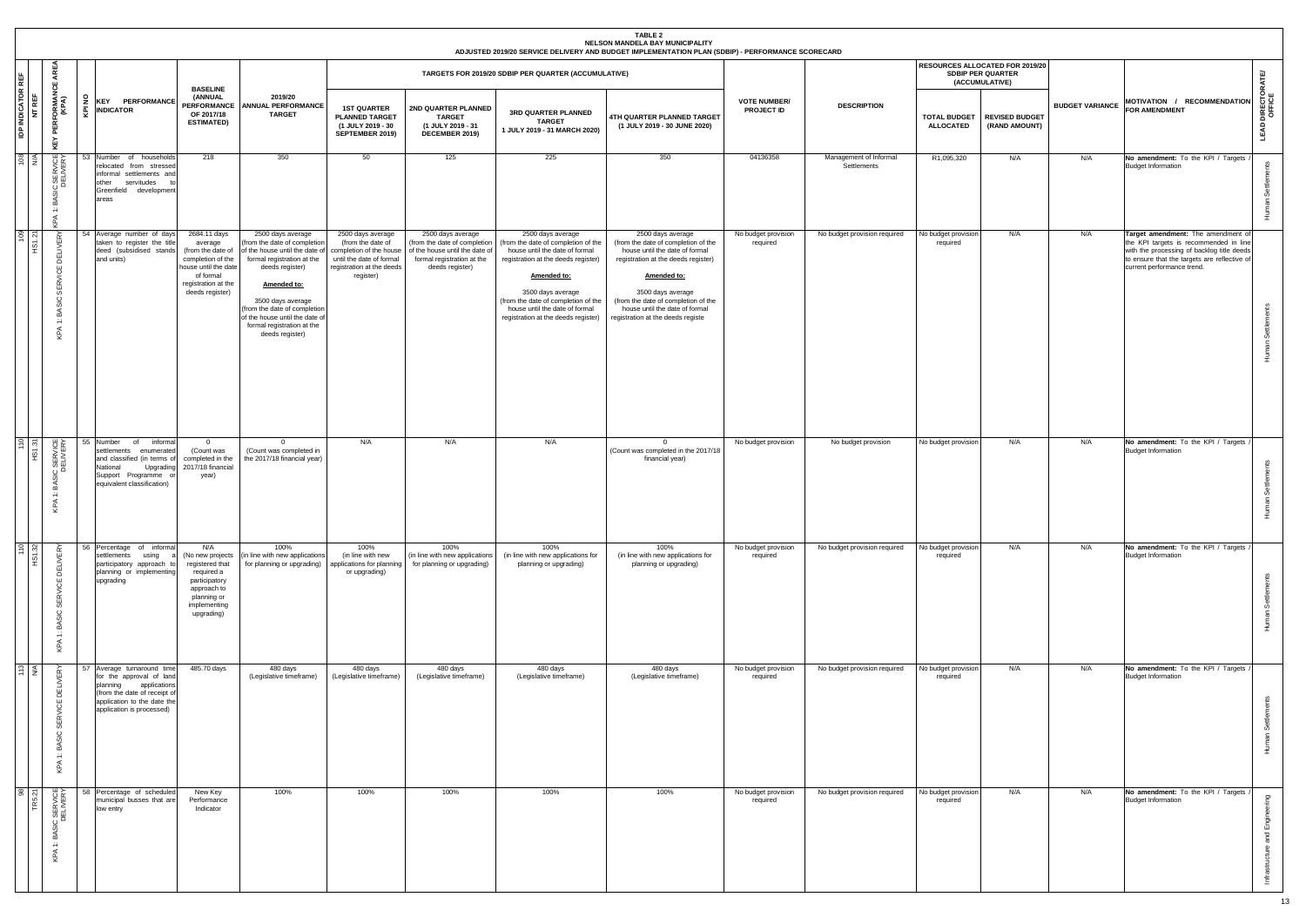|                                    |                                                                                     |                                                                                                                                                                                |                                                                                                                                                  |                                                                                                                                                                                                                                                                                           |                                                                                                                                         |                                                                                                                                      |                                                                                                                                                                                                                                                                                       | TABLE 2<br>NELSON MANDELA BAY MUNICIPALITY<br>ADJUSTED 2019/20 SERVICE DELIVERY AND BUDGET IMPLEMENTATION PLAN (SDBIP) - PERFORMANCE SCORECARD                                                                                                                                      |                                          |                                       |                                         |                                                                               |                        |                                                                                                                                                                                                          |                                |
|------------------------------------|-------------------------------------------------------------------------------------|--------------------------------------------------------------------------------------------------------------------------------------------------------------------------------|--------------------------------------------------------------------------------------------------------------------------------------------------|-------------------------------------------------------------------------------------------------------------------------------------------------------------------------------------------------------------------------------------------------------------------------------------------|-----------------------------------------------------------------------------------------------------------------------------------------|--------------------------------------------------------------------------------------------------------------------------------------|---------------------------------------------------------------------------------------------------------------------------------------------------------------------------------------------------------------------------------------------------------------------------------------|-------------------------------------------------------------------------------------------------------------------------------------------------------------------------------------------------------------------------------------------------------------------------------------|------------------------------------------|---------------------------------------|-----------------------------------------|-------------------------------------------------------------------------------|------------------------|----------------------------------------------------------------------------------------------------------------------------------------------------------------------------------------------------------|--------------------------------|
|                                    | AREA<br>쁑                                                                           |                                                                                                                                                                                |                                                                                                                                                  |                                                                                                                                                                                                                                                                                           |                                                                                                                                         |                                                                                                                                      | TARGETS FOR 2019/20 SDBIP PER QUARTER (ACCUMULATIVE)                                                                                                                                                                                                                                  |                                                                                                                                                                                                                                                                                     |                                          |                                       |                                         | RESOURCES ALLOCATED FOR 2019/20<br><b>SDBIP PER QUARTER</b><br>(ACCUMULATIVE) |                        |                                                                                                                                                                                                          | ATE                            |
| <b>IDP INDICATOR REF</b><br>NT REF | <b>PERFORMANG</b><br>(KPA)<br>KEY                                                   | E KEY PER<br><b>KEY PERFORMANCE</b>                                                                                                                                            | <b>BASELINE</b><br>(ANNUAL<br><b>PERFORMANCE</b><br>OF 2017/18<br><b>ESTIMATED)</b>                                                              | 2019/20<br><b>ANNUAL PERFORMANCE</b><br><b>TARGET</b>                                                                                                                                                                                                                                     | <b>1ST QUARTER</b><br><b>PLANNED TARGET</b><br>(1 JULY 2019 - 30<br>SEPTEMBER 2019)                                                     | 2ND QUARTER PLANNED<br><b>TARGET</b><br>(1 JULY 2019 - 31<br>DECEMBER 2019)                                                          | 3RD QUARTER PLANNED<br><b>TARGET</b><br>1 JULY 2019 - 31 MARCH 2020)                                                                                                                                                                                                                  | 4TH QUARTER PLANNED TARGET<br>(1 JULY 2019 - 30 JUNE 2020)                                                                                                                                                                                                                          | <b>VOTE NUMBER/</b><br><b>PROJECT ID</b> | <b>DESCRIPTION</b>                    | <b>TOTAL BUDGET</b><br><b>ALLOCATED</b> | <b>REVISED BUDGET</b><br>(RAND AMOUNT)                                        | <b>BUDGET VARIANCE</b> | MOTIVATION / RECOMMENDATION<br><b>FOR AMENDMENT</b>                                                                                                                                                      | <b>LEAD DIRECTOR</b><br>OFFICE |
| $\frac{108}{N}$                    | <b>IRVICE</b><br>쯨함<br>BASI<br>$\div$<br>Φ                                          | 53 Number of households<br>relocated from stressed<br>informal settlements and<br>other<br>servitudes<br>Greenfield development<br>areas                                       | 218                                                                                                                                              | 350                                                                                                                                                                                                                                                                                       | 50                                                                                                                                      | 125                                                                                                                                  | 225                                                                                                                                                                                                                                                                                   | 350                                                                                                                                                                                                                                                                                 | 04136358                                 | Management of Informal<br>Settlements | R1,095,320                              | N/A                                                                           | N/A                    | No amendment: To the KPI / Targets<br><b>Budget Information</b>                                                                                                                                          | Human Set                      |
| $\frac{109}{21}$                   | ∝<br>DELIVE<br>Ιš<br>٣D<br>$\alpha$<br>븼<br>ပ<br>BASI<br>$\div$<br>KPA              | 54 Average number of days<br>taken to register the title<br>deed (subsidised stands<br>and units)                                                                              | 2684.11 days<br>average<br>(from the date of<br>completion of the<br>house until the date<br>of formal<br>registration at the<br>deeds register) | 2500 days average<br>(from the date of completion<br>of the house until the date o<br>formal registration at the<br>deeds register)<br>Amended to:<br>3500 days average<br>(from the date of completion<br>of the house until the date o<br>formal registration at the<br>deeds register) | 2500 days average<br>(from the date of<br>completion of the house<br>until the date of formal<br>registration at the deeds<br>register) | 2500 days average<br>(from the date of completion<br>of the house until the date of<br>formal registration at the<br>deeds register) | 2500 days average<br>(from the date of completion of the<br>house until the date of formal<br>registration at the deeds register)<br>Amended to:<br>3500 days average<br>(from the date of completion of the<br>house until the date of formal<br>registration at the deeds register) | 2500 days average<br>(from the date of completion of the<br>house until the date of formal<br>registration at the deeds register)<br>Amended to:<br>3500 days average<br>(from the date of completion of the<br>house until the date of formal<br>registration at the deeds registe | No budget provision<br>required          | No budget provision required          | No budget provision<br>required         | N/A                                                                           | N/A                    | Target amendment: The amendment of<br>the KPI targets is recommended in line<br>with the processing of backlog title deeds<br>to ensure that the targets are reflective of<br>current performance trend. | Human Settlements              |
| $\frac{110}{151.31}$               | C<br>SERVICE<br>DELIVERY<br>BASIC<br>$\div$<br>KPA                                  | 55 Number<br>informal<br>of<br>settlements<br>enumerated<br>and classified (in terms of<br>Upgrading<br>National<br>Support Programme<br>equivalent classification)            | $\overline{0}$<br>(Count was<br>completed in the<br>2017/18 financial<br>year)                                                                   | $\Omega$<br>(Count was completed in<br>the 2017/18 financial year)                                                                                                                                                                                                                        | N/A                                                                                                                                     | N/A                                                                                                                                  | N/A                                                                                                                                                                                                                                                                                   | $\overline{0}$<br>(Count was completed in the 2017/18<br>financial year)                                                                                                                                                                                                            | No budget provision                      | No budget provision                   | No budget provision                     | N/A                                                                           | N/A                    | No amendment: To the KPI / Targets<br><b>Budget Information</b>                                                                                                                                          | Settlements<br>man             |
| $\frac{10}{32}$<br>$rac{5}{2}$     | $\mathbb{R}$<br><b>DELIVE</b><br>ι<br>쥰<br>မ္ဟ<br>ပ<br>BASI<br>$\ddot{r}$<br>≤<br>오 | 56 Percentage of informal<br>settlements<br>using<br>participatory approach to<br>planning or implementing<br>upgrading                                                        | N/A<br>(No new projects<br>registered that<br>required a<br>participatory<br>approach to<br>planning or<br>implementing<br>upgrading)            | 100%<br>(in line with new applications<br>for planning or upgrading)                                                                                                                                                                                                                      | 100%<br>(in line with new<br>applications for planning<br>or upgrading)                                                                 | 100%<br>(in line with new applications<br>for planning or upgrading)                                                                 | 100%<br>(in line with new applications for<br>planning or upgrading)                                                                                                                                                                                                                  | 100%<br>(in line with new applications for<br>planning or upgrading)                                                                                                                                                                                                                | No budget provision<br>required          | No budget provision required          | No budget provision<br>required         | N/A                                                                           | N/A                    | No amendment: To the KPI / Targets /<br><b>Budget Information</b>                                                                                                                                        | Human Settlements              |
| $\frac{13}{N}$                     | <b>/ER</b><br><b>DELI</b><br><b>RVICE</b><br>₩<br>്<br>ิธี<br>$\div$<br>$\leq$<br>오 | 57 Average turnaround time<br>for the approval of land<br>planning<br>applications<br>(from the date of receipt of<br>application to the date the<br>application is processed) | 485.70 days                                                                                                                                      | 480 days<br>(Legislative timeframe)                                                                                                                                                                                                                                                       | 480 days<br>(Legislative timeframe)                                                                                                     | 480 days<br>(Legislative timeframe)                                                                                                  | 480 days<br>(Legislative timeframe)                                                                                                                                                                                                                                                   | 480 days<br>(Legislative timeframe)                                                                                                                                                                                                                                                 | No budget provision<br>required          | No budget provision required          | No budget provision<br>required         | N/A                                                                           | N/A                    | No amendment: To the KPI / Targets<br><b>Budget Information</b>                                                                                                                                          | nts<br>Sett<br>೯               |
| $rac{8}{27}$<br>IR <sub>5</sub>    | C<br>SERVICE<br>DELIVERY<br>a≤<br>$\div$<br>KPA                                     | 58 Percentage of scheduled<br>municipal busses that are<br>low entry                                                                                                           | New Key<br>Performance<br>Indicator                                                                                                              | 100%                                                                                                                                                                                                                                                                                      | 100%                                                                                                                                    | 100%                                                                                                                                 | 100%                                                                                                                                                                                                                                                                                  | 100%                                                                                                                                                                                                                                                                                | No budget provision<br>required          | No budget provision required          | No budget provision<br>required         | N/A                                                                           | N/A                    | No amendment: To the KPI / Targets<br><b>Budget Information</b>                                                                                                                                          | Σņ<br>and Engir<br>உ           |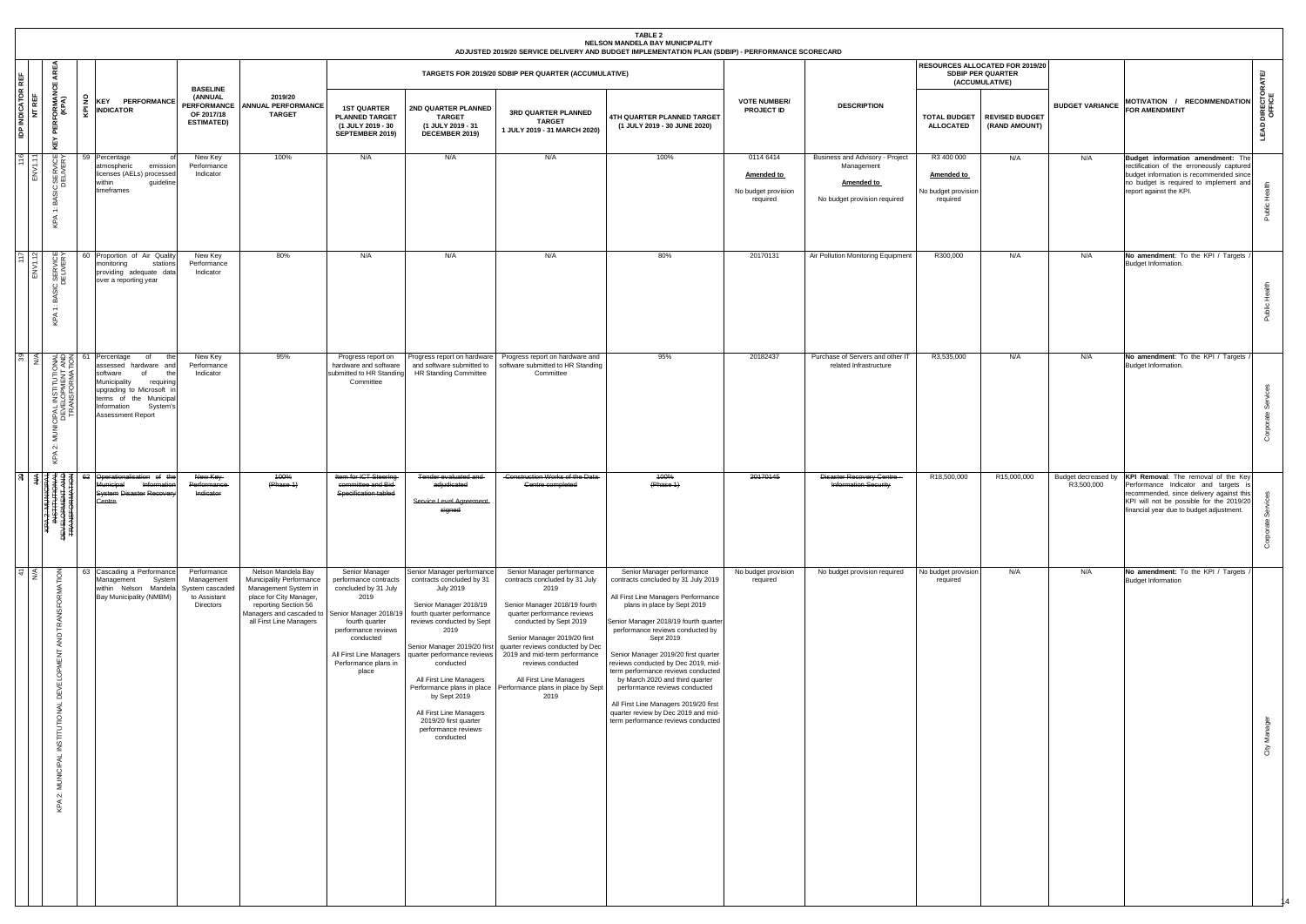|                                  | <b>TABLE 2</b><br>NELSON MANDELA BAY MUNICIPALITY<br>ADJUSTED 2019/20 SERVICE DELIVERY AND BUDGET IMPLEMENTATION PLAN (SDBIP) - PERFORMANCE SCORECARD<br>RESOURCES ALLOCATED FOR 2019/20<br>ิษี |        |                                                                                                                                                                                                              |                                                                                     |                                                                                                                                                                                                         |                                                                                                                                                                                           |                                                                                                                                                                                                                                                                                                                                                         |                                                                                                                                                                                                                                                                                                                                                                                                                             |                                                                                                                                                                                                                                                                                                                                                                                                                                                                                                                                                  |                                                            |                                                                                                    |                                                             |                                                |                                   |                                                                                                                                                                                                              |                          |
|----------------------------------|-------------------------------------------------------------------------------------------------------------------------------------------------------------------------------------------------|--------|--------------------------------------------------------------------------------------------------------------------------------------------------------------------------------------------------------------|-------------------------------------------------------------------------------------|---------------------------------------------------------------------------------------------------------------------------------------------------------------------------------------------------------|-------------------------------------------------------------------------------------------------------------------------------------------------------------------------------------------|---------------------------------------------------------------------------------------------------------------------------------------------------------------------------------------------------------------------------------------------------------------------------------------------------------------------------------------------------------|-----------------------------------------------------------------------------------------------------------------------------------------------------------------------------------------------------------------------------------------------------------------------------------------------------------------------------------------------------------------------------------------------------------------------------|--------------------------------------------------------------------------------------------------------------------------------------------------------------------------------------------------------------------------------------------------------------------------------------------------------------------------------------------------------------------------------------------------------------------------------------------------------------------------------------------------------------------------------------------------|------------------------------------------------------------|----------------------------------------------------------------------------------------------------|-------------------------------------------------------------|------------------------------------------------|-----------------------------------|--------------------------------------------------------------------------------------------------------------------------------------------------------------------------------------------------------------|--------------------------|
| REF                              | ୍କ<br>ш                                                                                                                                                                                         |        |                                                                                                                                                                                                              |                                                                                     |                                                                                                                                                                                                         |                                                                                                                                                                                           |                                                                                                                                                                                                                                                                                                                                                         | TARGETS FOR 2019/20 SDBIP PER QUARTER (ACCUMULATIVE)                                                                                                                                                                                                                                                                                                                                                                        |                                                                                                                                                                                                                                                                                                                                                                                                                                                                                                                                                  |                                                            |                                                                                                    |                                                             | <b>SDBIP PER QUARTER</b><br>(ACCUMULATIVE)     |                                   |                                                                                                                                                                                                              |                          |
| <b>IDP INDICATOR F</b><br>NT REF | <b>PERFORMANCE</b><br>(KPA)<br>KEY                                                                                                                                                              | š<br>ē | <b>KEY PERFORMANCE</b><br><b>INDICATOR</b>                                                                                                                                                                   | <b>BASELINE</b><br>(ANNUAL<br><b>PERFORMANCE</b><br>OF 2017/18<br><b>ESTIMATED)</b> | 2019/20<br><b>ANNUAL PERFORMANCE</b><br><b>TARGET</b>                                                                                                                                                   | <b>1ST QUARTER</b><br><b>PLANNED TARGET</b><br>(1 JULY 2019 - 30<br>SEPTEMBER 2019)                                                                                                       | 2ND QUARTER PLANNED<br><b>TARGET</b><br>(1 JULY 2019 - 31<br>DECEMBER 2019)                                                                                                                                                                                                                                                                             | 3RD QUARTER PLANNED<br><b>TARGET</b><br>1 JULY 2019 - 31 MARCH 2020)                                                                                                                                                                                                                                                                                                                                                        | 4TH QUARTER PLANNED TARGET<br>(1 JULY 2019 - 30 JUNE 2020)                                                                                                                                                                                                                                                                                                                                                                                                                                                                                       | <b>VOTE NUMBER/</b><br><b>PROJECT ID</b>                   | <b>DESCRIPTION</b>                                                                                 | <b>ALLOCATED</b>                                            | TOTAL BUDGET   REVISED BUDGET<br>(RAND AMOUNT) | <b>BUDGET VARIANCE</b>            | MOTIVATION / RECOMMENDATION                                                                                                                                                                                  | DIRECT<br>OFFICE<br>LEAD |
| 16                               | C<br>DELIVERY<br>ပ<br>စ<br>54<br>$\div$<br>≤<br>오                                                                                                                                               |        | 59 Percentage<br>atmospheric<br>emission<br>licenses (AELs) processed<br>guideline<br>within<br>timeframes                                                                                                   | New Key<br>Performance<br>Indicator                                                 | 100%                                                                                                                                                                                                    | N/A                                                                                                                                                                                       | N/A                                                                                                                                                                                                                                                                                                                                                     | N/A                                                                                                                                                                                                                                                                                                                                                                                                                         | 100%                                                                                                                                                                                                                                                                                                                                                                                                                                                                                                                                             | 0114 6414<br>Amended to<br>No budget provision<br>required | Business and Advisory - Project<br>Management<br><b>Amended to</b><br>No budget provision required | R3 400 000<br>Amended to<br>No budget provision<br>required | N/A                                            | N/A                               | Budget information amendment: The<br>rectification of the erroneously captured<br>budget information is recommended since<br>no budget is required to implement and<br>report against the KPI.               | Ĭ                        |
| $\frac{6}{2}$                    | C SERVICE<br>DELIVERY<br>മ്<br>$\div$<br>$\prec$<br>오                                                                                                                                           |        | 60 Proportion of Air Quality<br>monitoring<br>stations<br>providing adequate data<br>over a reporting year                                                                                                   | New Key<br>Performance<br>Indicator                                                 | 80%                                                                                                                                                                                                     | N/A                                                                                                                                                                                       | N/A                                                                                                                                                                                                                                                                                                                                                     | N/A                                                                                                                                                                                                                                                                                                                                                                                                                         | 80%                                                                                                                                                                                                                                                                                                                                                                                                                                                                                                                                              | 20170131                                                   | Air Pollution Monitoring Equipment                                                                 | R300,000                                                    | N/A                                            | N/A                               | No amendment: To the KPI / Targets /<br>Budget Information.                                                                                                                                                  | blic                     |
| $\frac{9}{2}$                    | JTIONAL<br>ENT AND<br>MATION<br>UNICIPAL INST<br>DEVELOP<br>್≅<br>$\sim$<br>KPA                                                                                                                 | 61     | of<br>Percentage<br>the<br>assessed hardware and<br>of<br>software<br>the<br>Municipality<br>requiring<br>upgrading to Microsoft ir<br>terms of the Municipa<br>Information<br>System's<br>Assessment Report | New Key<br>Performance<br>Indicator                                                 | 95%                                                                                                                                                                                                     | Progress report on<br>hardware and software<br>submitted to HR Standing<br>Committee                                                                                                      | Progress report on hardware<br>and software submitted to<br><b>HR Standing Committee</b>                                                                                                                                                                                                                                                                | Progress report on hardware and<br>software submitted to HR Standing<br>Committee                                                                                                                                                                                                                                                                                                                                           | 95%                                                                                                                                                                                                                                                                                                                                                                                                                                                                                                                                              | 20182437                                                   | Purchase of Servers and other IT<br>related Infrastructure                                         | R3,535,000                                                  | N/A                                            | N/A                               | No amendment: To the KPI / Targets /<br>Budget Information.                                                                                                                                                  | Ŏ<br>වි                  |
| $\mathcal{R}$                    | ≹≰ई≹है<br>list .<br><b>HYEL</b><br>TRAP                                                                                                                                                         |        | 62 Operationalisation of the<br>Information<br>Aunicipal<br><b>System Disaster Recovery</b><br>Gentre                                                                                                        | New Key-<br>Performance-<br>Indicator                                               | 100%<br>(Phase 1)                                                                                                                                                                                       | Item for ICT Steering<br>committee and Bid-<br>Specification tabled                                                                                                                       | Tender evaluated and<br>adjudicated<br>Service Level Agreement<br>signed                                                                                                                                                                                                                                                                                | Construction Works of the Data-<br>Centre completed                                                                                                                                                                                                                                                                                                                                                                         | 400%<br>(Phase 1)                                                                                                                                                                                                                                                                                                                                                                                                                                                                                                                                | 20170145                                                   | Disaster Recovery Centre -<br><b>Information Security</b>                                          | R18,500,000                                                 | R15,000,000                                    | Budget decreased by<br>R3,500,000 | KPI Removal: The removal of the Key<br>Performance Indicator and targets<br>recommended, since delivery against this<br>KPI will not be possible for the 2019/20<br>financial year due to budget adjustment. | ക്                       |
| $\frac{1}{4}$                    | $\tilde{\mathsf{Q}}$<br>TRANSFORMA <sup>-</sup><br>AND<br>MENT<br>/ELO<br>Ë<br><b>TITUTIONAL</b><br>š<br>CIPAL<br>$\ddot{\sim}$<br>KPA                                                          |        | 63 Cascading a Performance<br>System<br>Management<br>within Nelson Mandela<br>Bay Municipality (NMBM)                                                                                                       | Performance<br>Management<br>System cascaded<br>to Assistant<br>Directors           | Nelson Mandela Bay<br>Municipality Performance<br>Management System in<br>place for City Manager,<br>reporting Section 56<br>Managers and cascaded to Senior Manager 2018/19<br>all First Line Managers | Senior Manager<br>performance contracts<br>concluded by 31 July<br>2019<br>fourth quarter<br>performance reviews<br>conducted<br>All First Line Managers<br>Performance plans in<br>place | Senior Manager performance<br>contracts concluded by 31<br><b>July 2019</b><br>Senior Manager 2018/19<br>fourth quarter performance<br>reviews conducted by Sept<br>2019<br>quarter performance reviews<br>conducted<br>All First Line Managers<br>by Sept 2019<br>All First Line Managers<br>2019/20 first quarter<br>performance reviews<br>conducted | Senior Manager performance<br>contracts concluded by 31 July<br>2019<br>Senior Manager 2018/19 fourth<br>quarter performance reviews<br>conducted by Sept 2019<br>Senior Manager 2019/20 first<br>Senior Manager 2019/20 first quarter reviews conducted by Dec<br>2019 and mid-term performance<br>reviews conducted<br>All First Line Managers<br>Performance plans in place   Performance plans in place by Sept<br>2019 | Senior Manager performance<br>contracts concluded by 31 July 2019<br>All First Line Managers Performance<br>plans in place by Sept 2019<br>Senior Manager 2018/19 fourth quarter<br>performance reviews conducted by<br>Sept 2019<br>Senior Manager 2019/20 first quarter<br>reviews conducted by Dec 2019, mid-<br>term performance reviews conducted<br>by March 2020 and third quarter<br>performance reviews conducted<br>All First Line Managers 2019/20 first<br>quarter review by Dec 2019 and mid-<br>term performance reviews conducted | No budget provision<br>required                            | No budget provision required                                                                       | No budget provision<br>required                             | N/A                                            | N/A                               | No amendment: To the KPI / Targets /<br><b>Budget Information</b>                                                                                                                                            | Ĝ                        |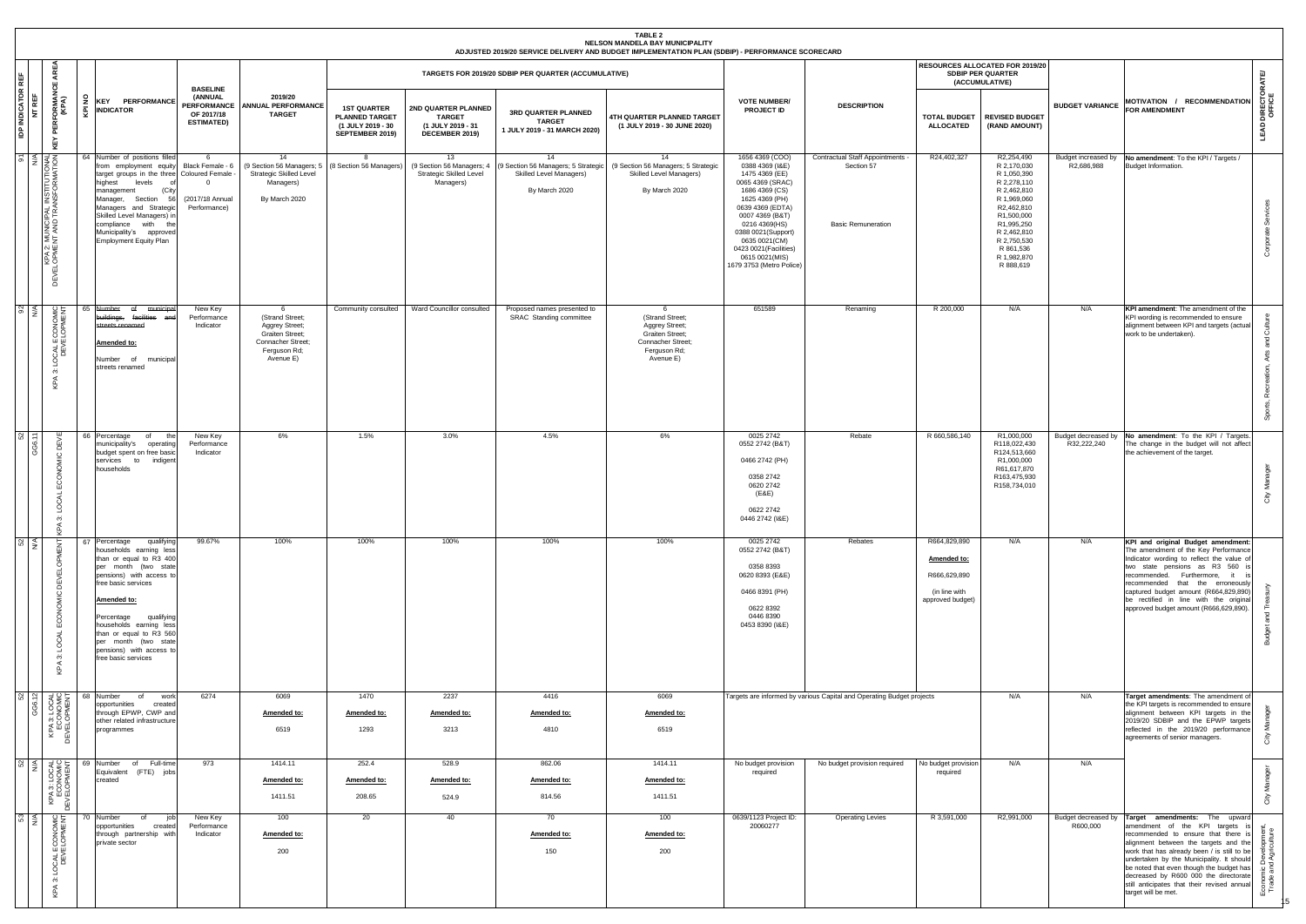|                                    |                                                                                              |           |                                                                                                                                                                                                                                                                                                                                          |                                                                                     |                                                                                                                    |                                                                                     |                                                                             |                                                                      | TABLE 2<br>NELSON MANDELA BAY MUNICIPALITY<br>ADJUSTED 2019/20 SERVICE DELIVERY AND BUDGET IMPLEMENTATION PLAN (SDBIP) - PERFORMANCE SCORECARD         |                                                                                                                                                                                                                                                                                     |                                                                             |                                                                                  |                                                                                                                                                                                                        |                                   |                                                                                                                                                                                                                                                                                                                                                                                                                             |                              |
|------------------------------------|----------------------------------------------------------------------------------------------|-----------|------------------------------------------------------------------------------------------------------------------------------------------------------------------------------------------------------------------------------------------------------------------------------------------------------------------------------------------|-------------------------------------------------------------------------------------|--------------------------------------------------------------------------------------------------------------------|-------------------------------------------------------------------------------------|-----------------------------------------------------------------------------|----------------------------------------------------------------------|--------------------------------------------------------------------------------------------------------------------------------------------------------|-------------------------------------------------------------------------------------------------------------------------------------------------------------------------------------------------------------------------------------------------------------------------------------|-----------------------------------------------------------------------------|----------------------------------------------------------------------------------|--------------------------------------------------------------------------------------------------------------------------------------------------------------------------------------------------------|-----------------------------------|-----------------------------------------------------------------------------------------------------------------------------------------------------------------------------------------------------------------------------------------------------------------------------------------------------------------------------------------------------------------------------------------------------------------------------|------------------------------|
|                                    | 쁑                                                                                            |           |                                                                                                                                                                                                                                                                                                                                          |                                                                                     |                                                                                                                    |                                                                                     |                                                                             | TARGETS FOR 2019/20 SDBIP PER QUARTER (ACCUMULATIVE)                 |                                                                                                                                                        |                                                                                                                                                                                                                                                                                     |                                                                             |                                                                                  | RESOURCES ALLOCATED FOR 2019/20<br><b>SDBIP PER QUARTER</b><br>(ACCUMULATIVE)                                                                                                                          |                                   |                                                                                                                                                                                                                                                                                                                                                                                                                             | ATE                          |
| <b>IDP INDICATOR REF</b><br>NT REF | <b>CORMAN</b><br>(KPA)<br>풑<br>뿐<br>≻<br>ບ                                                   | £         | KEY PERFORMANCE<br>$\frac{1}{2}$ INDICATOR                                                                                                                                                                                                                                                                                               | <b>BASELINE</b><br>(ANNUAL<br><b>PERFORMANCE</b><br>OF 2017/18<br><b>ESTIMATED)</b> | 2019/20<br><b>ANNUAL PERFORMANCE</b><br><b>TARGET</b>                                                              | <b>1ST QUARTER</b><br><b>PLANNED TARGET</b><br>(1 JULY 2019 - 30<br>SEPTEMBER 2019) | 2ND QUARTER PLANNED<br><b>TARGET</b><br>(1 JULY 2019 - 31<br>DECEMBER 2019) | 3RD QUARTER PLANNED<br><b>TARGET</b><br>1 JULY 2019 - 31 MARCH 2020) | 4TH QUARTER PLANNED TARGET<br>(1 JULY 2019 - 30 JUNE 2020)                                                                                             | <b>VOTE NUMBER/</b><br><b>PROJECT ID</b>                                                                                                                                                                                                                                            | <b>DESCRIPTION</b>                                                          | <b>TOTAL BUDGET</b><br><b>ALLOCATED</b>                                          | <b>REVISED BUDGET</b><br>(RAND AMOUNT)                                                                                                                                                                 | <b>BUDGET VARIANCE</b>            | MOTIVATION / RECOMMENDATION<br><b>FOR AMENDMENT</b>                                                                                                                                                                                                                                                                                                                                                                         | ភូមិ<br>DIRE<br>OFFI<br>LEAD |
|                                    | ELOPMENT AND TRANSFORMATION K<br>HAR 2: MUNICIPAL INSTITUTIONAL<br>IND TRANSFORMATION K<br>뷤 |           | 64 Number of positions filled<br>from employment equity<br>target groups in the three Coloured Female<br>highest<br>levels<br>(City<br>management<br>Section<br>Manager,<br>- 56<br>Managers and Strategic<br>Skilled Level Managers) in<br>compliance<br>with<br>the<br>Municipality's approved<br><b>Employment Equity Plan</b>        | - 6<br>Black Female - 6<br>$\Omega$<br>(2017/18 Annual<br>Performance)              | 14<br>(9 Section 56 Managers; 5<br><b>Strategic Skilled Level</b><br>Managers)<br>By March 2020                    | <b>R</b><br>(8 Section 56 Managers)                                                 | 13<br><b>Strategic Skilled Level</b><br>Managers)                           | 14<br>Skilled Level Managers)<br>By March 2020                       | 14<br>(9 Section 56 Managers: 4   (9 Section 56 Managers: 5 Strategic) (9 Section 56 Managers: 5 Strategic<br>Skilled Level Managers)<br>By March 2020 | 1656 4369 (COO)<br>0388 4369 (I&E)<br>1475 4369 (EE)<br>0065 4369 (SRAC)<br>1686 4369 (CS)<br>1625 4369 (PH)<br>0639 4369 (EDTA)<br>0007 4369 (B&T)<br>0216 4369(HS)<br>0388 0021(Support)<br>0635 0021(CM)<br>0423 0021 (Facilities)<br>0615 0021(MIS)<br>1679 3753 (Metro Police) | Contractual Staff Appointments -<br>Section 57<br><b>Basic Remuneration</b> | R24,402,327                                                                      | R2,254,490<br>R 2,170,030<br>R 1,050,390<br>R 2,278,110<br>R 2,462,810<br>R 1,969,060<br>R2,462,810<br>R1,500,000<br>R1,995,250<br>R 2,462,810<br>R 2,750,530<br>R 861,536<br>R 1,982,870<br>R 888,619 | Budget increased by<br>R2,686,988 | No amendment: To the KPI / Targets /<br>Budget Information.                                                                                                                                                                                                                                                                                                                                                                 | Ō                            |
| $rac{92}{N/A}$                     | 25<br>ECONOM<br>VELOPME<br><b>DEN</b><br>$\bar{6}$<br>က်                                     | 65        | Number<br>ef<br>municipa<br><del>buildings,</del><br>facilities and<br>streets renamed<br>Amended to:<br>Number of municipal<br>streets renamed                                                                                                                                                                                          | New Key<br>Performance<br>Indicator                                                 | 6<br>(Strand Street;<br>Aggrey Street;<br><b>Graiten Street:</b><br>Connacher Street;<br>Ferguson Rd;<br>Avenue E) | Community consulted                                                                 | Ward Councillor consulted                                                   | Proposed names presented to<br>SRAC Standing committee               | - 6<br>(Strand Street;<br>Aggrey Street;<br><b>Graiten Street;</b><br>Connacher Street;<br>Ferguson Rd;<br>Avenue E)                                   | 651589                                                                                                                                                                                                                                                                              | Renaming                                                                    | R 200,000                                                                        | N/A                                                                                                                                                                                                    | N/A                               | KPI amendment: The amendment of the<br>KPI wording is recommended to ensure<br>alignment between KPI and targets (actual<br>work to be undertaken).                                                                                                                                                                                                                                                                         | Ō<br>$\alpha$                |
| $\frac{1}{2}$                      | 一<br>GG6.<br>ă<br>$\circ$<br>ğ<br>ᡨ                                                          |           | 66 Percentage<br>of<br>th<br>municipality's<br>operating<br>budget spent on free basic<br>services to indigen<br>households                                                                                                                                                                                                              | New Key<br>Performance<br>Indicator                                                 | 6%                                                                                                                 | 1.5%                                                                                | 3.0%                                                                        | 4.5%                                                                 | 6%                                                                                                                                                     | 0025 2742<br>0552 2742 (B&T)<br>0466 2742 (PH)<br>0358 2742<br>0620 2742<br>(E&E)<br>0622 2742<br>0446 2742 (I&E)                                                                                                                                                                   | Rebate                                                                      | R 660,586,140                                                                    | R1,000,000<br>R118,022,430<br>R124,513,660<br>R1,000,000<br>R61,617,870<br>R163,475,930<br>R158,734,010                                                                                                | R32,222,240                       | Budget decreased by No amendment: To the KPI / Targets.<br>The change in the budget will not affect<br>the achievement of the target.                                                                                                                                                                                                                                                                                       | Σ<br>ō                       |
| 52<br>WA                           | E<br>岂<br>്<br>ECOM<br>LOCAL<br>က်<br>KPA                                                    |           | 67 Percentage<br>qualifying<br>households earning less<br>than or equal to R3 400<br>per month (two state<br>pensions) with access to<br>free basic services<br>Amended to:<br>qualifying<br>Percentage<br>households earning less<br>than or equal to R3 560<br>per month (two state<br>pensions) with access to<br>free basic services | 99.67%                                                                              | 100%                                                                                                               | 100%                                                                                | 100%                                                                        | 100%                                                                 | 100%                                                                                                                                                   | 0025 2742<br>0552 2742 (B&T)<br>0358 8393<br>0620 8393 (E&E)<br>0466 8391 (PH)<br>0622 8392<br>0446 8390<br>0453 8390 (I&E)                                                                                                                                                         | Rebates                                                                     | R664,829,890<br>Amended to:<br>R666,629,890<br>(in line with<br>approved budget) | N/A                                                                                                                                                                                                    | N/A                               | KPI and original Budget amendment:<br>The amendment of the Key Performance<br>Indicator wording to reflect the value of<br>two state pensions as R3 560 i<br>recommended. Furthermore, it<br>recommended that the erroneously<br>captured budget amount (R664,829,890)<br>be rectified in line with the original<br>approved budget amount (R666,629,890).                                                                  |                              |
| 52<br>12                           | KPA 3: LOCAL<br>ECONOMIC<br>EVELOPMENT<br>GG6.                                               | 68<br>旨   | Number<br>of<br>work<br>opportunities<br>created<br>through EPWP, CWP and<br>other related infrastructure<br>programmes                                                                                                                                                                                                                  | 6274                                                                                | 6069<br>Amended to:<br>6519                                                                                        | 1470<br>Amended to:<br>1293                                                         | 2237<br>Amended to:<br>3213                                                 | 4416<br>Amended to:<br>4810                                          | 6069<br>Amended to:<br>6519                                                                                                                            |                                                                                                                                                                                                                                                                                     | Targets are informed by various Capital and Operating Budget projects       |                                                                                  | N/A                                                                                                                                                                                                    | N/A                               | Target amendments: The amendment of<br>the KPI targets is recommended to ensure<br>alignment between KPI targets in the<br>2019/20 SDBIP and the EPWP targets<br>reflected in the 2019/20 performance<br>agreements of senior managers.                                                                                                                                                                                     | Σ<br>ੰ                       |
| 52<br>N/A                          | KPA 3: LOCAL<br>ECONOMIC<br>DEVELOPMENT                                                      | 69<br>DEV | of Full-time<br>Number<br>Equivalent (FTE) jobs<br>created                                                                                                                                                                                                                                                                               | 973                                                                                 | 1414.11<br>Amended to:<br>1411.51                                                                                  | 252.4<br>Amended to:<br>208.65                                                      | 528.9<br>Amended to:<br>524.9                                               | 862.06<br>Amended to:<br>814.56                                      | 1414.11<br><u>Amended to:</u><br>1411.51                                                                                                               | No budget provision<br>required                                                                                                                                                                                                                                                     | No budget provision required                                                | No budget provision<br>required                                                  | N/A                                                                                                                                                                                                    | N/A                               |                                                                                                                                                                                                                                                                                                                                                                                                                             | Σ<br>õ                       |
| $\frac{53}{N}$                     | <b>CONDING</b><br>DEVELOPMENT<br>$\overline{0}$<br>က်<br>⋖                                   |           | 70 Number<br>of<br>iot<br>opportunities<br>created<br>through partnership with<br>private sector                                                                                                                                                                                                                                         | New Key<br>Performance<br>Indicator                                                 | 100<br>Amended to:<br>200                                                                                          | 20                                                                                  | 40                                                                          | 70<br>Amended to:<br>150                                             | 100<br><u>Amended to:</u><br>200                                                                                                                       | 0639/1123 Project ID:<br>20060277                                                                                                                                                                                                                                                   | <b>Operating Levies</b>                                                     | R 3,591,000                                                                      | R2,991,000                                                                                                                                                                                             | R600,000                          | Budget decreased by Target amendments: The upward<br>amendment of the KPI targets is<br>recommended to ensure that there is<br>alignment between the targets and the<br>work that has already been / is still to be<br>undertaken by the Municipality. It should<br>be noted that even though the budget has<br>decreased by R600 000 the directorate<br>still anticipates that their revised annual<br>target will be met. | 을 훔                          |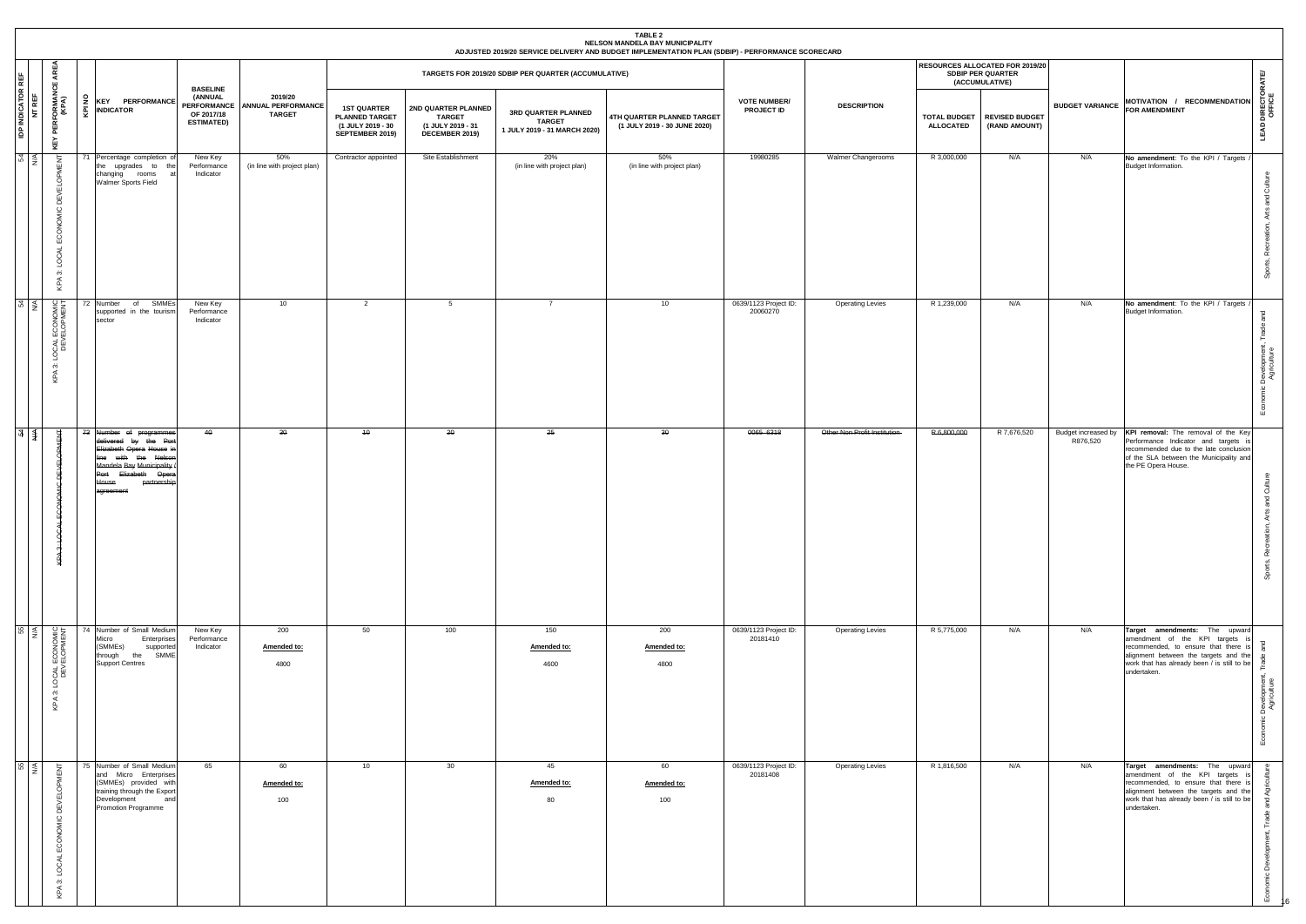|                                  |                                                         |                                                                                                                                                                                                 |                                                               |                                                            |                                                                                     |                                                                             |                                                                      | TABLE 2<br>NELSON MANDELA BAY MUNICIPALITY<br>ADJUSTED 2019/20 SERVICE DELIVERY AND BUDGET IMPLEMENTATION PLAN (SDBIP) - PERFORMANCE SCORECARD |                                          |                               |                                         |                                                                               |                        |                                                                                                                                                                                                                 |                                                         |
|----------------------------------|---------------------------------------------------------|-------------------------------------------------------------------------------------------------------------------------------------------------------------------------------------------------|---------------------------------------------------------------|------------------------------------------------------------|-------------------------------------------------------------------------------------|-----------------------------------------------------------------------------|----------------------------------------------------------------------|------------------------------------------------------------------------------------------------------------------------------------------------|------------------------------------------|-------------------------------|-----------------------------------------|-------------------------------------------------------------------------------|------------------------|-----------------------------------------------------------------------------------------------------------------------------------------------------------------------------------------------------------------|---------------------------------------------------------|
| REF                              | Ę<br>ш                                                  |                                                                                                                                                                                                 |                                                               |                                                            |                                                                                     |                                                                             | TARGETS FOR 2019/20 SDBIP PER QUARTER (ACCUMULATIVE)                 |                                                                                                                                                |                                          |                               |                                         | <b>RESOURCES ALLOCATED FOR 2019/20</b><br>SDBIP PER QUARTER<br>(ACCUMULATIVE) |                        |                                                                                                                                                                                                                 |                                                         |
| <b>IDP INDICATOR I</b><br>NT REF | ' PERFORMANO<br>(KPA)<br>KEY                            | $\frac{6}{2}$ KEY PERFORMANCE<br>$\overline{\mathbf{Q}}$ <b>INDICATOR</b>                                                                                                                       | <b>BASELINE</b><br>(ANNUAL<br>OF 2017/18<br><b>ESTIMATED)</b> | 2019/20<br>PERFORMANCE ANNUAL PERFORMANCE<br><b>TARGET</b> | <b>1ST QUARTER</b><br><b>PLANNED TARGET</b><br>(1 JULY 2019 - 30<br>SEPTEMBER 2019) | 2ND QUARTER PLANNED<br><b>TARGET</b><br>(1 JULY 2019 - 31<br>DECEMBER 2019) | 3RD QUARTER PLANNED<br><b>TARGET</b><br>1 JULY 2019 - 31 MARCH 2020) | 4TH QUARTER PLANNED TARGET<br>(1 JULY 2019 - 30 JUNE 2020)                                                                                     | <b>VOTE NUMBER/</b><br><b>PROJECT ID</b> | <b>DESCRIPTION</b>            | <b>TOTAL BUDGET</b><br><b>ALLOCATED</b> | <b>REVISED BUDGET</b><br>(RAND AMOUNT)                                        | <b>BUDGET VARIANCE</b> | MOTIVATION / RECOMMENDATION<br><b>FOR AMENDMENT</b>                                                                                                                                                             | <b>LEAD DIRECTORATE/</b><br>OFFICE                      |
| 54                               | <b>MENT</b><br>ECONOMIC DEVELO<br>KPA 3: LOCAL          | 71 Percentage completion of<br>the upgrades to the<br>changing rooms<br>Walmer Sports Field                                                                                                     | New Key<br>Performance<br>Indicator                           | 50%<br>(in line with project plan)                         | Contractor appointed                                                                | Site Establishment                                                          | 20%<br>(in line with project plan)                                   | 50%<br>(in line with project plan)                                                                                                             | 19980285                                 | Walmer Changerooms            | R 3,000,000                             | N/A                                                                           | N/A                    | No amendment: To the KPI / Targets<br>Budget Information.                                                                                                                                                       | 흉<br>and<br>Arts<br>Recr<br>Sports,                     |
| 54                               | LOCAL ECONOMIC<br>DEVELOPMENT<br>$\ddot{\infty}$<br>KPA | of SMMEs<br>72 Number<br>supported in the tourism<br>sector                                                                                                                                     | New Key<br>Performance<br>Indicator                           | 10                                                         | $\overline{2}$                                                                      | 5                                                                           | 7                                                                    | 10                                                                                                                                             | 0639/1123 Project ID:<br>20060270        | <b>Operating Levies</b>       | R 1,239,000                             | N/A                                                                           | N/A                    | No amendment: To the KPI / Targets<br>Budget Information.                                                                                                                                                       | pue<br>Trade<br>Development,<br>Agriculture<br><u>ي</u> |
| $\frac{1}{4}$ $\leq$             | 峕<br>KPA 3: LOCA                                        | 73 Number of programmes<br>delivered by the Port<br>Elizabeth Opera House in<br>line with the Nelson<br>Mandela Bay Municipality /<br>Port Elizabeth Opera<br>partnership<br>House<br>agreement | 40                                                            | 30                                                         | 40                                                                                  | 20                                                                          | 25                                                                   | 30                                                                                                                                             | 0065 6318                                | Other Non Profit Institution- | R 6,800,000                             | R 7,676,520                                                                   | R876,520               | Budget increased by KPI removal: The removal of the Key<br>Performance Indicator and targets is<br>recommended due to the late conclusion<br>of the SLA between the Municipality and<br>the PE Opera House.     | ō<br>and<br>Recr<br>Sports,                             |
| <br>55                           | LOCAL ECONOMIC<br>DEVELOPMENT<br>$\ddot{\infty}$<br>KPA | 74 Number of Small Medium<br>Micro<br>Enterprises<br>(SMMEs)<br>supported<br>through the SMME<br><b>Support Centres</b>                                                                         | New Key<br>Performance<br>Indicator                           | 200<br>Amended to:<br>4800                                 | 50                                                                                  | 100                                                                         | 150<br>Amended to:<br>4600                                           | 200<br>Amended to:<br>4800                                                                                                                     | 0639/1123 Project ID:<br>20181410        | <b>Operating Levies</b>       | R 5,775,000                             | N/A                                                                           | N/A                    | Target amendments: The upward<br>amendment of the KPI targets is<br>recommended, to ensure that there is<br>alignment between the targets and the<br>work that has already been / is still to be<br>undertaken. | Development<br>Agriculture<br>$\overline{\omega}$       |
| 55                               | KPA 3: LOCAL ECONOMIC DEVELOPMENT                       | 75 Number of Small Medium<br>and Micro Enterprises<br>(SMMEs) provided with<br>training through the Export<br>Development<br>and<br>Promotion Programme                                         | 65                                                            | 60<br>Amended to:<br>100                                   | 10                                                                                  | 30                                                                          | 45<br>Amended to:<br>80                                              | 60<br>Amended to:<br>100                                                                                                                       | 0639/1123 Project ID:<br>20181408        | <b>Operating Levies</b>       | R 1,816,500                             | N/A                                                                           | N/A                    | Target amendments: The upward<br>amendment of the KPI targets is<br>recommended, to ensure that there is<br>alignment between the targets and the<br>work that has already been / is still to be<br>undertaken. | ᅙ<br>වී<br>$\overline{a}$                               |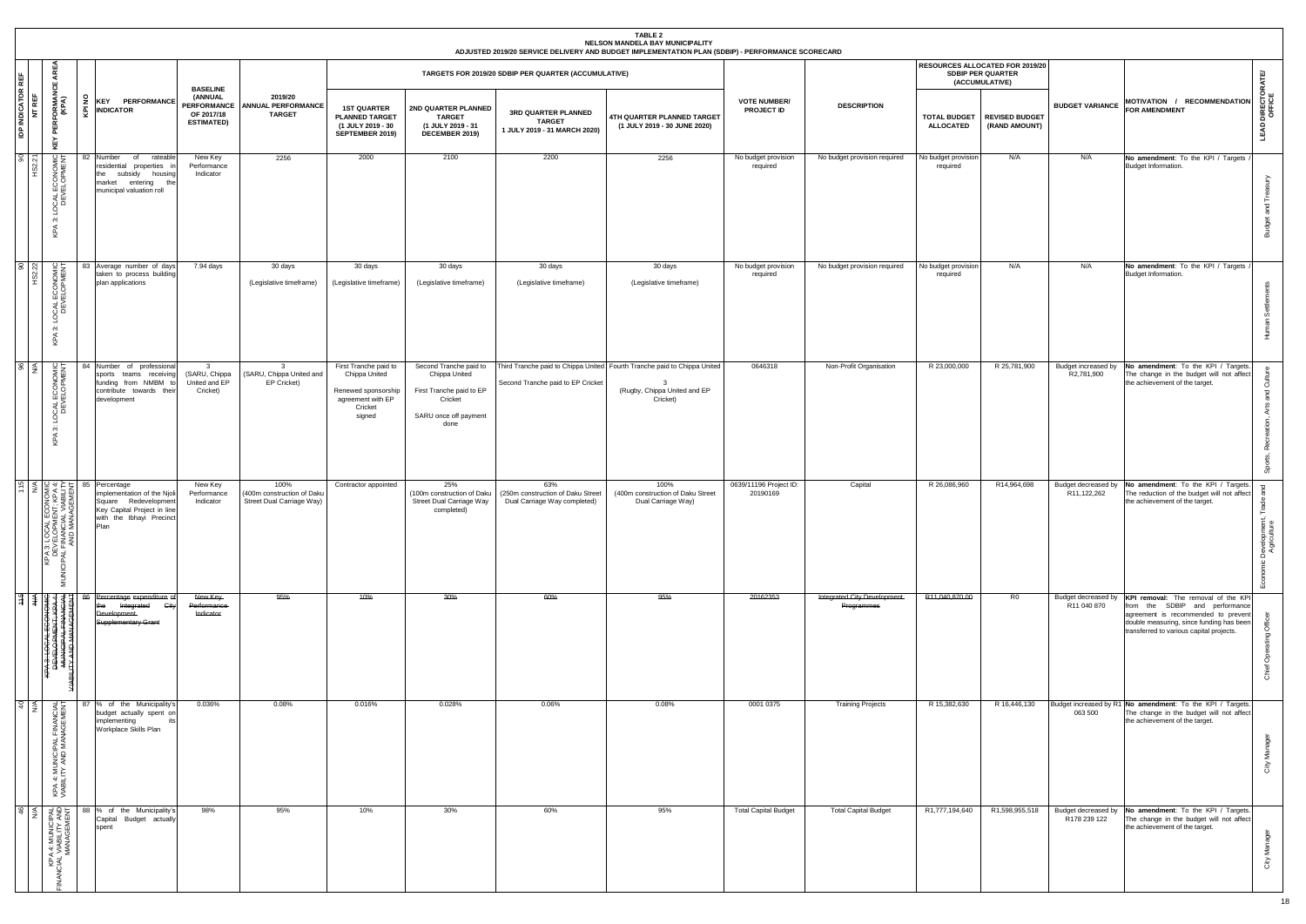|                                    |                                                                                                                                   |                  |                                                                                                                                                                                                                                                                              |          |                                                                              |                                                                    |                                                                                                         |                                                                                                                 |                                                                          | <b>TABLE 2</b><br>NELSON MANDELA BAY MUNICIPALITY<br>ADJUSTED 2019/20 SERVICE DELIVERY AND BUDGET IMPLEMENTATION PLAN (SDBIP) - PERFORMANCE SCORECARD |                                    |                                            |                                         |                                                                               |                                     |                                                                                                                                                                                                      |                                        |
|------------------------------------|-----------------------------------------------------------------------------------------------------------------------------------|------------------|------------------------------------------------------------------------------------------------------------------------------------------------------------------------------------------------------------------------------------------------------------------------------|----------|------------------------------------------------------------------------------|--------------------------------------------------------------------|---------------------------------------------------------------------------------------------------------|-----------------------------------------------------------------------------------------------------------------|--------------------------------------------------------------------------|-------------------------------------------------------------------------------------------------------------------------------------------------------|------------------------------------|--------------------------------------------|-----------------------------------------|-------------------------------------------------------------------------------|-------------------------------------|------------------------------------------------------------------------------------------------------------------------------------------------------------------------------------------------------|----------------------------------------|
|                                    | <b>AREA</b><br>LШ.                                                                                                                |                  |                                                                                                                                                                                                                                                                              |          |                                                                              |                                                                    |                                                                                                         |                                                                                                                 | TARGETS FOR 2019/20 SDBIP PER QUARTER (ACCUMULATIVE)                     |                                                                                                                                                       |                                    |                                            |                                         | RESOURCES ALLOCATED FOR 2019/20<br><b>SDBIP PER QUARTER</b><br>(ACCUMULATIVE) |                                     |                                                                                                                                                                                                      | ATE                                    |
| <b>IDP INDICATOR REF</b><br>NT REF | <b>PERFORMANO</b><br>(KPA)<br>KEY                                                                                                 | ă<br>ē           | <b>KEY PERFORMANCE</b><br><b>INDICATOR</b>                                                                                                                                                                                                                                   |          | <b>BASELINE</b><br>(ANNUAL<br>PERFORMANCE<br>OF 2017/18<br><b>ESTIMATED)</b> | 2019/20<br><b>ANNUAL PERFORMANCE</b><br><b>TARGET</b>              | <b>1ST QUARTER</b><br><b>PLANNED TARGET</b><br>(1 JULY 2019 - 30<br>SEPTEMBER 2019)                     | 2ND QUARTER PLANNED<br><b>TARGET</b><br>(1 JULY 2019 - 31<br>DECEMBER 2019)                                     | 3RD QUARTER PLANNED<br><b>TARGET</b><br>1 JULY 2019 - 31 MARCH 2020)     | 4TH QUARTER PLANNED TARGET<br>(1 JULY 2019 - 30 JUNE 2020)                                                                                            | <b>VOTE NUMBER/</b><br>PROJECT ID  | <b>DESCRIPTION</b>                         | <b>TOTAL BUDGET</b><br><b>ALLOCATED</b> | <b>REVISED BUDGET</b><br>(RAND AMOUNT)                                        | <b>BUDGET VARIANCE</b>              | MOTIVATION / RECOMMENDATION<br><b>FOR AMENDMENT</b>                                                                                                                                                  | <b>LEAD DIRECTORA</b><br>OFFICE        |
| 9O                                 | LOCAL ECONOMI<br>DEVELOPMEN<br>$\ddot{\rm o}$<br>$\prec$<br>ξĹ,                                                                   | <b>AIC</b><br>NT | 82 Number<br>of<br>residential properties in<br>the subsidy housing<br>market<br>entering the<br>municipal valuation roll                                                                                                                                                    | rateable | New Key<br>Performance<br>Indicator                                          | 2256                                                               | 2000                                                                                                    | 2100                                                                                                            | 2200                                                                     | 2256                                                                                                                                                  | No budget provision<br>required    | No budget provision required               | No budget provision<br>required         | N/A                                                                           | N/A                                 | No amendment: To the KPI / Targets<br>Budget Information.                                                                                                                                            | Trea<br>and<br><b>Budget</b>           |
| 85                                 | LOCAL ECONOMIC<br>DEVELOPMENT<br>က<br>KPA                                                                                         |                  | Average number of days<br>83<br>taken to process building<br>plan applications                                                                                                                                                                                               |          | 7.94 days                                                                    | 30 days<br>(Legislative timeframe)                                 | 30 days<br>(Legislative timeframe)                                                                      | 30 days<br>(Legislative timeframe)                                                                              | 30 days<br>(Legislative timeframe)                                       | 30 days<br>(Legislative timeframe)                                                                                                                    | No budget provision<br>required    | No budget provision required               | No budget provision<br>required         | N/A                                                                           | N/A                                 | No amendment: To the KPI / Targets<br>Budget Information.                                                                                                                                            | 로                                      |
| $\frac{8}{5}$                      | ECONOMIC<br>LOCAL<br>DEV<br>က<br>$\prec$<br>오                                                                                     |                  | Number of professional<br>sports teams receiving<br>funding from NMBM to<br>contribute towards their<br>development                                                                                                                                                          |          | $\overline{\mathbf{3}}$<br>(SARU, Chippa<br>United and EP<br>Cricket)        | $\overline{\mathbf{3}}$<br>(SARU, Chippa United and<br>EP Cricket) | First Tranche paid to<br>Chippa United<br>Renewed sponsorship<br>agreement with EP<br>Cricket<br>signed | Second Tranche paid to<br>Chippa United<br>First Tranche paid to EP<br>Cricket<br>SARU once off payment<br>done | Second Tranche paid to EP Cricket                                        | Third Tranche paid to Chippa United Fourth Tranche paid to Chippa United<br>3<br>(Rugby, Chippa United and EP<br>Cricket)                             | 0646318                            | Non-Profit Organisation                    | R 23,000,000                            | R 25,781,900                                                                  | Budget increased by<br>R2,781,900   | No amendment: To the KPI / Targets.<br>The change in the budget will not affect<br>the achievement of the target.                                                                                    | ੱ<br>$\overline{\sigma}$<br>œ          |
|                                    | <b>LON BRACK</b><br><b>ECON<br/>IENT: UA<br/>AL VIA<br/>NAGE</b><br>KPA 3: LOCAL<br>DEVELOPMI<br>CIPAL FINANCIA<br>CIPAL FINANCIA | <b>MUNICIPA</b>  | $\left  \frac{\varphi}{\varphi} \right  \leq \left  \frac{\varphi}{\varphi} \frac{\varphi}{\varphi} \frac{\varphi}{\varphi} \right $ as Percentage<br>implementation of the Njoli<br>Square Redevelopment<br>Key Capital Project in line<br>with the Ibhayi Precinct<br>Plan |          | New Key<br>Performance<br>Indicator                                          | 100%<br>(400m construction of Daku<br>Street Dual Carriage Way)    | Contractor appointed                                                                                    | 25%<br>(100m construction of Daku<br>Street Dual Carriage Way<br>completed)                                     | 63%<br>(250m construction of Daku Street<br>Dual Carriage Way completed) | 100%<br>(400m construction of Daku Street<br>Dual Carriage Way)                                                                                       | 0639/11196 Project ID:<br>20190169 | Capital                                    | R 26,086,960                            | R14,964,698                                                                   | Budget decreased by<br>R11,122,262  | No amendment: To the KPI / Targets.<br>The reduction of the budget will not affect<br>the achievement of the target.                                                                                 | ъ<br>占.<br>iic Developme<br>Agricultui |
|                                    | $\frac{18}{2}$ $\frac{1}{2}$ $\frac{1}{2}$ $\frac{1}{2}$ $\frac{1}{2}$ $\frac{1}{2}$                                              |                  | 86 Percentage expenditure of<br>Integrated City<br>the<br><b>Development</b><br><b>Supplementary Grant</b>                                                                                                                                                                   |          | New Key<br>Performance<br>Indicator                                          | <del>95%</del>                                                     | 10%                                                                                                     | 30%                                                                                                             | 60%                                                                      | 95%                                                                                                                                                   | 20162353                           | Integrated City Development-<br>Programmes | R11,040,870.00                          | R <sub>0</sub>                                                                | Budget decreased by<br>R11 040 870  | KPI removal: The removal of the KPI<br>from the SDBIP and performance<br>agreement is recommended to prevent<br>double measuring, since funding has been<br>transferred to various capital projects. | රි<br>Chief                            |
| $rac{4}{5}$                        | KPA 4: MUNICIPAL FINANCIAL<br>VIABILITY AND MANAGEMENT                                                                            |                  | 87 % of the Municipality's<br>budget actually spent on<br>implementing<br>Workplace Skills Plan                                                                                                                                                                              |          | 0.036%                                                                       | 0.08%                                                              | 0.016%                                                                                                  | 0.028%                                                                                                          | 0.06%                                                                    | 0.08%                                                                                                                                                 | 0001 0375                          | <b>Training Projects</b>                   | R 15,382,630                            | R 16,446,130                                                                  | 063 500                             | Budget increased by R1 No amendment: To the KPI / Targets.<br>The change in the budget will not affect<br>the achievement of the target.                                                             | City Manager                           |
| 46                                 | KPA 4: MUNICIPAL<br>NANCIAL VIABILITY AND<br>NANAGEMENT                                                                           |                  | % of the Municipality's<br>Capital Budget actually<br>spent                                                                                                                                                                                                                  |          | 98%                                                                          | 95%                                                                | 10%                                                                                                     | 30%                                                                                                             | 60%                                                                      | 95%                                                                                                                                                   | <b>Total Capital Budget</b>        | <b>Total Capital Budget</b>                | R1,777,194,640                          | R1,598,955,518                                                                | Budget decreased by<br>R178 239 122 | No amendment: To the KPI / Targets.<br>The change in the budget will not affect<br>the achievement of the target.                                                                                    | City Manage                            |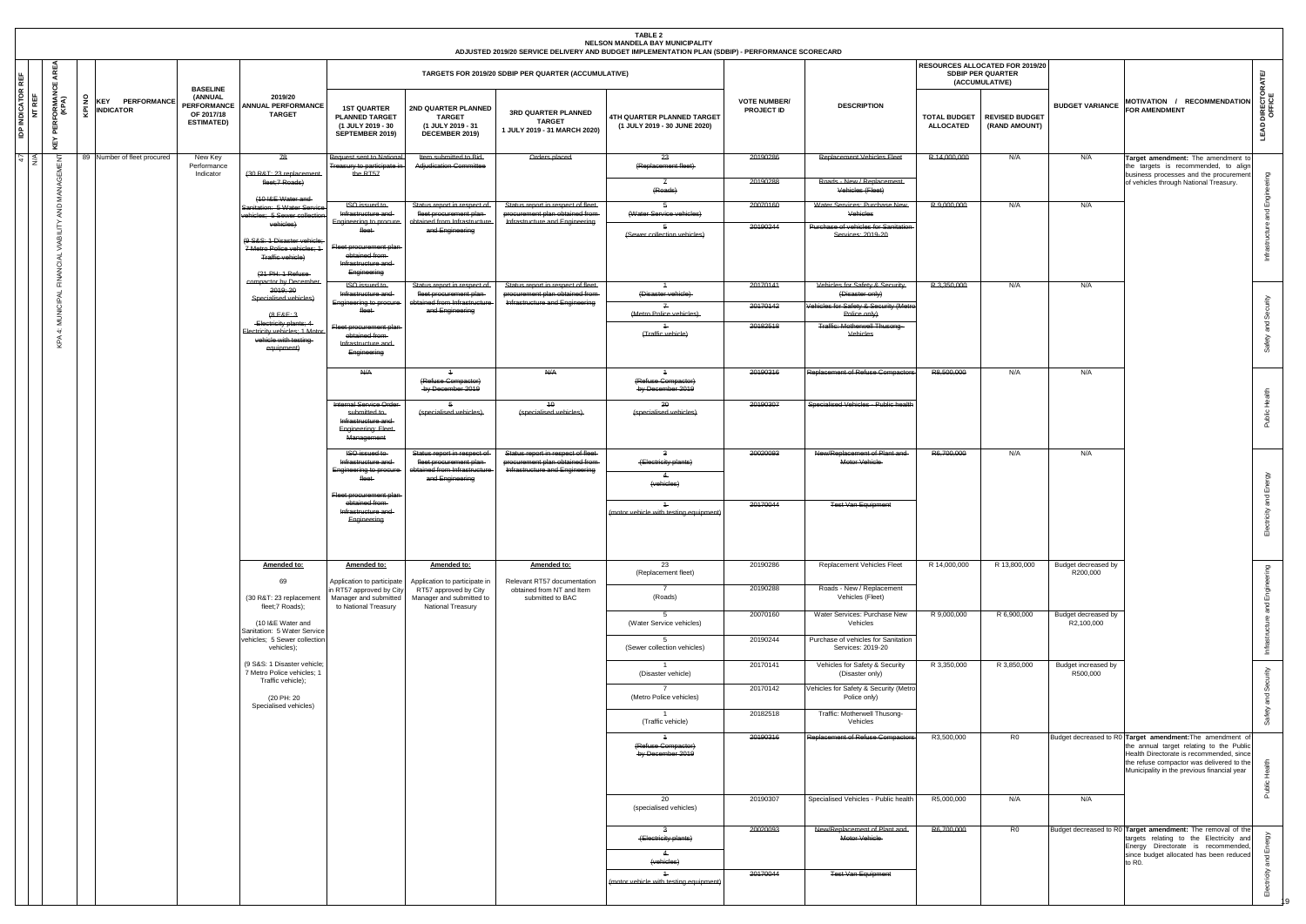|                                  |                             |        |                                            |                                                                  |                                                                                                    |                                                                                                         |                                                                                                           |                                                                                                         | TABLE 2<br>NELSON MANDELA BAY MUNICIPALITY<br>ADJUSTED 2019/20 SERVICE DELIVERY AND BUDGET IMPLEMENTATION PLAN (SDBIP) - PERFORMANCE SCORECARD |                                          |                                                                                  |                                         |                                                                               |                                   |                                                                                                                                                                                                                                               |
|----------------------------------|-----------------------------|--------|--------------------------------------------|------------------------------------------------------------------|----------------------------------------------------------------------------------------------------|---------------------------------------------------------------------------------------------------------|-----------------------------------------------------------------------------------------------------------|---------------------------------------------------------------------------------------------------------|------------------------------------------------------------------------------------------------------------------------------------------------|------------------------------------------|----------------------------------------------------------------------------------|-----------------------------------------|-------------------------------------------------------------------------------|-----------------------------------|-----------------------------------------------------------------------------------------------------------------------------------------------------------------------------------------------------------------------------------------------|
| REF                              | ্ৰহ<br>ш                    |        |                                            | <b>BASELINE</b>                                                  |                                                                                                    |                                                                                                         |                                                                                                           | TARGETS FOR 2019/20 SDBIP PER QUARTER (ACCUMULATIVE)                                                    |                                                                                                                                                |                                          |                                                                                  |                                         | RESOURCES ALLOCATED FOR 2019/20<br><b>SDBIP PER QUARTER</b><br>(ACCUMULATIVE) |                                   | ATE                                                                                                                                                                                                                                           |
| <b>IDP INDICATOR I</b><br>NT REF | FORMAI<br>(KPA)<br>퓥<br>ᇫ   | ă<br>ē | <b>KEY PERFORMANCE</b><br><b>INDICATOR</b> | (ANNUAL<br><b>PERFORMANCE</b><br>OF 2017/18<br><b>ESTIMATED)</b> | 2019/20<br><b>ANNUAL PERFORMANCE</b><br><b>TARGET</b>                                              | <b>1ST QUARTER</b><br><b>PLANNED TARGET</b><br>(1 JULY 2019 - 30<br>SEPTEMBER 2019)                     | 2ND QUARTER PLANNED<br><b>TARGET</b><br>(1 JULY 2019 - 31<br>DECEMBER 2019)                               | 3RD QUARTER PLANNED<br><b>TARGET</b><br>1 JULY 2019 - 31 MARCH 2020)                                    | 4TH QUARTER PLANNED TARGET<br>(1 JULY 2019 - 30 JUNE 2020)                                                                                     | <b>VOTE NUMBER/</b><br><b>PROJECT ID</b> | <b>DESCRIPTION</b>                                                               | <b>TOTAL BUDGET</b><br><b>ALLOCATED</b> | <b>REVISED BUDGET</b><br>(RAND AMOUNT)                                        | <b>BUDGET VARIANCE</b>            | DIRECTOI<br>MOTIVATION / RECOMMENDATION<br><b>FOR AMENDMENT</b><br>LEAD                                                                                                                                                                       |
| $\overline{u}$                   |                             |        | 89 Number of fleet procured                | New Key<br>Performance<br>Indicator                              | 78<br>(30 R&T: 23 replacement                                                                      | Request sent to National<br>Treasury to participate in<br>the RT57                                      | Item submitted to Bid-<br><b>Adjudication Committee</b>                                                   | Orders placed                                                                                           | 23<br>(Replacement fleet)                                                                                                                      | 20190286                                 | <b>Replacement Vehicles Fleet</b>                                                | R 14,000,000                            | N/A                                                                           | N/A                               | Target amendment: The amendment to<br>the targets is recommended, to align<br>business processes and the procurement                                                                                                                          |
|                                  | MANAGE                      |        |                                            |                                                                  | fleet;7 Roads)<br>(10 I&E Water and                                                                |                                                                                                         |                                                                                                           |                                                                                                         | $\overline{f}$<br>(Roads)                                                                                                                      | 20190288                                 | Roads - New / Replacement-<br>Vehicles (Fleet)                                   |                                         |                                                                               |                                   | of vehicles through National Treasury.                                                                                                                                                                                                        |
|                                  | AND                         |        |                                            |                                                                  | Sanitation: 5 Water Service<br>ehicles; 5 Sewer collection<br>vehicles)                            | <b>ISO</b> issued to<br>Infrastructure and<br>Engineering to procure-                                   | Status report in respect of<br>fleet procurement plan-<br>obtained from Infrastructure                    | Status report in respect of fleet-<br>procurement plan obtained from<br>Infrastructure and Engineering  | -5<br>(Water Service vehicles)                                                                                                                 | 20070160<br>20190244                     | Water Services: Purchase New-<br>Vehicles<br>Purchase of vehicles for Sanitation | R 9,000,000                             | N/A                                                                           | N/A                               |                                                                                                                                                                                                                                               |
|                                  | VIABILIT<br>₹               |        |                                            |                                                                  | (9 S&S: 1 Disaster vehicle<br>7 Metro Police vehicles: 1<br>Traffic vehicle)<br>$(21$ PH: 1 Refuse | tleet<br>Fleet procurement plan-<br>obtained from-<br>Infrastructure and<br>Engineering                 | and Engineering                                                                                           |                                                                                                         | (Sewer collection vehicles)                                                                                                                    |                                          | Services: 2019-20                                                                |                                         |                                                                               |                                   |                                                                                                                                                                                                                                               |
|                                  |                             |        |                                            |                                                                  | compactor by December<br>2019; 20<br>Specialised vehicles)                                         | <b>ISO</b> issued to<br>Infrastructure and                                                              | Status report in respect of-<br>fleet procurement plan-                                                   | Status report in respect of fleet-<br>procurement plan obtained from-                                   | $\overline{4}$<br>(Disaster vehicle)                                                                                                           | 20170141                                 | Vehicles for Safety & Security-<br>(Disaster only)                               | R 3,350,000                             | N/A                                                                           | N/A                               |                                                                                                                                                                                                                                               |
|                                  | 9                           |        |                                            |                                                                  | $48E-3$                                                                                            | Engineering to procure-                                                                                 | obtained from Infrastructure<br>and Engineering                                                           | Infrastructure and Engineering                                                                          | $\mathbb{Z}$<br>(Metro Police vehicles)                                                                                                        | 20170142                                 | Vehicles for Safety & Security (Metro<br>Police only)                            |                                         |                                                                               |                                   | Ō                                                                                                                                                                                                                                             |
|                                  | $\leq$<br>$\ddot{ }$<br>KPA |        |                                            |                                                                  | Electricity plants; 4<br>Electricity vehicles; 1 Motor<br>vehicle with testing<br>equipment)       | Fleet procurement plan-<br>obtained from-<br>Infrastructure and<br>Engineering                          |                                                                                                           |                                                                                                         | (Traffic vehicle)                                                                                                                              | 20182518                                 | Traffic: Motherwell Thusong-<br>Vehicles                                         |                                         |                                                                               |                                   | 모                                                                                                                                                                                                                                             |
|                                  |                             |        |                                            |                                                                  |                                                                                                    | N/A                                                                                                     | (Refuse Compactor)<br>-by December 2019                                                                   | <del>N/A</del>                                                                                          | (Refuse Compactor)<br>by December 2019                                                                                                         | 20190316                                 | <b>Replacement of Refuse Compactors</b>                                          | R8,500,000                              | N/A                                                                           | N/A                               |                                                                                                                                                                                                                                               |
|                                  |                             |        |                                            |                                                                  |                                                                                                    | Internal Service Order<br>submitted to<br>Infrastructure and<br>Engineering: Fleet-<br>Management       | -5<br>(specialised vehicles)                                                                              | $4\theta$<br>(specialised vehicles)                                                                     | 20<br>(specialised vehicles)                                                                                                                   | 20190307                                 | Specialised Vehicles - Public health                                             |                                         |                                                                               |                                   | Ĭ<br>bic                                                                                                                                                                                                                                      |
|                                  |                             |        |                                            |                                                                  |                                                                                                    | <b>ISO</b> issued to<br>Infrastructure and<br>Engineering to procure-<br>fleet-                         | Status report in respect of<br>fleet procurement plan-<br>obtained from Infrastructure<br>and Engineering | Status report in respect of fleet-<br>procurement plan obtained from-<br>Infrastructure and Engineering | $\mathbf{a}$<br>(Electricity plants)<br>$\leftarrow$<br>(vehicles)                                                                             | 20020093                                 | New/Replacement of Plant and-<br>Motor Vehicle-                                  | R6,700,000                              | N/A                                                                           | N/A                               | ш                                                                                                                                                                                                                                             |
|                                  |                             |        |                                            |                                                                  |                                                                                                    | Fleet procurement plan-<br>obtained from-<br>Infrastructure and<br>Engineering                          |                                                                                                           |                                                                                                         | $+$<br>(motor vehicle with testing equipment)                                                                                                  | 20170044                                 | <b>Test Van Equipment</b>                                                        |                                         |                                                                               |                                   | ರ<br>击                                                                                                                                                                                                                                        |
|                                  |                             |        |                                            |                                                                  | Amended to:<br>69                                                                                  | Amended to:                                                                                             | Amended to:<br>Application to participate in                                                              | Amended to:<br>Relevant RT57 documentation                                                              | 23<br>(Replacement fleet)                                                                                                                      | 20190286                                 | Replacement Vehicles Fleet                                                       | R 14,000,000                            | R 13,800,000                                                                  | Budget decreased by<br>R200,000   | Ō                                                                                                                                                                                                                                             |
|                                  |                             |        |                                            |                                                                  | (30 R&T: 23 replacement<br>fleet;7 Roads);                                                         | Application to participate<br>in RT57 approved by City<br>Manager and submitted<br>to National Treasury | RT57 approved by City<br>Manager and submitted to<br>National Treasury                                    | obtained from NT and Item<br>submitted to BAC                                                           | $\overline{7}$<br>(Roads)                                                                                                                      | 20190288                                 | Roads - New / Replacement<br>Vehicles (Fleet)                                    |                                         |                                                                               |                                   | ш                                                                                                                                                                                                                                             |
|                                  |                             |        |                                            |                                                                  | (10 I&E Water and<br>Sanitation: 5 Water Service                                                   |                                                                                                         |                                                                                                           |                                                                                                         | -5<br>(Water Service vehicles)                                                                                                                 | 20070160                                 | Water Services: Purchase New<br>Vehicles                                         | R 9,000,000                             | R 6,900,000                                                                   | Budget decreased by<br>R2,100,000 |                                                                                                                                                                                                                                               |
|                                  |                             |        |                                            |                                                                  | vehicles; 5 Sewer collection<br>vehicles);                                                         |                                                                                                         |                                                                                                           |                                                                                                         | - 5<br>(Sewer collection vehicles)                                                                                                             | 20190244                                 | Purchase of vehicles for Sanitation<br>Services: 2019-20                         |                                         |                                                                               |                                   |                                                                                                                                                                                                                                               |
|                                  |                             |        |                                            |                                                                  | (9 S&S: 1 Disaster vehicle;<br>7 Metro Police vehicles; 1<br>Traffic vehicle);                     |                                                                                                         |                                                                                                           |                                                                                                         | (Disaster vehicle)                                                                                                                             | 20170141                                 | Vehicles for Safety & Security<br>(Disaster only)                                | R 3,350,000                             | R 3,850,000                                                                   | Budget increased by<br>R500,000   |                                                                                                                                                                                                                                               |
|                                  |                             |        |                                            |                                                                  | (20 PH: 20<br>Specialised vehicles)                                                                |                                                                                                         |                                                                                                           |                                                                                                         | (Metro Police vehicles)                                                                                                                        | 20170142                                 | Vehicles for Safety & Security (Metro<br>Police only)                            |                                         |                                                                               |                                   | $\sigma$                                                                                                                                                                                                                                      |
|                                  |                             |        |                                            |                                                                  |                                                                                                    |                                                                                                         |                                                                                                           |                                                                                                         | (Traffic vehicle)                                                                                                                              | 20182518                                 | Traffic: Motherwell Thusong-<br>Vehicles                                         |                                         |                                                                               |                                   |                                                                                                                                                                                                                                               |
|                                  |                             |        |                                            |                                                                  |                                                                                                    |                                                                                                         |                                                                                                           |                                                                                                         | $\overline{1}$<br>(Refuse Compactor)<br>by December 2019                                                                                       | 20190316                                 | <b>Replacement of Refuse Compactors</b>                                          | R3,500,000                              | R0                                                                            |                                   | Budget decreased to R0 Target amendment: The amendment of<br>the annual target relating to the Public<br>Health Directorate is recommended, since<br>the refuse compactor was delivered to the<br>Municipality in the previous financial year |
|                                  |                             |        |                                            |                                                                  |                                                                                                    |                                                                                                         |                                                                                                           |                                                                                                         | 20<br>(specialised vehicles)                                                                                                                   | 20190307                                 | Specialised Vehicles - Public health                                             | R5,000,000                              | N/A                                                                           | N/A                               |                                                                                                                                                                                                                                               |
|                                  |                             |        |                                            |                                                                  |                                                                                                    |                                                                                                         |                                                                                                           |                                                                                                         | $\overline{\mathbf{3}}$<br>(Electricity plants)<br>$\overline{4}$<br>(vehicles)                                                                | 20020093                                 | New/Replacement of Plant and<br>Motor Vehicle                                    | R6,700,000                              | R0                                                                            |                                   | Budget decreased to R0 Target amendment: The removal of the<br>targets relating to the Electricity and<br>Energy Directorate is recommended,<br>몇<br>since budget allocated has been reduced<br>to R <sub>0</sub> .                           |
|                                  |                             |        |                                            |                                                                  |                                                                                                    |                                                                                                         |                                                                                                           |                                                                                                         | $+$<br>(motor vehicle with testing equipment)                                                                                                  | 20170044                                 | <b>Test Van Equipment</b>                                                        |                                         |                                                                               |                                   |                                                                                                                                                                                                                                               |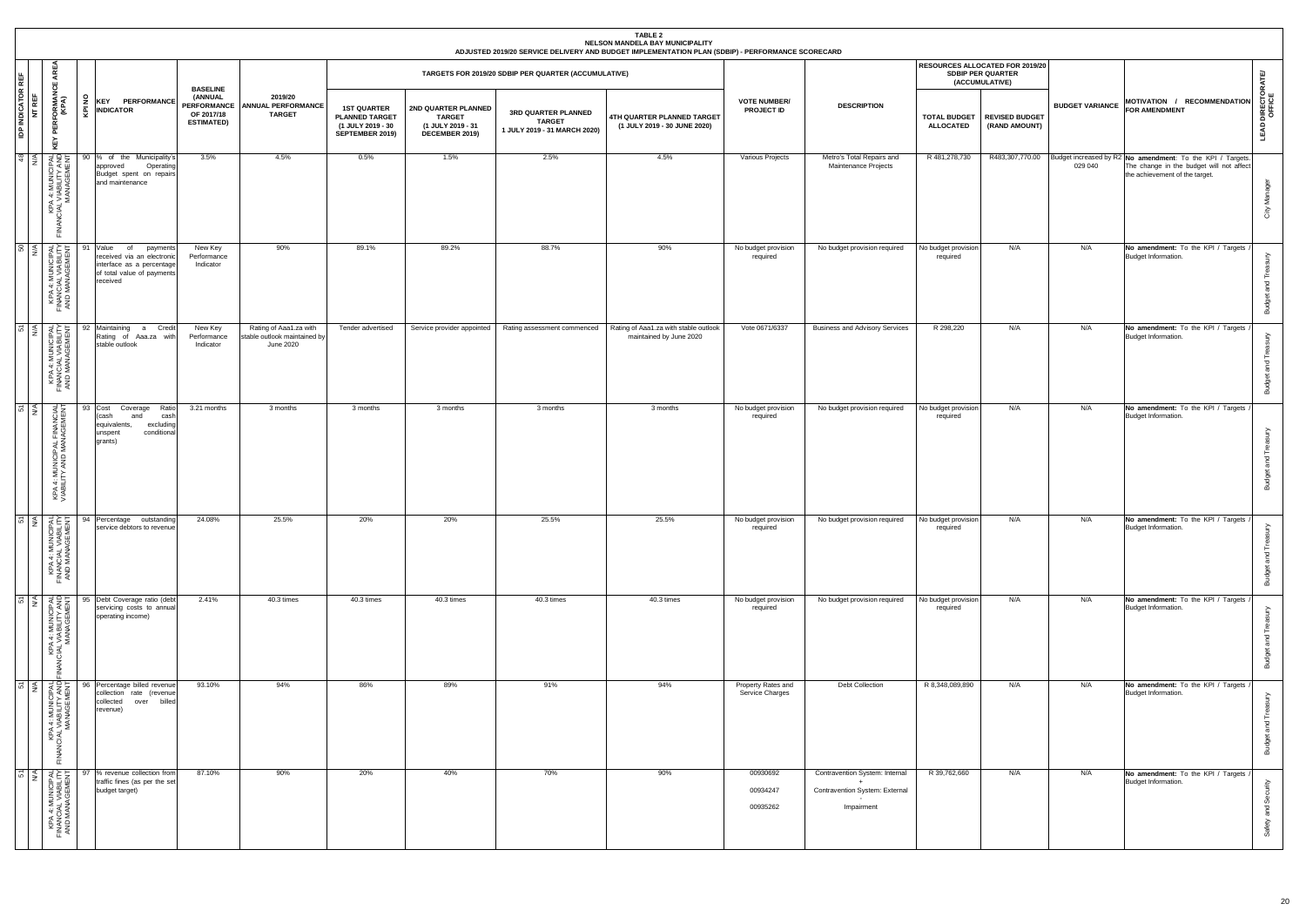|                                  |                                                                                                      |        |                                                                                                                                                                                                                                                                                                                                                                                                                                           |                                                                                     |                                                                     |                                                                                     |                                                                             |                                                                      | <b>TABLE 2</b><br>NELSON MANDELA BAY MUNICIPALITY<br>ADJUSTED 2019/20 SERVICE DELIVERY AND BUDGET IMPLEMENTATION PLAN (SDBIP) - PERFORMANCE SCORECARD |                                          |                                                                                |                                         |                                                                               |                        |                                                                                                                                                          |                                 |
|----------------------------------|------------------------------------------------------------------------------------------------------|--------|-------------------------------------------------------------------------------------------------------------------------------------------------------------------------------------------------------------------------------------------------------------------------------------------------------------------------------------------------------------------------------------------------------------------------------------------|-------------------------------------------------------------------------------------|---------------------------------------------------------------------|-------------------------------------------------------------------------------------|-----------------------------------------------------------------------------|----------------------------------------------------------------------|-------------------------------------------------------------------------------------------------------------------------------------------------------|------------------------------------------|--------------------------------------------------------------------------------|-----------------------------------------|-------------------------------------------------------------------------------|------------------------|----------------------------------------------------------------------------------------------------------------------------------------------------------|---------------------------------|
| l e                              | AREA<br>ු                                                                                            |        |                                                                                                                                                                                                                                                                                                                                                                                                                                           |                                                                                     |                                                                     |                                                                                     |                                                                             | TARGETS FOR 2019/20 SDBIP PER QUARTER (ACCUMULATIVE)                 |                                                                                                                                                       |                                          |                                                                                |                                         | RESOURCES ALLOCATED FOR 2019/20<br><b>SDBIP PER QUARTER</b><br>(ACCUMULATIVE) |                        |                                                                                                                                                          | ATE                             |
| <b>IDP INDICATOR I</b><br>NT REF | <b>PERFORMANG</b><br>(KPA)<br>KEY                                                                    | £<br>も | <b>KEY PERFORMANCE</b><br><b>INDICATOR</b>                                                                                                                                                                                                                                                                                                                                                                                                | <b>BASELINE</b><br>(ANNUAL<br><b>PERFORMANCE</b><br>OF 2017/18<br><b>ESTIMATED)</b> | 2019/20<br><b>ANNUAL PERFORMANCE</b><br><b>TARGET</b>               | <b>1ST QUARTER</b><br><b>PLANNED TARGET</b><br>(1 JULY 2019 - 30<br>SEPTEMBER 2019) | 2ND QUARTER PLANNED<br><b>TARGET</b><br>(1 JULY 2019 - 31<br>DECEMBER 2019) | 3RD QUARTER PLANNED<br><b>TARGET</b><br>1 JULY 2019 - 31 MARCH 2020) | 4TH QUARTER PLANNED TARGET<br>(1 JULY 2019 - 30 JUNE 2020)                                                                                            | <b>VOTE NUMBER/</b><br><b>PROJECT ID</b> | <b>DESCRIPTION</b>                                                             | <b>TOTAL BUDGET</b><br><b>ALLOCATED</b> | <b>REVISED BUDGET</b><br>(RAND AMOUNT)                                        | <b>BUDGET VARIANCE</b> | MOTIVATION / RECOMMENDATION<br><b>FOR AMENDMENT</b>                                                                                                      | <b>LEAD DIRECTOR/</b><br>OFFICE |
| $\sqrt{9}$                       | MAN AGEMENT<br>ACIAL VIABILITY AND<br>ACIAL ARMONICIPAL                                              |        | 90 % of the Municipality's<br>Operating<br>approved<br>Budget spent on repairs<br>and maintenance                                                                                                                                                                                                                                                                                                                                         | 3.5%                                                                                | 4.5%                                                                | 0.5%                                                                                | 1.5%                                                                        | 2.5%                                                                 | 4.5%                                                                                                                                                  | Various Projects                         | Metro's Total Repairs and<br>Maintenance Projects                              | R 481,278,730                           |                                                                               | 029 040                | R483,307,770.00 Budget increased by R2 No amendment: To the KPI / Targets.<br>The change in the budget will not affect<br>the achievement of the target. | City Manager                    |
|                                  | <b>SO</b><br>KPA 4: MUNICIPAL<br>FINANCIAL VIABILITY<br>FINANCIAL VIABILITY<br>AND MANAGEMENT        |        | 91 Value<br>payments<br>of<br>received via an electronic<br>interface as a percentage<br>of total value of payments<br>received                                                                                                                                                                                                                                                                                                           | New Key<br>Performance<br>Indicator                                                 | 90%                                                                 | 89.1%                                                                               | 89.2%                                                                       | 88.7%                                                                | 90%                                                                                                                                                   | No budget provision<br>required          | No budget provision required                                                   | No budget provision<br>required         | N/A                                                                           | N/A                    | No amendment: To the KPI / Targets<br>Budget Information.                                                                                                | Budget and Trea                 |
|                                  | 51<br>KPA 4: MUNICIPAL<br>FINANCIAL VIABILITY<br>AND MANAGEMENT                                      |        | 92 Maintaining a Credit<br>Rating of Aaa.za with<br>stable outlook                                                                                                                                                                                                                                                                                                                                                                        | New Key<br>Performance<br>Indicator                                                 | Rating of Aaa1.za with<br>stable outlook maintained by<br>June 2020 | Tender advertised                                                                   | Service provider appointed                                                  | Rating assessment commenced                                          | Rating of Aaa1.za with stable outlook<br>maintained by June 2020                                                                                      | Vote 0671/6337                           | <b>Business and Advisory Services</b>                                          | R 298,220                               | N/A                                                                           | N/A                    | No amendment: To the KPI / Targets<br>Budget Information.                                                                                                | <b>Budget and Treas</b>         |
| $5\frac{1}{2}$                   | KPA 4: MUNICIPAL FINANCIAL<br>VIABILITY AND MANAGEMENT                                               |        | 93 Cost<br>Coverage<br>Ratio<br>cash<br>(cash<br>and<br>equivalents,<br>excluding<br>conditional<br>unspent<br>qrants)                                                                                                                                                                                                                                                                                                                    | 3.21 months                                                                         | 3 months                                                            | 3 months                                                                            | 3 months                                                                    | 3 months                                                             | 3 months                                                                                                                                              | No budget provision<br>required          | No budget provision required                                                   | No budget provision<br>required         | N/A                                                                           | N/A                    | No amendment: To the KPI / Targets<br>Budget Information.                                                                                                | Budget and Treasury             |
|                                  |                                                                                                      |        | $\begin{array}{rcl}\n\hline\n\text{S} & \text{S} & \text{S} \\ \hline\n\text{S} & \text{S} & \text{S} \\ \hline\n\text{S} & \text{S} & \text{S} \\ \hline\n\text{S} & \text{S} & \text{S} \\ \hline\n\text{S} & \text{S} & \text{S} \\ \hline\n\text{S} & \text{S} & \text{S} \\ \hline\n\text{S} & \text{S} & \text{S} \\ \hline\n\text{S} & \text{S} & \text{S} \\ \hline\n\text{S} & \text{S} & \text{S} \\ \hline\n\text{S} & \text{$ | 24.08%                                                                              | 25.5%                                                               | 20%                                                                                 | 20%                                                                         | 25.5%                                                                | 25.5%                                                                                                                                                 | No budget provision<br>required          | No budget provision required No budget provision                               | required                                | N/A                                                                           | N/A                    | No amendment: To the KPI / Targets<br>Budget Information.                                                                                                | ≧<br><b>Budget and Trea</b>     |
|                                  | 51<br>KPA 4: MUNICIPAL<br>NGLAL VIABILITY AND<br>NANAGEMENT                                          |        | 95 Debt Coverage ratio (debt<br>servicing costs to annual<br>operating income)                                                                                                                                                                                                                                                                                                                                                            | 2.41%                                                                               | 40.3 times                                                          | 40.3 times                                                                          | 40.3 times                                                                  | 40.3 times                                                           | 40.3 times                                                                                                                                            | No budget provision<br>required          | No budget provision required                                                   | No budget provision<br>required         | N/A                                                                           | N/A                    | No amendment: To the KPI / Targets<br>Budget Information.                                                                                                | Budget and Treasury             |
|                                  | 51<br>NA<br>NABILITY ANDI<br>ABILITY ANDI<br>NAGEMENT<br>KPA 4: I<br>NCIAL VIAI<br>MAN<br><b>ANI</b> |        | 96 Percentage billed revenue<br>collection rate (revenue<br>collected<br>over billed<br>revenue)                                                                                                                                                                                                                                                                                                                                          | 93.10%                                                                              | 94%                                                                 | 86%                                                                                 | 89%                                                                         | 91%                                                                  | 94%                                                                                                                                                   | Property Rates and<br>Service Charges    | Debt Collection                                                                | R 8,348,089,890                         | N/A                                                                           | N/A                    | No amendment: To the KPI / Targets<br>Budget Information.                                                                                                | <b>Budget and Treasury</b>      |
|                                  | <b>51</b><br>KPA 4: MUNICIPAL<br>FINANCIAL VIABILITY<br>AND MANAGEMENT                               |        | % revenue collection from<br>traffic fines (as per the set<br>budget target)                                                                                                                                                                                                                                                                                                                                                              | 87.10%                                                                              | 90%                                                                 | 20%                                                                                 | 40%                                                                         | 70%                                                                  | 90%                                                                                                                                                   | 00930692<br>00934247<br>00935262         | Contravention System: Internal<br>Contravention System: External<br>Impairment | R 39,762,660                            | N/A                                                                           | N/A                    | No amendment: To the KPI / Targets<br>Budget Information.                                                                                                | Safety and Security             |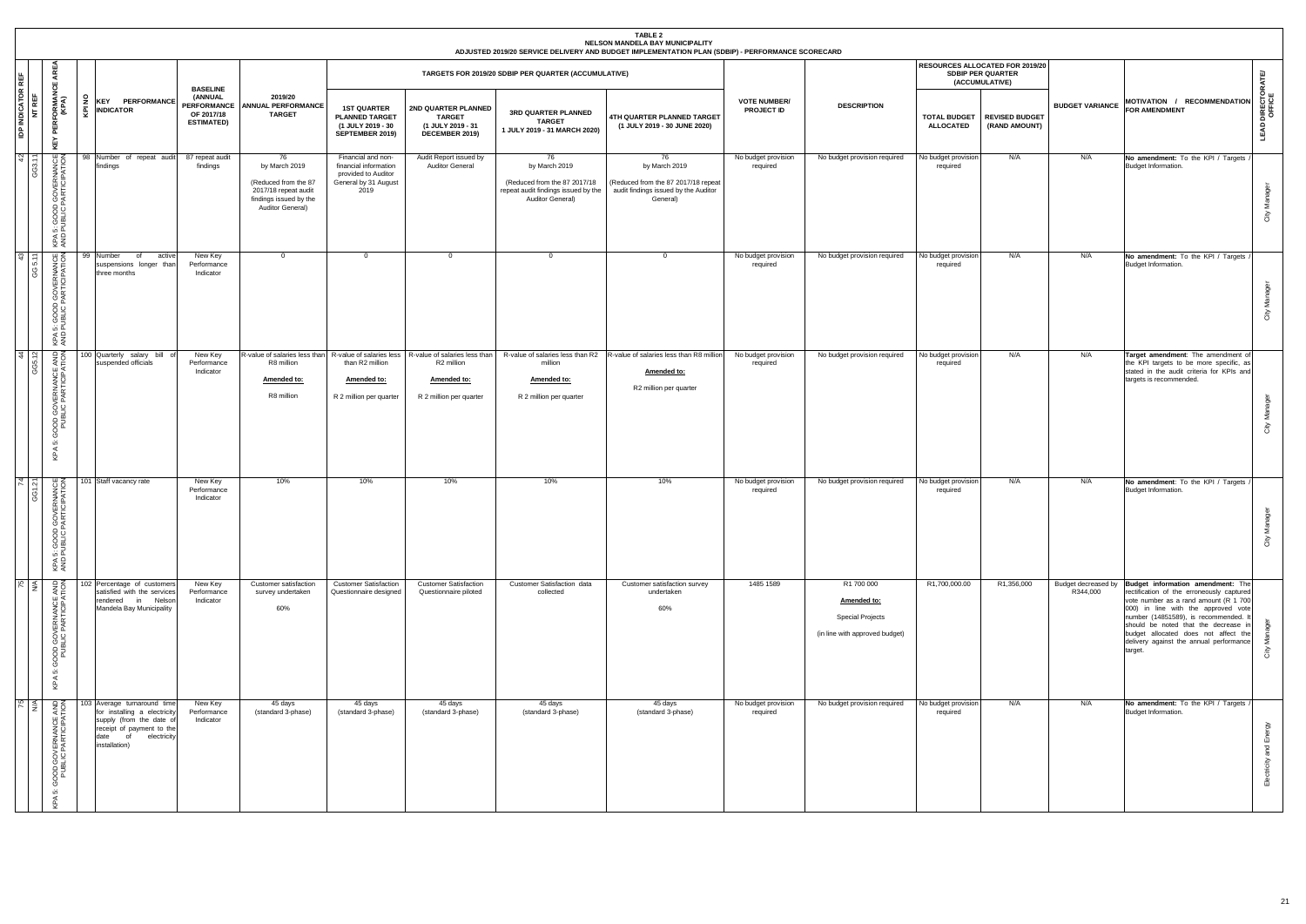|                |                                  |                                                                           |                                                                                                                                                                 |                                                                              |                                                                                                                   |                                                                                                    |                                                                                                                                                |                                                                                                                | <b>TABLE 2</b><br>NELSON MANDELA BAY MUNICIPALITY<br>ADJUSTED 2019/20 SERVICE DELIVERY AND BUDGET IMPLEMENTATION PLAN (SDBIP) - PERFORMANCE SCORECARD |                                          |                                                                                        |                                         |                                                                               |                                 |                                                                                                                                                                                                                                                                                                                                               |                                 |
|----------------|----------------------------------|---------------------------------------------------------------------------|-----------------------------------------------------------------------------------------------------------------------------------------------------------------|------------------------------------------------------------------------------|-------------------------------------------------------------------------------------------------------------------|----------------------------------------------------------------------------------------------------|------------------------------------------------------------------------------------------------------------------------------------------------|----------------------------------------------------------------------------------------------------------------|-------------------------------------------------------------------------------------------------------------------------------------------------------|------------------------------------------|----------------------------------------------------------------------------------------|-----------------------------------------|-------------------------------------------------------------------------------|---------------------------------|-----------------------------------------------------------------------------------------------------------------------------------------------------------------------------------------------------------------------------------------------------------------------------------------------------------------------------------------------|---------------------------------|
| <b>RE</b>      |                                  | Ę<br>乐                                                                    |                                                                                                                                                                 |                                                                              |                                                                                                                   |                                                                                                    |                                                                                                                                                | TARGETS FOR 2019/20 SDBIP PER QUARTER (ACCUMULATIVE)                                                           |                                                                                                                                                       |                                          |                                                                                        |                                         | RESOURCES ALLOCATED FOR 2019/20<br><b>SDBIP PER QUARTER</b><br>(ACCUMULATIVE) |                                 |                                                                                                                                                                                                                                                                                                                                               | ATE                             |
|                | <b>IDP INDICATOR I</b><br>NT REF | <b>PERFORMAN</b><br>(KPA)<br>ē.<br>KEY                                    | <b>KEY PERFORMANCE</b><br><b>INDICATOR</b>                                                                                                                      | <b>BASELINE</b><br>(ANNUAL<br>PERFORMANCE<br>OF 2017/18<br><b>ESTIMATED)</b> | 2019/20<br><b>ANNUAL PERFORMANCE</b><br><b>TARGET</b>                                                             | <b>1ST QUARTER</b><br><b>PLANNED TARGET</b><br>(1 JULY 2019 - 30<br>SEPTEMBER 2019)                | 2ND QUARTER PLANNED<br><b>TARGET</b><br>(1 JULY 2019 - 31<br>DECEMBER 2019)                                                                    | <b>3RD QUARTER PLANNED</b><br><b>TARGET</b><br>1 JULY 2019 - 31 MARCH 2020)                                    | <b>4TH QUARTER PLANNED TARGET</b><br>(1 JULY 2019 - 30 JUNE 2020)                                                                                     | <b>VOTE NUMBER/</b><br><b>PROJECT ID</b> | <b>DESCRIPTION</b>                                                                     | <b>TOTAL BUDGET</b><br><b>ALLOCATED</b> | <b>REVISED BUDGET</b><br>(RAND AMOUNT)                                        | <b>BUDGET VARIANCE</b>          | MOTIVATION / RECOMMENDATION<br><b>FOR AMENDMENT</b>                                                                                                                                                                                                                                                                                           | <b>LEAD DIRECTOR/</b><br>OFFICE |
| $\mathbf{r}$   |                                  | <b>GOOD GOVERNANCE</b><br>JBLIC PARTICIPATION<br>ے ق<br>KPA<br>AND        | 98 Number of repeat audit<br>findings                                                                                                                           | 87 repeat audit<br>findings                                                  | 76<br>by March 2019<br>(Reduced from the 87<br>2017/18 repeat audit<br>findings issued by the<br>Auditor General) | Financial and non-<br>financial information<br>provided to Auditor<br>General by 31 August<br>2019 | Audit Report issued by<br><b>Auditor General</b>                                                                                               | 76<br>by March 2019<br>(Reduced from the 87 2017/18<br>repeat audit findings issued by the<br>Auditor General) | 76<br>by March 2019<br>(Reduced from the 87 2017/18 repeat<br>audit findings issued by the Auditor<br>General)                                        | No budget provision<br>required          | No budget provision required                                                           | No budget provision<br>required         | N/A                                                                           | N/A                             | No amendment: To the KPI / Targets<br>Budget Information.                                                                                                                                                                                                                                                                                     | City Manager                    |
| $\mathfrak{D}$ |                                  | 5: GOOD GOVERNANCE<br>PUBLIC PARTICIPATION<br>KPA<br>AND                  | 99 Number<br>of<br>active<br>suspensions longer than<br>three months                                                                                            | New Key<br>Performance<br>Indicator                                          | $\Omega$                                                                                                          | $\Omega$                                                                                           | $\Omega$                                                                                                                                       | $\Omega$                                                                                                       | $\Omega$                                                                                                                                              | No budget provision<br>required          | No budget provision required                                                           | No budget provision<br>required         | N/A                                                                           | N/A                             | No amendment: To the KPI / Targets<br>Budget Information.                                                                                                                                                                                                                                                                                     | City Manager                    |
|                | $\frac{4}{2}$   $\frac{6}{2}$    | GOOD GOVERNANCE AND<br>PUBLIC PARTICIPATION<br>က်<br>KPA                  | 100 Quarterly salary bill of<br>suspended officials                                                                                                             | New Key<br>Performance<br>Indicator                                          | R8 million<br>Amended to:<br>R8 million                                                                           | than R2 million<br>Amended to:<br>R 2 million per quarter                                          | R-value of salaries less than R-value of salaries less   R-value of salaries less than<br>R2 million<br>Amended to:<br>R 2 million per quarter | million<br>Amended to:<br>R 2 million per quarter                                                              | R-value of salaries less than R2 R-value of salaries less than R8 million<br>Amended to:<br>R2 million per quarter                                    | No budget provision<br>required          | No budget provision required                                                           | No budget provision<br>required         | N/A                                                                           | N/A                             | Target amendment: The amendment of<br>the KPI targets to be more specific, as<br>stated in the audit criteria for KPIs and<br>targets is recommended.                                                                                                                                                                                         | ager<br>City Man                |
| $\vec{z}$      |                                  | <b>SOVERNANCE</b><br>ARTICIPATION<br>5: GOOD GOOD GOOD GOOD<br>KPA<br>AND | 101 Staff vacancy rate                                                                                                                                          | New Key<br>Performance<br>Indicator                                          | 10%                                                                                                               | 10%                                                                                                | 10%                                                                                                                                            | 10%                                                                                                            | 10%                                                                                                                                                   | No budget provision<br>required          | No budget provision required                                                           | No budget provision<br>required         | N/A                                                                           | N/A                             | No amendment: To the KPI / Targets<br>Budget Information.                                                                                                                                                                                                                                                                                     | ager<br>City Ma                 |
| დ              |                                  | GOOD GOVERNANCE AND<br>PUBLIC PARTICIPATION<br>io.<br>KPA                 | 102 Percentage of customers<br>satisfied with the services<br>rendered in Nelson<br>Mandela Bay Municipality                                                    | New Key<br>Performance<br>Indicator                                          | Customer satisfaction<br>survey undertaken<br>60%                                                                 | <b>Customer Satisfaction</b><br>Questionnaire designed                                             | <b>Customer Satisfaction</b><br>Questionnaire piloted                                                                                          | Customer Satisfaction data<br>collected                                                                        | Customer satisfaction survey<br>undertaken<br>60%                                                                                                     | 1485 1589                                | R1 700 000<br>Amended to:<br><b>Special Projects</b><br>(in line with approved budget) | R1,700,000.00                           | R1,356,000                                                                    | Budget decreased by<br>R344,000 | Budget information amendment: The<br>rectification of the erroneously captured<br>vote number as a rand amount (R 1 700<br>000) in line with the approved vote<br>number (14851589), is recommended. It<br>should be noted that the decrease in<br>budget allocated does not affect the<br>delivery against the annual performance<br>target. | ēp<br>ž<br>City                 |
| 75             |                                  | GOOD GOVERNANCE AND<br>PUBLIC PARTICIPATION<br>$\ddot{\circ}$<br>KPA      | 103 Average turnaround time<br>for installing a electricity<br>supply (from the date of<br>receipt of payment to the<br>date of<br>electricity<br>installation) | New Key<br>Performance<br>Indicator                                          | 45 days<br>(standard 3-phase)                                                                                     | 45 days<br>(standard 3-phase)                                                                      | 45 days<br>(standard 3-phase)                                                                                                                  | 45 days<br>(standard 3-phase)                                                                                  | 45 days<br>(standard 3-phase)                                                                                                                         | No budget provision<br>required          | No budget provision required                                                           | No budget provision<br>required         | N/A                                                                           | N/A                             | No amendment: To the KPI / Targets<br>Budget Information.                                                                                                                                                                                                                                                                                     | Electricity and Energy          |